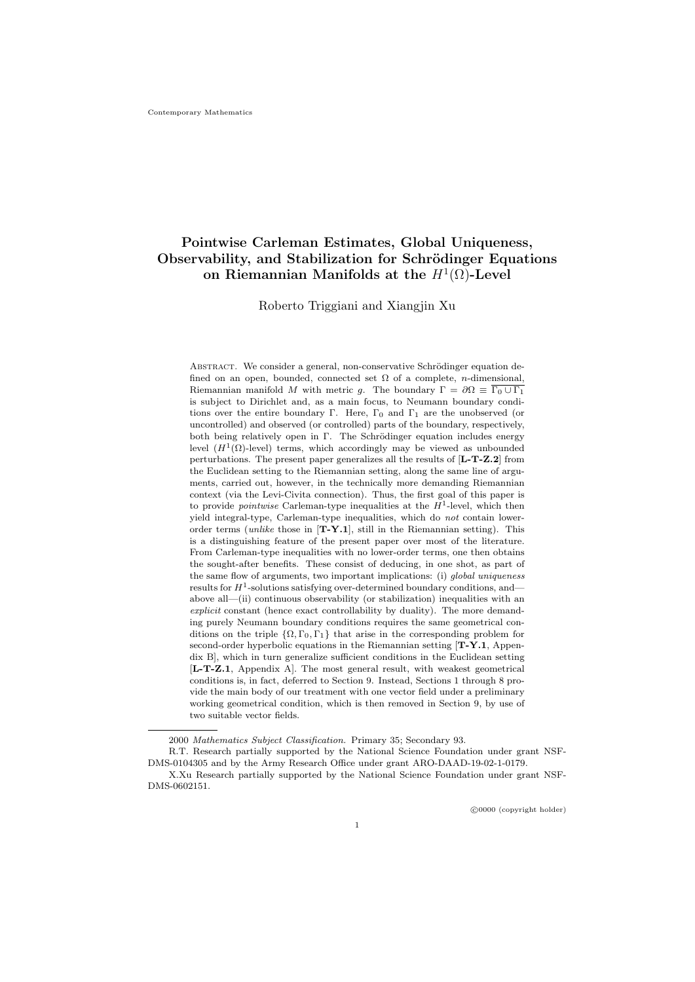# Pointwise Carleman Estimates, Global Uniqueness, Observability, and Stabilization for Schrödinger Equations on Riemannian Manifolds at the  $H^1(\Omega)$ -Level

Roberto Triggiani and Xiangjin Xu

ABSTRACT. We consider a general, non-conservative Schrödinger equation defined on an open, bounded, connected set  $\Omega$  of a complete, *n*-dimensional, Riemannian manifold M with metric q. The boundary  $\Gamma = \partial \Omega \equiv \overline{\Gamma_0 \cup \Gamma_1}$ is subject to Dirichlet and, as a main focus, to Neumann boundary conditions over the entire boundary Γ. Here,  $\Gamma_0$  and  $\Gamma_1$  are the unobserved (or uncontrolled) and observed (or controlled) parts of the boundary, respectively, both being relatively open in Γ. The Schrödinger equation includes energy level  $(H^1(\Omega)$ -level) terms, which accordingly may be viewed as unbounded perturbations. The present paper generalizes all the results of [L-T-Z.2] from the Euclidean setting to the Riemannian setting, along the same line of arguments, carried out, however, in the technically more demanding Riemannian context (via the Levi-Civita connection). Thus, the first goal of this paper is to provide *pointwise* Carleman-type inequalities at the  $H^1$ -level, which then yield integral-type, Carleman-type inequalities, which do not contain lowerorder terms (*unlike* those in  $[T-Y.1]$ , still in the Riemannian setting). This is a distinguishing feature of the present paper over most of the literature. From Carleman-type inequalities with no lower-order terms, one then obtains the sought-after benefits. These consist of deducing, in one shot, as part of the same flow of arguments, two important implications: (i) global uniqueness results for  $H^1$ -solutions satisfying over-determined boundary conditions, and above all—(ii) continuous observability (or stabilization) inequalities with an explicit constant (hence exact controllability by duality). The more demanding purely Neumann boundary conditions requires the same geometrical conditions on the triple  $\{\Omega, \Gamma_0, \Gamma_1\}$  that arise in the corresponding problem for second-order hyperbolic equations in the Riemannian setting  $[T-Y.1,$  Appendix B], which in turn generalize sufficient conditions in the Euclidean setting [L-T-Z.1, Appendix A]. The most general result, with weakest geometrical conditions is, in fact, deferred to Section 9. Instead, Sections 1 through 8 provide the main body of our treatment with one vector field under a preliminary working geometrical condition, which is then removed in Section 9, by use of two suitable vector fields.

<sup>2000</sup> Mathematics Subject Classification. Primary 35; Secondary 93.

R.T. Research partially supported by the National Science Foundation under grant NSF-DMS-0104305 and by the Army Research Office under grant ARO-DAAD-19-02-1-0179.

X.Xu Research partially supported by the National Science Foundation under grant NSF-DMS-0602151.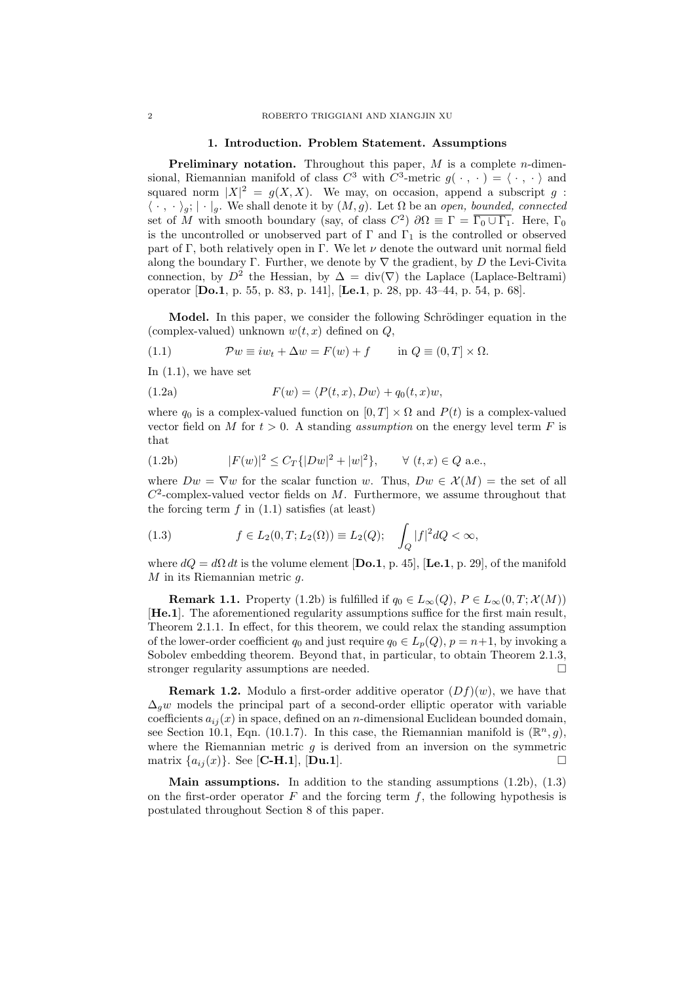#### 1. Introduction. Problem Statement. Assumptions

**Preliminary notation.** Throughout this paper,  $M$  is a complete *n*-dimensional, Riemannian manifold of class  $C^3$  with  $C^3$ -metric  $g(\cdot, \cdot) = \langle \cdot, \cdot \rangle$  and squared norm  $|X|^2 = g(X, X)$ . We may, on occasion, append a subscript g:  $\langle \cdot, \cdot \rangle_g$ ;  $|\cdot|_g$ . We shall denote it by  $(M, g)$ . Let  $\Omega$  be an open, bounded, connected set of M with smooth boundary (say, of class  $C^2$ )  $\partial\Omega \equiv \Gamma = \overline{\Gamma_0 \cup \Gamma_1}$ . Here,  $\Gamma_0$ is the uncontrolled or unobserved part of  $\Gamma$  and  $\Gamma_1$  is the controlled or observed part of Γ, both relatively open in Γ. We let  $\nu$  denote the outward unit normal field along the boundary Γ. Further, we denote by  $\nabla$  the gradient, by D the Levi-Civita connection, by  $D^2$  the Hessian, by  $\Delta = \text{div}(\nabla)$  the Laplace (Laplace-Beltrami) operator [Do.1, p. 55, p. 83, p. 141], [Le.1, p. 28, pp. 43–44, p. 54, p. 68].

Model. In this paper, we consider the following Schrödinger equation in the (complex-valued) unknown  $w(t, x)$  defined on  $Q$ ,

(1.1) 
$$
\mathcal{P}w \equiv iw_t + \Delta w = F(w) + f \quad \text{in } Q \equiv (0, T] \times \Omega.
$$

In  $(1.1)$ , we have set

(1.2a) 
$$
F(w) = \langle P(t,x), Dw \rangle + q_0(t,x)w,
$$

where  $q_0$  is a complex-valued function on  $[0, T] \times \Omega$  and  $P(t)$  is a complex-valued vector field on M for  $t > 0$ . A standing *assumption* on the energy level term F is that

(1.2b) 
$$
|F(w)|^2 \le C_T \{|Dw|^2 + |w|^2\}, \quad \forall (t, x) \in Q \text{ a.e.},
$$

where  $Dw = \nabla w$  for the scalar function w. Thus,  $Dw \in \mathcal{X}(M) =$  the set of all  $C^2$ -complex-valued vector fields on M. Furthermore, we assume throughout that the forcing term  $f$  in  $(1.1)$  satisfies (at least)

(1.3) 
$$
f \in L_2(0, T; L_2(\Omega)) \equiv L_2(Q); \quad \int_Q |f|^2 dQ < \infty,
$$

where  $dQ = d\Omega dt$  is the volume element [Do.1, p. 45], [Le.1, p. 29], of the manifold  $M$  in its Riemannian metric  $q$ .

**Remark 1.1.** Property (1.2b) is fulfilled if  $q_0 \in L_\infty(Q)$ ,  $P \in L_\infty(0,T; \mathcal{X}(M))$ [He.1]. The aforementioned regularity assumptions suffice for the first main result, Theorem 2.1.1. In effect, for this theorem, we could relax the standing assumption of the lower-order coefficient  $q_0$  and just require  $q_0 \in L_p(Q)$ ,  $p = n+1$ , by invoking a Sobolev embedding theorem. Beyond that, in particular, to obtain Theorem 2.1.3, stronger regularity assumptions are needed.

**Remark 1.2.** Modulo a first-order additive operator  $(Df)(w)$ , we have that  $\Delta_q w$  models the principal part of a second-order elliptic operator with variable coefficients  $a_{ij}(x)$  in space, defined on an n-dimensional Euclidean bounded domain, see Section 10.1, Eqn. (10.1.7). In this case, the Riemannian manifold is  $(\mathbb{R}^n, g)$ , where the Riemannian metric  $q$  is derived from an inversion on the symmetric matrix  $\{a_{ij}(x)\}\)$ . See [**C-H.1**], [**Du.1**].

**Main assumptions.** In addition to the standing assumptions  $(1.2b)$ ,  $(1.3)$ on the first-order operator  $F$  and the forcing term  $f$ , the following hypothesis is postulated throughout Section 8 of this paper.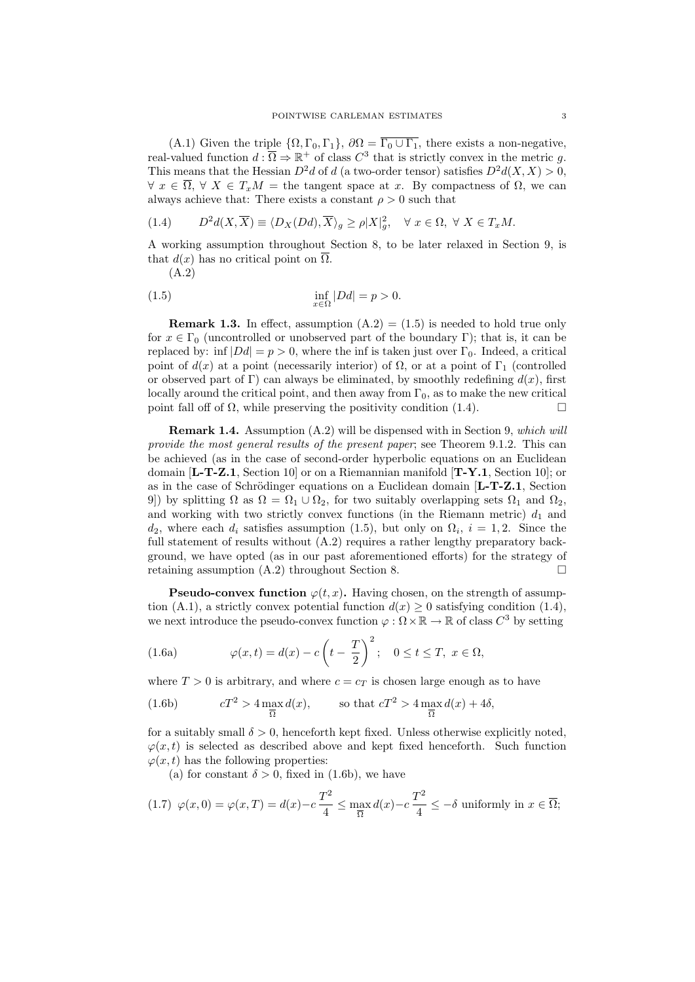(A.1) Given the triple  $\{\Omega, \Gamma_0, \Gamma_1\}$ ,  $\partial\Omega = \overline{\Gamma_0 \cup \Gamma_1}$ , there exists a non-negative, real-valued function  $d : \overline{\Omega} \Rightarrow \mathbb{R}^+$  of class  $C^3$  that is strictly convex in the metric g. This means that the Hessian  $D^2d$  of d (a two-order tensor) satisfies  $D^2d(X, X) > 0$ ,  $\forall x \in \overline{\Omega}, \forall X \in T_xM = \text{the tangent space at } x.$  By compactness of  $\Omega$ , we can always achieve that: There exists a constant  $\rho > 0$  such that

(1.4) 
$$
D^2d(X,\overline{X}) \equiv \langle D_X(Dd), \overline{X} \rangle_g \ge \rho |X|_g^2, \quad \forall \ x \in \Omega, \ \forall \ X \in T_xM.
$$

A working assumption throughout Section 8, to be later relaxed in Section 9, is that  $d(x)$  has no critical point on  $\overline{\Omega}$ .

(A.2)

$$
\inf_{x \in \Omega} |Dd| = p > 0.
$$

**Remark 1.3.** In effect, assumption  $(A.2) = (1.5)$  is needed to hold true only for  $x \in \Gamma_0$  (uncontrolled or unobserved part of the boundary Γ); that is, it can be replaced by: inf  $|Dd| = p > 0$ , where the inf is taken just over  $\Gamma_0$ . Indeed, a critical point of  $d(x)$  at a point (necessarily interior) of  $\Omega$ , or at a point of  $\Gamma_1$  (controlled or observed part of Γ) can always be eliminated, by smoothly redefining  $d(x)$ , first locally around the critical point, and then away from  $\Gamma_0$ , as to make the new critical point fall off of  $\Omega$ , while preserving the positivity condition (1.4).

Remark 1.4. Assumption (A.2) will be dispensed with in Section 9, which will provide the most general results of the present paper; see Theorem 9.1.2. This can be achieved (as in the case of second-order hyperbolic equations on an Euclidean domain  $[L-T-Z.1, Section 10]$  or on a Riemannian manifold  $[T-Y.1, Section 10]$ ; or as in the case of Schrödinger equations on a Euclidean domain  $[L-T-Z.1, Section$ 9) by splitting  $\Omega$  as  $\Omega = \Omega_1 \cup \Omega_2$ , for two suitably overlapping sets  $\Omega_1$  and  $\Omega_2$ , and working with two strictly convex functions (in the Riemann metric)  $d_1$  and  $d_2$ , where each  $d_i$  satisfies assumption (1.5), but only on  $\Omega_i$ ,  $i = 1, 2$ . Since the full statement of results without  $(A.2)$  requires a rather lengthy preparatory background, we have opted (as in our past aforementioned efforts) for the strategy of retaining assumption  $(A.2)$  throughout Section 8.

**Pseudo-convex function**  $\varphi(t, x)$ . Having chosen, on the strength of assumption (A.1), a strictly convex potential function  $d(x) \geq 0$  satisfying condition (1.4), we next introduce the pseudo-convex function  $\varphi : \Omega \times \mathbb{R} \to \mathbb{R}$  of class  $C^3$  by setting

(1.6a) 
$$
\varphi(x,t) = d(x) - c\left(t - \frac{T}{2}\right)^2; \quad 0 \le t \le T, \ x \in \Omega,
$$

where  $T > 0$  is arbitrary, and where  $c = c_T$  is chosen large enough as to have

(1.6b) 
$$
cT^2 > 4 \max_{\overline{\Omega}} d(x), \qquad \text{so that } cT^2 > 4 \max_{\overline{\Omega}} d(x) + 4\delta,
$$

for a suitably small  $\delta > 0$ , henceforth kept fixed. Unless otherwise explicitly noted,  $\varphi(x, t)$  is selected as described above and kept fixed henceforth. Such function  $\varphi(x, t)$  has the following properties:

(a) for constant  $\delta > 0$ , fixed in (1.6b), we have

$$
(1.7) \ \varphi(x,0) = \varphi(x,T) = d(x) - c\frac{T^2}{4} \le \max_{\overline{\Omega}} d(x) - c\frac{T^2}{4} \le -\delta \text{ uniformly in } x \in \overline{\Omega};
$$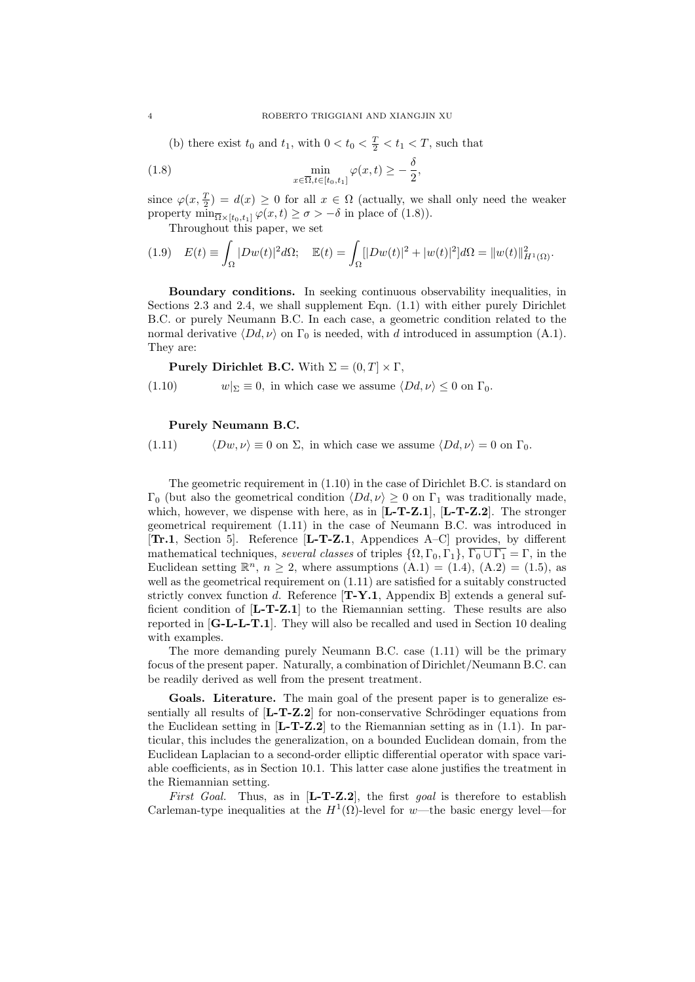(b) there exist  $t_0$  and  $t_1$ , with  $0 < t_0 < \frac{T}{2} < t_1 < T$ , such that

(1.8) 
$$
\min_{x \in \overline{\Omega}, t \in [t_0, t_1]} \varphi(x, t) \geq -\frac{\delta}{2},
$$

since  $\varphi(x, \frac{T}{2}) = d(x) \geq 0$  for all  $x \in \Omega$  (actually, we shall only need the weaker property  $\min_{\overline{\Omega} \times [t_0, t_1]} \varphi(x, t) \ge \sigma > -\delta$  in place of (1.8)).

Throughout this paper, we set

$$
(1.9) \quad E(t) \equiv \int_{\Omega} |Dw(t)|^2 d\Omega; \quad \mathbb{E}(t) = \int_{\Omega} [|Dw(t)|^2 + |w(t)|^2] d\Omega = ||w(t)||_{H^1(\Omega)}^2.
$$

Boundary conditions. In seeking continuous observability inequalities, in Sections 2.3 and 2.4, we shall supplement Eqn. (1.1) with either purely Dirichlet B.C. or purely Neumann B.C. In each case, a geometric condition related to the normal derivative  $\langle Dd, \nu \rangle$  on  $\Gamma_0$  is needed, with d introduced in assumption (A.1). They are:

**Purely Dirichlet B.C.** With  $\Sigma = (0, T] \times \Gamma$ ,

(1.10)  $w|_{\Sigma} \equiv 0$ , in which case we assume  $\langle Dd, \nu \rangle \leq 0$  on  $\Gamma_0$ .

#### Purely Neumann B.C.

(1.11)  $\langle Dw, \nu \rangle \equiv 0$  on  $\Sigma$ , in which case we assume  $\langle Dd, \nu \rangle = 0$  on  $\Gamma_0$ .

The geometric requirement in (1.10) in the case of Dirichlet B.C. is standard on Γ<sub>0</sub> (but also the geometrical condition  $\langle Dd, \nu \rangle \geq 0$  on Γ<sub>1</sub> was traditionally made, which, however, we dispense with here, as in  $[L-T-Z.1]$ ,  $[L-T-Z.2]$ . The stronger geometrical requirement (1.11) in the case of Neumann B.C. was introduced in  $[Tr.1, Section 5]$ . Reference  $[L-T-Z.1, Appendix A-C]$  provides, by different mathematical techniques, several classes of triples  $\{\Omega, \Gamma_0, \Gamma_1\}$ ,  $\overline{\Gamma_0 \cup \Gamma_1} = \Gamma$ , in the Euclidean setting  $\mathbb{R}^n$ ,  $n \geq 2$ , where assumptions  $(A.1) = (1.4)$ ,  $(A.2) = (1.5)$ , as well as the geometrical requirement on (1.11) are satisfied for a suitably constructed strictly convex function d. Reference  $[T-Y.1$ , Appendix B extends a general sufficient condition of [L-T-Z.1] to the Riemannian setting. These results are also reported in  $[G-L-L-T.1]$ . They will also be recalled and used in Section 10 dealing with examples.

The more demanding purely Neumann B.C. case (1.11) will be the primary focus of the present paper. Naturally, a combination of Dirichlet/Neumann B.C. can be readily derived as well from the present treatment.

Goals. Literature. The main goal of the present paper is to generalize essentially all results of  $[L-T-Z.2]$  for non-conservative Schrödinger equations from the Euclidean setting in  $[L-T-Z.2]$  to the Riemannian setting as in (1.1). In particular, this includes the generalization, on a bounded Euclidean domain, from the Euclidean Laplacian to a second-order elliptic differential operator with space variable coefficients, as in Section 10.1. This latter case alone justifies the treatment in the Riemannian setting.

First Goal. Thus, as in  $[L-T-Z.2]$ , the first goal is therefore to establish Carleman-type inequalities at the  $H^1(\Omega)$ -level for w—the basic energy level—for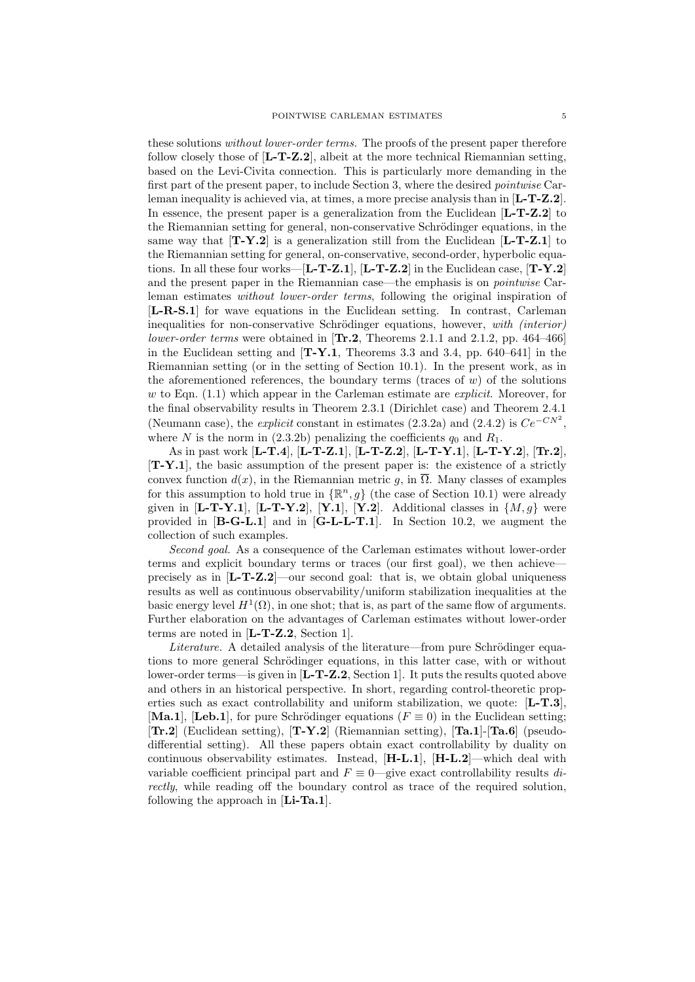these solutions *without lower-order terms*. The proofs of the present paper therefore follow closely those of  $[L-T-Z.2]$ , albeit at the more technical Riemannian setting, based on the Levi-Civita connection. This is particularly more demanding in the first part of the present paper, to include Section 3, where the desired pointwise Carleman inequality is achieved via, at times, a more precise analysis than in  $[L-T-Z.2]$ . In essence, the present paper is a generalization from the Euclidean  $[L-T-Z.2]$  to the Riemannian setting for general, non-conservative Schrödinger equations, in the same way that  $[T-Y.2]$  is a generalization still from the Euclidean  $[L-T-Z.1]$  to the Riemannian setting for general, on-conservative, second-order, hyperbolic equations. In all these four works— $[L-T-Z.1]$ ,  $[L-T-Z.2]$  in the Euclidean case,  $[T-Y.2]$ and the present paper in the Riemannian case—the emphasis is on pointwise Carleman estimates without lower-order terms, following the original inspiration of [L-R-S.1] for wave equations in the Euclidean setting. In contrast, Carleman inequalities for non-conservative Schrödinger equations, however, with  $(interior)$ lower-order terms were obtained in  $[\text{Tr.2}, \text{Theorems } 2.1.1 \text{ and } 2.1.2, \text{ pp. } 464-466]$ in the Euclidean setting and  $[T-Y.1$ , Theorems 3.3 and 3.4, pp. 640–641 in the Riemannian setting (or in the setting of Section 10.1). In the present work, as in the aforementioned references, the boundary terms (traces of  $w$ ) of the solutions w to Eqn.  $(1.1)$  which appear in the Carleman estimate are *explicit*. Moreover, for the final observability results in Theorem 2.3.1 (Dirichlet case) and Theorem 2.4.1 (Neumann case), the *explicit* constant in estimates (2.3.2a) and (2.4.2) is  $Ce^{-CN^2}$ , where N is the norm in (2.3.2b) penalizing the coefficients  $q_0$  and  $R_1$ .

As in past work [L-T.4], [L-T-Z.1], [L-T-Z.2], [L-T-Y.1], [L-T-Y.2], [Tr.2], [T-Y.1], the basic assumption of the present paper is: the existence of a strictly convex function  $d(x)$ , in the Riemannian metric g, in  $\overline{\Omega}$ . Many classes of examples for this assumption to hold true in  $\{\mathbb{R}^n, g\}$  (the case of Section 10.1) were already given in  $\left[\mathbf{L}\text{-T-Y.1}\right]$ ,  $\left[\mathbf{L}\text{-T-Y.2}\right]$ ,  $\left[\mathbf{Y.1}\right]$ ,  $\left[\mathbf{Y.2}\right]$ . Additional classes in  $\{M, g\}$  were provided in  $[B-G-L.1]$  and in  $[G-L-L-T.1]$ . In Section 10.2, we augment the collection of such examples.

Second goal. As a consequence of the Carleman estimates without lower-order terms and explicit boundary terms or traces (our first goal), we then achieve precisely as in  $[L-T-Z.2]$ —our second goal: that is, we obtain global uniqueness results as well as continuous observability/uniform stabilization inequalities at the basic energy level  $H^1(\Omega)$ , in one shot; that is, as part of the same flow of arguments. Further elaboration on the advantages of Carleman estimates without lower-order terms are noted in [L-T-Z.2, Section 1].

Literature. A detailed analysis of the literature—from pure Schrödinger equations to more general Schrödinger equations, in this latter case, with or without lower-order terms—is given in [**L-T-Z.2**, Section 1]. It puts the results quoted above and others in an historical perspective. In short, regarding control-theoretic properties such as exact controllability and uniform stabilization, we quote:  $[L-T.3]$ , [Ma.1], [Leb.1], for pure Schrödinger equations ( $F \equiv 0$ ) in the Euclidean setting; [Tr.2] (Euclidean setting), [T-Y.2] (Riemannian setting), [Ta.1]-[Ta.6] (pseudodifferential setting). All these papers obtain exact controllability by duality on continuous observability estimates. Instead,  $[H-L.1]$ ,  $[H-L.2]$ —which deal with variable coefficient principal part and  $F \equiv 0$ —give exact controllability results directly, while reading off the boundary control as trace of the required solution, following the approach in  $[Li-Ta.1]$ .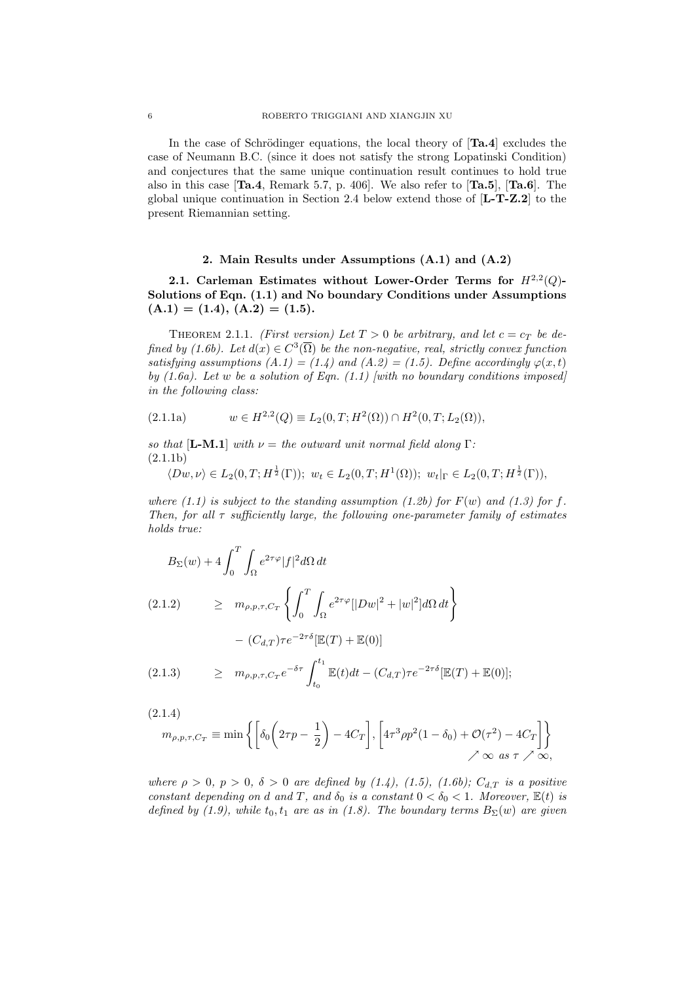In the case of Schrödinger equations, the local theory of  $[Ta.4]$  excludes the case of Neumann B.C. (since it does not satisfy the strong Lopatinski Condition) and conjectures that the same unique continuation result continues to hold true also in this case  $[Ta.4,$  Remark 5.7, p. 406. We also refer to  $[Ta.5],$   $[Ta.6]$ . The global unique continuation in Section 2.4 below extend those of  $[L-T-Z.2]$  to the present Riemannian setting.

#### 2. Main Results under Assumptions (A.1) and (A.2)

2.1. Carleman Estimates without Lower-Order Terms for  $H^{2,2}(Q)$ -Solutions of Eqn. (1.1) and No boundary Conditions under Assumptions  $(A.1) = (1.4), (A.2) = (1.5).$ 

THEOREM 2.1.1. (First version) Let  $T > 0$  be arbitrary, and let  $c = c_T$  be defined by (1.6b). Let  $d(x) \in C^3(\overline{\Omega})$  be the non-negative, real, strictly convex function satisfying assumptions  $(A.1) = (1.4)$  and  $(A.2) = (1.5)$ . Define accordingly  $\varphi(x,t)$ by  $(1.6a)$ . Let w be a solution of Eqn.  $(1.1)$  [with no boundary conditions imposed] in the following class:

$$
(2.1.1a) \t w \in H^{2,2}(Q) \equiv L_2(0,T;H^2(\Omega)) \cap H^2(0,T;L_2(\Omega)),
$$

so that  $[\mathbf{L}\text{-}\mathbf{M}\text{-}\mathbf{L}]$  with  $\nu =$  the outward unit normal field along  $\Gamma$ : (2.1.1b)

$$
\langle Dw, \nu \rangle \in L_2(0,T; H^{\frac{1}{2}}(\Gamma)); \ w_t \in L_2(0,T;H^1(\Omega)); \ w_t|_{\Gamma} \in L_2(0,T;H^{\frac{1}{2}}(\Gamma)),
$$

where (1.1) is subject to the standing assumption (1.2b) for  $F(w)$  and (1.3) for f. Then, for all  $\tau$  sufficiently large, the following one-parameter family of estimates holds true:

$$
B_{\Sigma}(w) + 4 \int_0^T \int_{\Omega} e^{2\tau \varphi} |f|^2 d\Omega dt
$$
  
(2.1.2) 
$$
\geq m_{\rho, p, \tau, C_T} \left\{ \int_0^T \int_{\Omega} e^{2\tau \varphi} [|Dw|^2 + |w|^2] d\Omega dt \right\}
$$

$$
- (C_{d,T}) \tau e^{-2\tau \delta} [\mathbb{E}(T) + \mathbb{E}(0)]
$$
  
(2.1.3) 
$$
\geq m_{\rho, p, \tau, C_T} e^{-\delta \tau} \int_0^{t_1} \mathbb{E}(t) dt - (C_{d,T}) \tau e^{-2\tau \delta} [\mathbb{E}(T) + \mathbb{E}(0)]
$$

$$
(2.1.3) \quad \geq \quad m_{\rho,p,\tau,C_T} e^{-\delta \tau} \int_{t_0}^{t_1} \mathbb{E}(t) dt - (C_{d,T}) \tau e^{-2\tau \delta} [\mathbb{E}(T) + \mathbb{E}(0)];
$$

(2.1.4)

$$
m_{\rho,p,\tau,C_T} \equiv \min\left\{ \left[ \delta_0 \left( 2\tau p - \frac{1}{2} \right) - 4C_T \right], \left[ 4\tau^3 \rho p^2 (1 - \delta_0) + \mathcal{O}(\tau^2) - 4C_T \right] \right\}
$$
  
  $\nearrow \infty \text{ as } \tau \nearrow \infty,$ 

where  $\rho > 0$ ,  $p > 0$ ,  $\delta > 0$  are defined by (1.4), (1.5), (1.6b);  $C_{d,T}$  is a positive constant depending on d and T, and  $\delta_0$  is a constant  $0 < \delta_0 < 1$ . Moreover,  $\mathbb{E}(t)$  is defined by (1.9), while  $t_0, t_1$  are as in (1.8). The boundary terms  $B_{\Sigma}(w)$  are given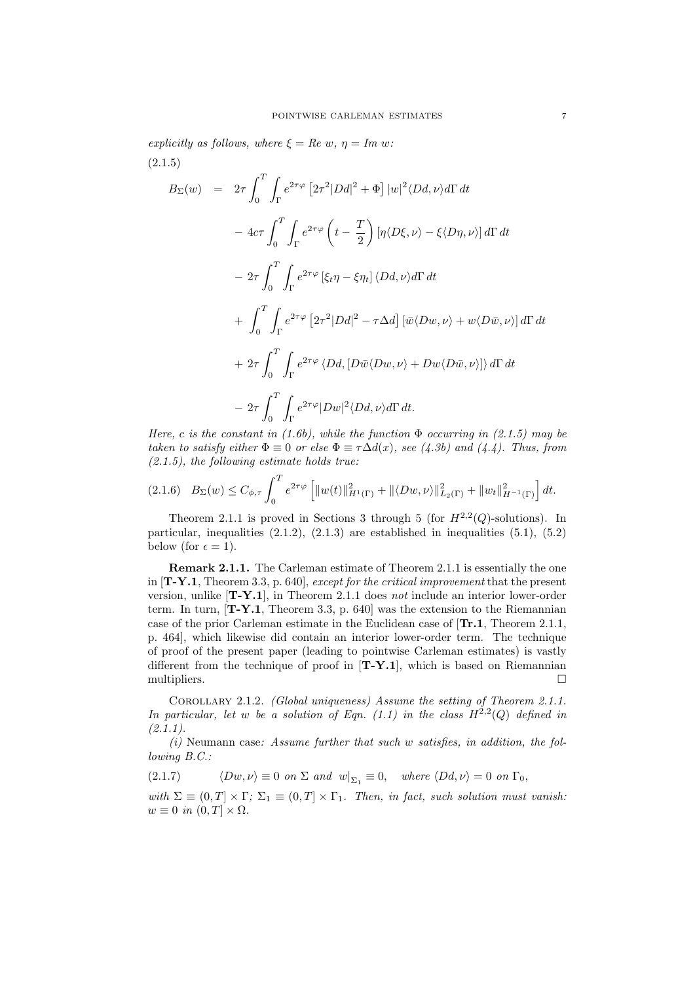explicitly as follows, where  $\xi = Re w$ ,  $\eta = Im w$ : (2.1.5)

$$
B_{\Sigma}(w) = 2\tau \int_{0}^{T} \int_{\Gamma} e^{2\tau\varphi} \left[ 2\tau^{2} |Dd|^{2} + \Phi \right] |w|^{2} \langle Dd, \nu \rangle d\Gamma dt
$$
  

$$
- 4c\tau \int_{0}^{T} \int_{\Gamma} e^{2\tau\varphi} \left( t - \frac{T}{2} \right) \left[ \eta \langle D\xi, \nu \rangle - \xi \langle D\eta, \nu \rangle \right] d\Gamma dt
$$
  

$$
- 2\tau \int_{0}^{T} \int_{\Gamma} e^{2\tau\varphi} \left[ \xi_{t} \eta - \xi \eta_{t} \right] \langle Dd, \nu \rangle d\Gamma dt
$$
  

$$
+ \int_{0}^{T} \int_{\Gamma} e^{2\tau\varphi} \left[ 2\tau^{2} |Dd|^{2} - \tau \Delta d \right] \left[ \bar{w} \langle Dw, \nu \rangle + w \langle D\bar{w}, \nu \rangle \right] d\Gamma dt
$$
  

$$
+ 2\tau \int_{0}^{T} \int_{\Gamma} e^{2\tau\varphi} \langle Dd, [D\bar{w} \langle Dw, \nu \rangle + Dw \langle D\bar{w}, \nu \rangle] \rangle d\Gamma dt
$$
  

$$
- 2\tau \int_{0}^{T} \int_{\Gamma} e^{2\tau\varphi} |Dw|^{2} \langle Dd, \nu \rangle d\Gamma dt.
$$

Here, c is the constant in (1.6b), while the function  $\Phi$  occurring in (2.1.5) may be taken to satisfy either  $\Phi \equiv 0$  or else  $\Phi \equiv \tau \Delta d(x)$ , see (4.3b) and (4.4). Thus, from  $(2.1.5)$ , the following estimate holds true:

$$
(2.1.6) \quad B_{\Sigma}(w) \le C_{\phi,\tau} \int_0^T e^{2\tau\varphi} \left[ \|w(t)\|_{H^1(\Gamma)}^2 + \|\langle Dw,\nu\rangle\|_{L_2(\Gamma)}^2 + \|w_t\|_{H^{-1}(\Gamma)}^2 \right] dt.
$$

Theorem 2.1.1 is proved in Sections 3 through 5 (for  $H^{2,2}(Q)$ -solutions). In particular, inequalities  $(2.1.2)$ ,  $(2.1.3)$  are established in inequalities  $(5.1)$ ,  $(5.2)$ below (for  $\epsilon = 1$ ).

Remark 2.1.1. The Carleman estimate of Theorem 2.1.1 is essentially the one in  $[T-Y.1$ , Theorem 3.3, p. 640, *except for the critical improvement* that the present version, unlike [T-Y.1], in Theorem 2.1.1 does not include an interior lower-order term. In turn,  $[T-Y.1,$  Theorem 3.3, p. 640 was the extension to the Riemannian case of the prior Carleman estimate in the Euclidean case of [Tr.1, Theorem 2.1.1, p. 464], which likewise did contain an interior lower-order term. The technique of proof of the present paper (leading to pointwise Carleman estimates) is vastly different from the technique of proof in  $[T-Y.1]$ , which is based on Riemannian multipliers.

Corollary 2.1.2. (Global uniqueness) Assume the setting of Theorem 2.1.1. In particular, let w be a solution of Eqn.  $(1.1)$  in the class  $H^{2,2}(Q)$  defined in  $(2.1.1).$ 

 $(i)$  Neumann case: Assume further that such w satisfies, in addition, the following B.C.:

(2.1.7)  $\langle Dw, \nu \rangle \equiv 0 \text{ on } \Sigma \text{ and } w|_{\Sigma_1} \equiv 0, \text{ where } \langle Dd, \nu \rangle = 0 \text{ on } \Gamma_0,$ 

with  $\Sigma \equiv (0, T] \times \Gamma$ ;  $\Sigma_1 \equiv (0, T] \times \Gamma_1$ . Then, in fact, such solution must vanish:  $w \equiv 0$  in  $(0, T] \times \Omega$ .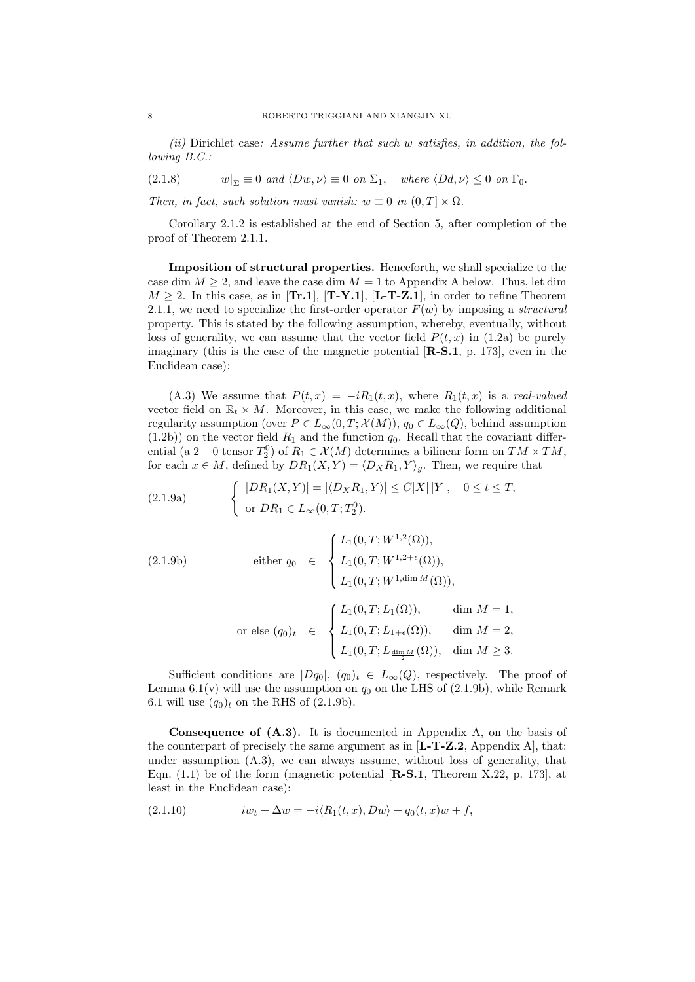(ii) Dirichlet case: Assume further that such w satisfies, in addition, the following B.C.:

(2.1.8)  $w|_{\Sigma} \equiv 0 \text{ and } \langle Dw, \nu \rangle \equiv 0 \text{ on } \Sigma_1, \text{ where } \langle Dd, \nu \rangle \leq 0 \text{ on } \Gamma_0.$ 

Then, in fact, such solution must vanish:  $w \equiv 0$  in  $(0, T] \times \Omega$ .

Corollary 2.1.2 is established at the end of Section 5, after completion of the proof of Theorem 2.1.1.

Imposition of structural properties. Henceforth, we shall specialize to the case dim  $M \geq 2$ , and leave the case dim  $M = 1$  to Appendix A below. Thus, let dim  $M \geq 2$ . In this case, as in [**Tr.1**], [**T-Y.1**], [**L-T-Z.1**], in order to refine Theorem 2.1.1, we need to specialize the first-order operator  $F(w)$  by imposing a *structural* property. This is stated by the following assumption, whereby, eventually, without loss of generality, we can assume that the vector field  $P(t, x)$  in (1.2a) be purely imaginary (this is the case of the magnetic potential  $[\mathbf{R}\text{-}\mathbf{S}\text{-}\mathbf{I}, \, \mathbf{p}, \, 173]$ , even in the Euclidean case):

(A.3) We assume that  $P(t, x) = -iR_1(t, x)$ , where  $R_1(t, x)$  is a real-valued vector field on  $\mathbb{R}_t \times M$ . Moreover, in this case, we make the following additional regularity assumption (over  $P \in L_{\infty}(0,T; \mathcal{X}(M))$ ,  $q_0 \in L_{\infty}(Q)$ , behind assumption  $(1.2b)$ ) on the vector field  $R_1$  and the function  $q_0$ . Recall that the covariant differential (a 2 – 0 tensor  $T_2^0$ ) of  $R_1 \in \mathcal{X}(M)$  determines a bilinear form on  $TM \times TM$ , for each  $x \in M$ , defined by  $DR_1(X, Y) = \langle D_XR_1, Y \rangle_a$ . Then, we require that

(2.1.9a) 
$$
\begin{cases} |DR_1(X,Y)| = |\langle D_X R_1, Y \rangle| \le C|X| |Y|, & 0 \le t \le T, \\ \text{or } DR_1 \in L_{\infty}(0,T;T_2^0). \end{cases}
$$

(2.1.9b)  
\neither 
$$
q_0 \in \begin{cases} L_1(0, T; W^{1,2}(\Omega)), \\ L_1(0, T; W^{1,2+\epsilon}(\Omega)), \\ L_1(0, T; W^{1, \dim M}(\Omega)), \end{cases}
$$
  
\nor else  $(q_0)_t \in \begin{cases} L_1(0, T; L_1(\Omega)), & \dim M = 1, \\ L_1(0, T; L_{1+\epsilon}(\Omega)), & \dim M = 2, \\ L_1(0, T; L_{1+\epsilon}(\Omega)), & \dim M = 2, \\ L_1(0, T; L_{\frac{\dim M}{2}}(\Omega)), & \dim M \ge 3. \end{cases}$ 

Sufficient conditions are  $|Dq_0|$ ,  $(q_0)_t \in L_\infty(Q)$ , respectively. The proof of Lemma 6.1(v) will use the assumption on  $q_0$  on the LHS of (2.1.9b), while Remark 6.1 will use  $(q_0)_t$  on the RHS of  $(2.1.9b)$ .

Consequence of (A.3). It is documented in Appendix A, on the basis of the counterpart of precisely the same argument as in  $[L-T-Z.2,$  Appendix A, that: under assumption (A.3), we can always assume, without loss of generality, that Eqn.  $(1.1)$  be of the form (magnetic potential  $[\mathbf{R}\text{-}\mathbf{S}\text{-}\mathbf{I}]$ , Theorem X.22, p. 173, at least in the Euclidean case):

$$
(2.1.10) \t i w_t + \Delta w = -i \langle R_1(t, x), Dw \rangle + q_0(t, x) w + f,
$$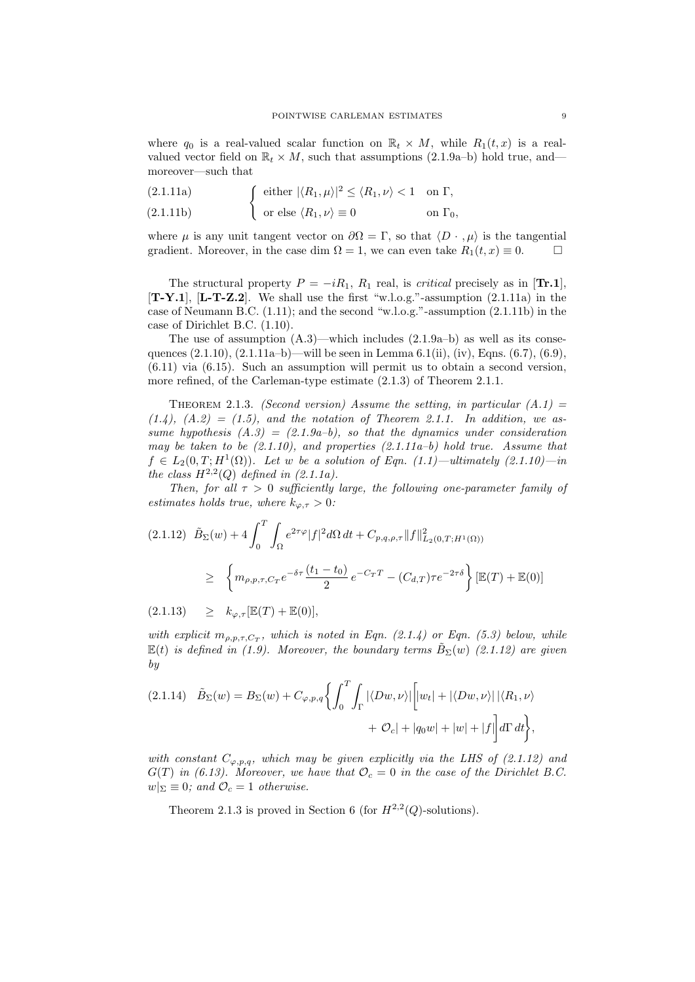where  $q_0$  is a real-valued scalar function on  $\mathbb{R}_t \times M$ , while  $R_1(t, x)$  is a realvalued vector field on  $\mathbb{R}_t \times M$ , such that assumptions (2.1.9a–b) hold true, and moreover—such that

(2.1.11a) 
$$
\int \text{ either } |\langle R_1, \mu \rangle|^2 \le \langle R_1, \nu \rangle < 1 \quad \text{on } \Gamma,
$$

 $(2.1.11b)$ or else  $\langle R_1, \nu \rangle \equiv 0$  on  $\Gamma_0$ ,

where  $\mu$  is any unit tangent vector on  $\partial\Omega = \Gamma$ , so that  $\langle D \cdot , \mu \rangle$  is the tangential gradient. Moreover, in the case dim  $\Omega = 1$ , we can even take  $R_1(t, x) \equiv 0$ .

The structural property  $P = -iR_1$ ,  $R_1$  real, is *critical* precisely as in [**Tr.1**],  $[T-Y.1]$ ,  $[L-T-Z.2]$ . We shall use the first "w.l.o.g."-assumption  $(2.1.11a)$  in the case of Neumann B.C.  $(1.11)$ ; and the second "w.l.o.g."-assumption  $(2.1.11b)$  in the case of Dirichlet B.C. (1.10).

The use of assumption  $(A.3)$ —which includes  $(2.1.9a-b)$  as well as its consequences  $(2.1.10)$ ,  $(2.1.11a-b)$ —will be seen in Lemma 6.1(ii), (iv), Eqns. (6.7), (6.9), (6.11) via (6.15). Such an assumption will permit us to obtain a second version, more refined, of the Carleman-type estimate (2.1.3) of Theorem 2.1.1.

THEOREM 2.1.3. (Second version) Assume the setting, in particular  $(A.1)$  $(1.4)$ ,  $(A.2) = (1.5)$ , and the notation of Theorem 2.1.1. In addition, we assume hypothesis  $(A.3) = (2.1.9a-b)$ , so that the dynamics under consideration may be taken to be  $(2.1.10)$ , and properties  $(2.1.11a-b)$  hold true. Assume that  $f \in L_2(0,T; H^1(\Omega))$ . Let w be a solution of Eqn. (1.1)—ultimately (2.1.10)—in the class  $H^{2,2}(Q)$  defined in (2.1.1a).

Then, for all  $\tau > 0$  sufficiently large, the following one-parameter family of estimates holds true, where  $k_{\varphi,\tau} > 0$ :

$$
(2.1.12) \quad \tilde{B}_{\Sigma}(w) + 4 \int_0^T \int_{\Omega} e^{2\tau \varphi} |f|^2 d\Omega dt + C_{p,q,\rho,\tau} ||f||^2_{L_2(0,T;H^1(\Omega))}
$$
  

$$
\geq \left\{ m_{\rho,p,\tau,C_T} e^{-\delta \tau} \frac{(t_1 - t_0)}{2} e^{-C_T T} - (C_{d,T}) \tau e^{-2\tau \delta} \right\} [\mathbb{E}(T) + \mathbb{E}(0)]
$$

 $(2.1.13) \geq k_{\varphi,\tau}[\mathbb{E}(T) + \mathbb{E}(0)],$ 

with explicit  $m_{\rho,p,\tau,C_T}$ , which is noted in Eqn. (2.1.4) or Eqn. (5.3) below, while  $\mathbb{E}(t)$  is defined in (1.9). Moreover, the boundary terms  $\tilde{B}_{\Sigma}(w)$  (2.1.12) are given by

$$
(2.1.14) \quad \tilde{B}_{\Sigma}(w) = B_{\Sigma}(w) + C_{\varphi, p, q} \left\{ \int_0^T \int_{\Gamma} |\langle Dw, \nu \rangle| \left[ |w_t| + |\langle Dw, \nu \rangle| \right] |\langle R_1, \nu \rangle \right. \\ \left. + \mathcal{O}_c | + |q_0 w| + |w| + |f| \right] d\Gamma dt \right\},\
$$

with constant  $C_{\varphi,p,q}$ , which may be given explicitly via the LHS of (2.1.12) and  $G(T)$  in (6.13). Moreover, we have that  $\mathcal{O}_c = 0$  in the case of the Dirichlet B.C.  $w|_{\Sigma} \equiv 0$ ; and  $\mathcal{O}_c = 1$  otherwise.

Theorem 2.1.3 is proved in Section 6 (for  $H^{2,2}(Q)$ -solutions).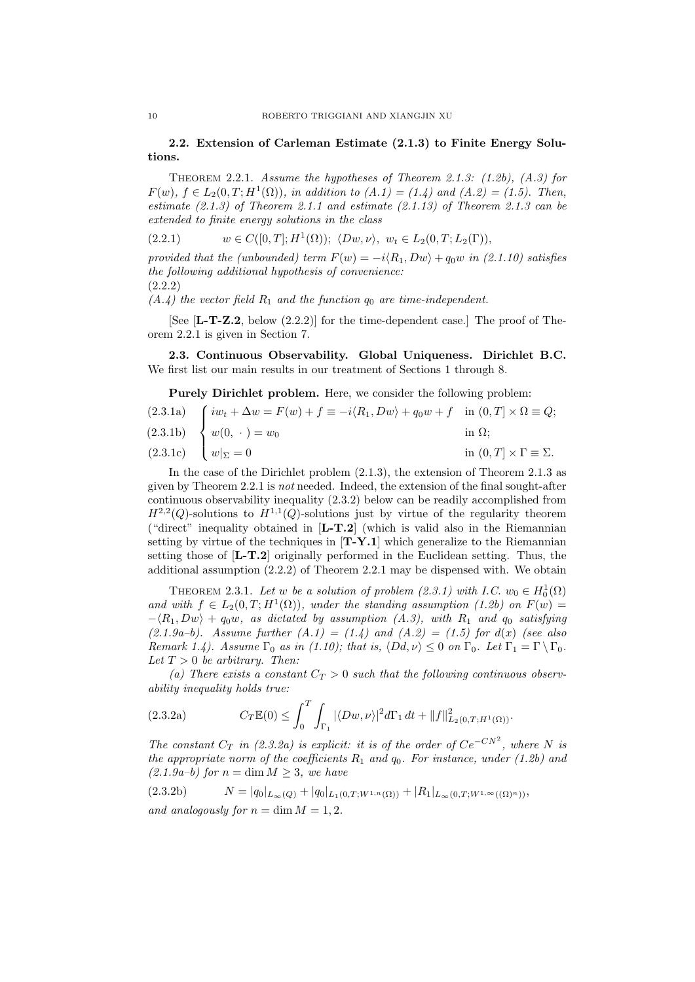#### 2.2. Extension of Carleman Estimate (2.1.3) to Finite Energy Solutions.

THEOREM 2.2.1. Assume the hypotheses of Theorem 2.1.3:  $(1.2b)$ ,  $(A.3)$  for  $F(w), f \in L_2(0,T; H^1(\Omega)),$  in addition to  $(A.1) = (1.4)$  and  $(A.2) = (1.5)$ . Then, estimate  $(2.1.3)$  of Theorem 2.1.1 and estimate  $(2.1.13)$  of Theorem 2.1.3 can be extended to finite energy solutions in the class

$$
(2.2.1) \t w \in C([0,T];H^1(\Omega)); \langle Dw,\nu\rangle, w_t \in L_2(0,T;L_2(\Gamma)),
$$

provided that the (unbounded) term  $F(w) = -i \langle R_1, Dw \rangle + q_0 w$  in (2.1.10) satisfies the following additional hypothesis of convenience: (2.2.2)

 $(A.4)$  the vector field  $R_1$  and the function  $q_0$  are time-independent.

[See [L-T-Z.2, below (2.2.2)] for the time-dependent case.] The proof of Theorem 2.2.1 is given in Section 7.

2.3. Continuous Observability. Global Uniqueness. Dirichlet B.C. We first list our main results in our treatment of Sections 1 through 8.

Purely Dirichlet problem. Here, we consider the following problem:

(2.3.1a)  
\n
$$
\begin{cases}\ni w_t + \Delta w = F(w) + f \equiv -i \langle R_1, Dw \rangle + q_0 w + f & \text{in } (0, T] \times \Omega \equiv Q; \\
w(0, \cdot) = w_0 & \text{in } \Omega; \\
w|_{\Sigma} = 0 & \text{in } (0, T] \times \Gamma \equiv \Sigma.\n\end{cases}
$$

In the case of the Dirichlet problem (2.1.3), the extension of Theorem 2.1.3 as given by Theorem 2.2.1 is not needed. Indeed, the extension of the final sought-after continuous observability inequality (2.3.2) below can be readily accomplished from  $H^{2,2}(Q)$ -solutions to  $H^{1,1}(Q)$ -solutions just by virtue of the regularity theorem ("direct" inequality obtained in [L-T.2] (which is valid also in the Riemannian setting by virtue of the techniques in  $[T-Y.1]$  which generalize to the Riemannian setting those of [L-T.2] originally performed in the Euclidean setting. Thus, the additional assumption (2.2.2) of Theorem 2.2.1 may be dispensed with. We obtain

THEOREM 2.3.1. Let w be a solution of problem  $(2.3.1)$  with I.C.  $w_0 \in H_0^1(\Omega)$ and with  $f \in L_2(0,T;H^1(\Omega))$ , under the standing assumption (1.2b) on  $F(w)$  $-\langle R_1, Dw \rangle + q_0w$ , as dictated by assumption (A.3), with  $R_1$  and  $q_0$  satisfying  $(2.1.9a-b)$ . Assume further  $(A.1) = (1.4)$  and  $(A.2) = (1.5)$  for  $d(x)$  (see also Remark 1.4). Assume  $\Gamma_0$  as in (1.10); that is,  $\langle Dd, \nu \rangle \leq 0$  on  $\Gamma_0$ . Let  $\Gamma_1 = \Gamma \setminus \Gamma_0$ . Let  $T > 0$  be arbitrary. Then:

(a) There exists a constant  $C_T > 0$  such that the following continuous observability inequality holds true:

(2.3.2a) 
$$
C_T \mathbb{E}(0) \leq \int_0^T \int_{\Gamma_1} |\langle Dw, \nu \rangle|^2 d\Gamma_1 dt + ||f||^2_{L_2(0,T;H^1(\Omega))}.
$$

The constant  $C_T$  in (2.3.2a) is explicit: it is of the order of  $Ce^{-CN^2}$ , where N is the appropriate norm of the coefficients  $R_1$  and  $q_0$ . For instance, under (1.2b) and  $(2.1.9a-b)$  for  $n = \dim M \geq 3$ , we have

(2.3.2b) 
$$
N = |q_0|_{L_{\infty}(Q)} + |q_0|_{L_1(0,T;W^{1,n}(\Omega))} + |R_1|_{L_{\infty}(0,T;W^{1,\infty}((\Omega)^n))},
$$
  
and analogously for  $n = \dim M = 1,2$ .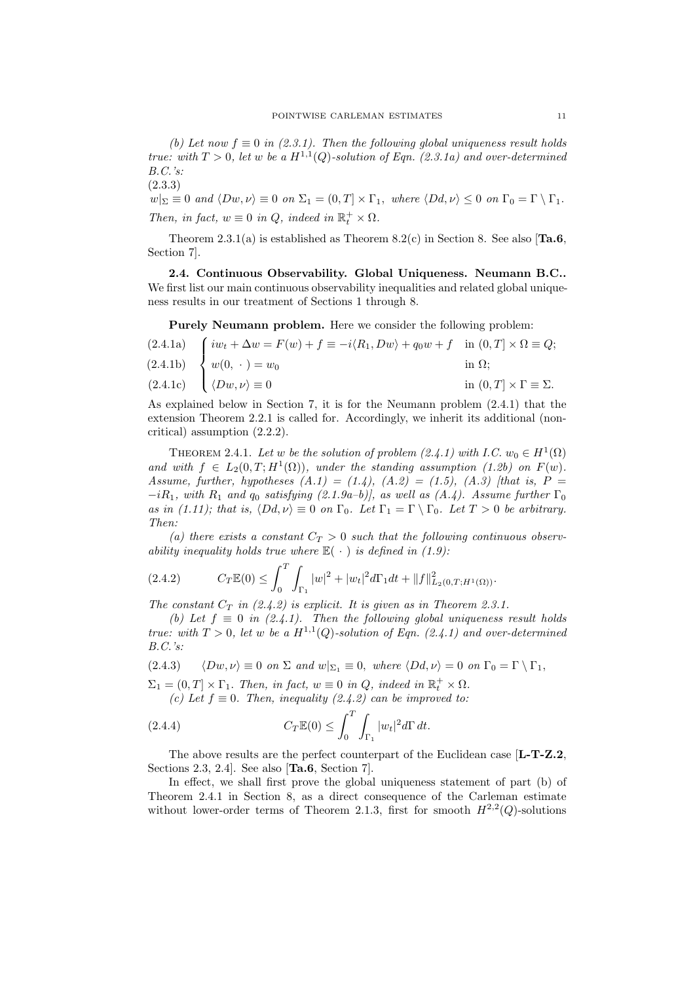(b) Let now  $f \equiv 0$  in (2.3.1). Then the following global uniqueness result holds true: with  $T > 0$ , let w be a  $H^{1,1}(Q)$ -solution of Eqn. (2.3.1a) and over-determined B.C.'s:

(2.3.3)  $|w|_{\Sigma} \equiv 0$  and  $\langle Dw, \nu \rangle \equiv 0$  on  $\Sigma_1 = (0, T] \times \Gamma_1$ , where  $\langle Dd, \nu \rangle \leq 0$  on  $\Gamma_0 = \Gamma \setminus \Gamma_1$ . Then, in fact,  $w \equiv 0$  in Q, indeed in  $\mathbb{R}_t^+ \times \Omega$ .

Theorem 2.3.1(a) is established as Theorem 8.2(c) in Section 8. See also  $[Ta.6]$ Section 7].

2.4. Continuous Observability. Global Uniqueness. Neumann B.C.. We first list our main continuous observability inequalities and related global uniqueness results in our treatment of Sections 1 through 8.

Purely Neumann problem. Here we consider the following problem:

(2.4.1a)  
\n
$$
\begin{cases}\ni w_t + \Delta w = F(w) + f \equiv -i \langle R_1, Dw \rangle + q_0 w + f & \text{in } (0, T] \times \Omega \equiv Q; \\
w(0, \cdot) = w_0 & \text{in } \Omega; \\
\langle Dw, \nu \rangle \equiv 0 & \text{in } (0, T] \times \Gamma \equiv \Sigma.\n\end{cases}
$$

As explained below in Section 7, it is for the Neumann problem (2.4.1) that the extension Theorem 2.2.1 is called for. Accordingly, we inherit its additional (noncritical) assumption (2.2.2).

THEOREM 2.4.1. Let w be the solution of problem  $(2.4.1)$  with I.C.  $w_0 \in H^1(\Omega)$ and with  $f \in L_2(0,T;H^1(\Omega))$ , under the standing assumption (1.2b) on  $F(w)$ . Assume, further, hypotheses  $(A.1) = (1.4)$ ,  $(A.2) = (1.5)$ ,  $(A.3)$  [that is, P =  $-iR_1$ , with  $R_1$  and  $q_0$  satisfying  $(2.1.9a-b)$ , as well as  $(A.4)$ . Assume further  $\Gamma_0$ as in (1.11); that is,  $\langle Dd, \nu \rangle \equiv 0$  on  $\Gamma_0$ . Let  $\Gamma_1 = \Gamma \setminus \Gamma_0$ . Let  $T > 0$  be arbitrary. Then:

(a) there exists a constant  $C_T > 0$  such that the following continuous observability inequality holds true where  $\mathbb{E}(\cdot)$  is defined in (1.9):

$$
(2.4.2) \tC_T \mathbb{E}(0) \le \int_0^T \int_{\Gamma_1} |w|^2 + |w_t|^2 d\Gamma_1 dt + ||f||^2_{L_2(0,T;H^1(\Omega))}.
$$

The constant  $C_T$  in (2.4.2) is explicit. It is given as in Theorem 2.3.1.

(b) Let  $f \equiv 0$  in (2.4.1). Then the following global uniqueness result holds true: with  $T > 0$ , let w be a  $H^{1,1}(Q)$ -solution of Eqn. (2.4.1) and over-determined B.C.'s:

(2.4.3) 
$$
\langle Dw,\nu\rangle \equiv 0 \text{ on } \Sigma \text{ and } w|_{\Sigma_1} \equiv 0, \text{ where } \langle Dd,\nu\rangle = 0 \text{ on } \Gamma_0 = \Gamma \setminus \Gamma_1,
$$

 $\Sigma_1 = (0,T] \times \Gamma_1$ . Then, in fact,  $w \equiv 0$  in Q, indeed in  $\mathbb{R}_t^+ \times \Omega$ .

(c) Let  $f \equiv 0$ . Then, inequality (2.4.2) can be improved to:

(2.4.4) 
$$
C_T \mathbb{E}(0) \leq \int_0^T \int_{\Gamma_1} |w_t|^2 d\Gamma dt.
$$

The above results are the perfect counterpart of the Euclidean case [L-T-Z.2, Sections 2.3, 2.4]. See also [Ta.6, Section 7].

In effect, we shall first prove the global uniqueness statement of part (b) of Theorem 2.4.1 in Section 8, as a direct consequence of the Carleman estimate without lower-order terms of Theorem 2.1.3, first for smooth  $H^{2,2}(Q)$ -solutions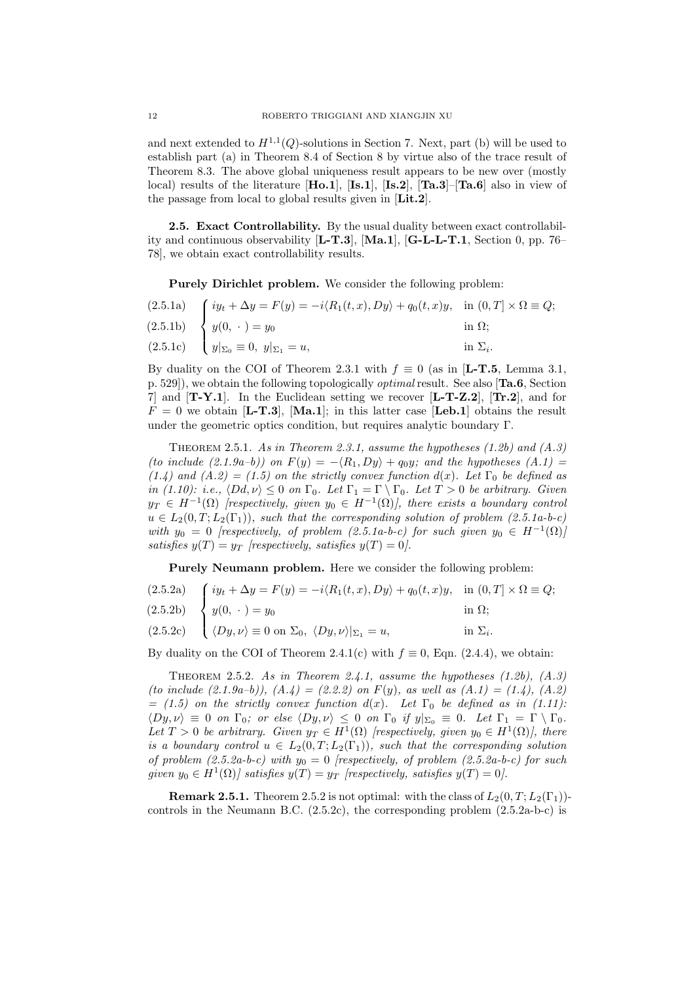and next extended to  $H^{1,1}(Q)$ -solutions in Section 7. Next, part (b) will be used to establish part (a) in Theorem 8.4 of Section 8 by virtue also of the trace result of Theorem 8.3. The above global uniqueness result appears to be new over (mostly local) results of the literature  $[Ho.1]$ ,  $[Is.1]$ ,  $[Is.2]$ ,  $[Ta.3]$ - $[Ta.6]$  also in view of the passage from local to global results given in [Lit.2].

2.5. Exact Controllability. By the usual duality between exact controllability and continuous observability [L-T.3], [Ma.1], [G-L-L-T.1, Section 0, pp. 76– 78], we obtain exact controllability results.

Purely Dirichlet problem. We consider the following problem:

(2.5.1a)  $(2.5.1b)$ (2.5.1c)  $\sqrt{ }$  $\int$  $\overline{\mathcal{L}}$  $iy_t + \Delta y = F(y) = -i\langle R_1(t, x), Dy \rangle + q_0(t, x)y, \text{ in } (0, T] \times \Omega \equiv Q;$  $y(0, \cdot) = y_0$  in  $\Omega$ ;  $y|_{\Sigma_0} \equiv 0, \ y|_{\Sigma_1} = u, \qquad \text{in } \Sigma_i.$ 

By duality on the COI of Theorem 2.3.1 with  $f \equiv 0$  (as in [**L-T.5**, Lemma 3.1, p. 529]), we obtain the following topologically optimal result. See also [Ta.6, Section 7] and  $[T-Y.1]$ . In the Euclidean setting we recover  $[L-T-Z.2]$ ,  $[Tr.2]$ , and for  $F = 0$  we obtain [**L-T.3**], [**Ma.1**]; in this latter case [**Leb.1**] obtains the result under the geometric optics condition, but requires analytic boundary Γ.

THEOREM 2.5.1. As in Theorem 2.3.1, assume the hypotheses  $(1.2b)$  and  $(A.3)$ (to include (2.1.9a–b)) on  $F(y) = -\langle R_1, Dy \rangle + q_0 y$ ; and the hypotheses (A.1) = (1.4) and (A.2) = (1.5) on the strictly convex function  $d(x)$ . Let  $\Gamma_0$  be defined as in (1.10): i.e.,  $\langle Dd, \nu \rangle \leq 0$  on  $\Gamma_0$ . Let  $\Gamma_1 = \Gamma \setminus \Gamma_0$ . Let  $T > 0$  be arbitrary. Given  $y_T \in H^{-1}(\Omega)$  [respectively, given  $y_0 \in H^{-1}(\Omega)$ ], there exists a boundary control  $u \in L_2(0,T;L_2(\Gamma_1)),$  such that the corresponding solution of problem  $(2.5.1a-b-c)$ with  $y_0 = 0$  [respectively, of problem (2.5.1a-b-c) for such given  $y_0 \in H^{-1}(\Omega)$ ] satisfies  $y(T) = y_T$  [respectively, satisfies  $y(T) = 0$ ].

Purely Neumann problem. Here we consider the following problem:

|  | (2.5.2a) $\int iy_t + \Delta y = F(y) = -i \langle R_1(t, x), Dy \rangle + q_0(t, x) y$ , in $(0, T] \times \Omega \equiv Q$ ; |  |
|--|--------------------------------------------------------------------------------------------------------------------------------|--|
|--|--------------------------------------------------------------------------------------------------------------------------------|--|

- $(2.5.2b)$  $\int$  $y(0, \cdot) = y_0$  in  $\Omega$ ;
- (2.5.2c)  $\overline{\mathcal{L}}$  $\langle Dy, \nu \rangle \equiv 0$  on  $\Sigma_0$ ,  $\langle Dy, \nu \rangle|_{\Sigma_1} = u$ , in  $\Sigma_i$ in  $\Sigma_i$ .

By duality on the COI of Theorem 2.4.1(c) with  $f \equiv 0$ , Eqn. (2.4.4), we obtain:

THEOREM 2.5.2. As in Theorem 2.4.1, assume the hypotheses  $(1.2b)$ ,  $(A.3)$ (to include (2.1.9a–b)),  $(A.4) = (2.2.2)$  on  $F(y)$ , as well as  $(A.1) = (1.4)$ ,  $(A.2)$  $= (1.5)$  on the strictly convex function d(x). Let  $\Gamma_0$  be defined as in (1.11):  $\langle Dy, \nu \rangle \equiv 0$  on  $\Gamma_0$ ; or else  $\langle Dy, \nu \rangle \leq 0$  on  $\Gamma_0$  if  $y|_{\Sigma_0} \equiv 0$ . Let  $\Gamma_1 = \Gamma \setminus \Gamma_0$ . Let  $T > 0$  be arbitrary. Given  $y_T \in H^1(\Omega)$  [respectively, given  $y_0 \in H^1(\Omega)$ ], there is a boundary control  $u \in L_2(0,T;L_2(\Gamma_1))$ , such that the corresponding solution of problem  $(2.5.2a-b-c)$  with  $y_0 = 0$  [respectively, of problem  $(2.5.2a-b-c)$  for such given  $y_0 \in H^1(\Omega)$  satisfies  $y(T) = y_T$  [respectively, satisfies  $y(T) = 0$ ].

**Remark 2.5.1.** Theorem 2.5.2 is not optimal: with the class of  $L_2(0, T; L_2(\Gamma_1))$ controls in the Neumann B.C.  $(2.5.2c)$ , the corresponding problem  $(2.5.2a-b-c)$  is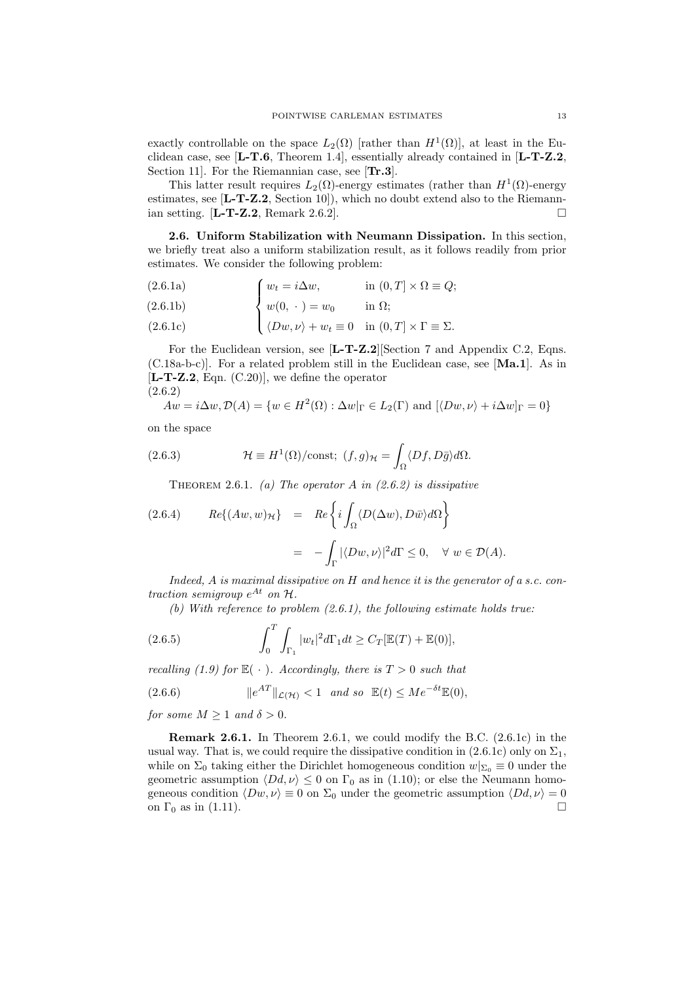exactly controllable on the space  $L_2(\Omega)$  [rather than  $H^1(\Omega)$ ], at least in the Euclidean case, see  $[L-T.6,$  Theorem 1.4, essentially already contained in  $[L-T-Z.2,$ Section 11]. For the Riemannian case, see [Tr.3].

This latter result requires  $L_2(\Omega)$ -energy estimates (rather than  $H^1(\Omega)$ -energy estimates, see  $[L-T-Z.2, Section 10]$ , which no doubt extend also to the Riemannian setting.  $[\mathbf{L}\text{-}\mathbf{T}\text{-}\mathbf{Z}\text{-}\mathbf{Z}\text{-}\mathbf{R}\text{-}\mathbf{R}\text{-}\mathbf{R}\text{-}\mathbf{Z}\text{-}\mathbf{Z}\text{-}\mathbf{R}\text{-}\mathbf{R}\text{-}\mathbf{R}\text{-}\mathbf{R}\text{-}\mathbf{R}\text{-}\mathbf{R}\text{-}\mathbf{R}\text{-}\mathbf{R}\text{-}\mathbf{R}\text{-}\mathbf{R}\text{-}\mathbf{R}\text{-}\mathbf{R}\text{-}\mathbf{R}\text{-}\mathbf{R}\text{-}\mathbf{R}\text{-}\mathbf{R}\text{-}\mathbf{R}\text{-$ 

2.6. Uniform Stabilization with Neumann Dissipation. In this section, we briefly treat also a uniform stabilization result, as it follows readily from prior estimates. We consider the following problem:

(2.6.1a) 
$$
\int w_t = i \Delta w, \qquad \text{in } (0, T] \times \Omega \equiv Q;
$$

$$
(2.6.1b) \qquad \qquad \left\{ w(0, \cdot \right) = w_0 \qquad \text{in } \Omega;
$$

(2.6.1c) 
$$
\langle Dw, \nu \rangle + w_t \equiv 0 \quad \text{in } (0, T] \times \Gamma \equiv \Sigma.
$$

For the Euclidean version, see [L-T-Z.2][Section 7 and Appendix C.2, Eqns. (C.18a-b-c)]. For a related problem still in the Euclidean case, see [Ma.1]. As in  $[L-T-Z.2, Eqn. (C.20)],$  we define the operator (2.6.2)

$$
Aw = i\Delta w, \mathcal{D}(A) = \{w \in H^2(\Omega) : \Delta w|_{\Gamma} \in L_2(\Gamma) \text{ and } [\langle Dw, \nu \rangle + i\Delta w]_{\Gamma} = 0\}
$$

on the space

(2.6.3) 
$$
\mathcal{H} \equiv H^{1}(\Omega)/\text{const}; \ (f,g)_{\mathcal{H}} = \int_{\Omega} \langle Df, D\bar{g} \rangle d\Omega.
$$

THEOREM 2.6.1. (a) The operator A in  $(2.6.2)$  is dissipative

(2.6.4) 
$$
Re\{(Aw, w)_{\mathcal{H}}\} = Re\{\{i\int_{\Omega}\langle D(\Delta w), D\bar{w}\rangle d\Omega\}\}
$$

$$
= -\int_{\Gamma} |\langle Dw, \nu\rangle|^2 d\Gamma \le 0, \quad \forall \ w \in \mathcal{D}(A).
$$

Indeed,  $A$  is maximal dissipative on  $H$  and hence it is the generator of a s.c. contraction semigroup  $e^{At}$  on  $H$ .

(b) With reference to problem  $(2.6.1)$ , the following estimate holds true:

(2.6.5) 
$$
\int_0^T \int_{\Gamma_1} |w_t|^2 d\Gamma_1 dt \geq C_T [\mathbb{E}(T) + \mathbb{E}(0)],
$$

recalling (1.9) for  $\mathbb{E}(\cdot)$ . Accordingly, there is  $T > 0$  such that

(2.6.6) 
$$
\|e^{AT}\|_{\mathcal{L}(\mathcal{H})} < 1 \quad \text{and so} \quad \mathbb{E}(t) \leq Me^{-\delta t}\mathbb{E}(0),
$$

for some  $M \geq 1$  and  $\delta > 0$ .

Remark 2.6.1. In Theorem 2.6.1, we could modify the B.C. (2.6.1c) in the usual way. That is, we could require the dissipative condition in  $(2.6.1c)$  only on  $\Sigma_1$ , while on  $\Sigma_0$  taking either the Dirichlet homogeneous condition  $w|_{\Sigma_0} \equiv 0$  under the geometric assumption  $\langle Dd, \nu \rangle \leq 0$  on  $\Gamma_0$  as in (1.10); or else the Neumann homogeneous condition  $\langle Dw, \nu \rangle \equiv 0$  on  $\Sigma_0$  under the geometric assumption  $\langle Dd, \nu \rangle = 0$ on  $\Gamma_0$  as in (1.11).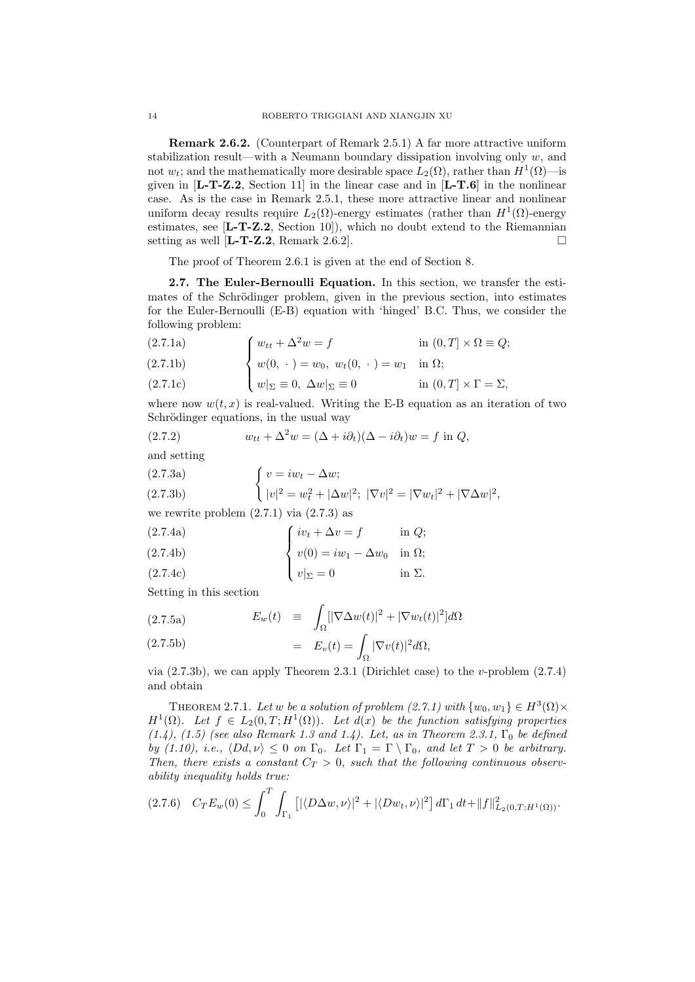Remark 2.6.2. (Counterpart of Remark 2.5.1) A far more attractive uniform stabilization result—with a Neumann boundary dissipation involving only  $w$ , and not  $w_t$ ; and the mathematically more desirable space  $L_2(\Omega)$ , rather than  $H^1(\Omega)$ —is given in [L-T-Z.2, Section 11] in the linear case and in [L-T.6] in the nonlinear case. As is the case in Remark 2.5.1, these more attractive linear and nonlinear uniform decay results require  $L_2(\Omega)$ -energy estimates (rather than  $H^1(\Omega)$ -energy estimates, see [L-T-Z.2, Section 10]), which no doubt extend to the Riemannian setting as well [**L-T-Z.2**, Remark 2.6.2].

The proof of Theorem 2.6.1 is given at the end of Section 8.

2.7. The Euler-Bernoulli Equation. In this section, we transfer the estimates of the Schrödinger problem, given in the previous section, into estimates for the Euler-Bernoulli (E-B) equation with 'hinged' B.C. Thus, we consider the following problem:

(2.7.1a) 
$$
\int w_{tt} + \Delta^2 w = f \qquad \text{in } (0, T] \times \Omega \equiv Q;
$$

(2.7.1b) 
$$
\begin{cases} w_{tt} = w_0, & w_t(0, \cdot) = w_1 \text{ in } \Omega; \\ w(0, \cdot) = w_0, & w_t(0, \cdot) = w_1 \text{ in } \Omega; \end{cases}
$$

(2.7.1c) 
$$
w|_{\Sigma} \equiv 0, \ \Delta w|_{\Sigma} \equiv 0 \qquad \text{in } (0, T] \times \Gamma = \Sigma,
$$

where now  $w(t, x)$  is real-valued. Writing the E-B equation as an iteration of two Schrödinger equations, in the usual way

(2.7.2) 
$$
w_{tt} + \Delta^2 w = (\Delta + i\partial_t)(\Delta - i\partial_t)w = f \text{ in } Q,
$$

and setting

(2.7.3a)  
\n
$$
\begin{cases}\nv = iw_t - \Delta w; \\
|v|^2 = w_t^2 + |\Delta w|^2; \\
|\nabla v|^2 = |\nabla w_t|^2 + |\nabla \Delta w|^2,\n\end{cases}
$$

we rewrite problem  $(2.7.1)$  via  $(2.7.3)$  as

(2.7.4a) iv<sup>t</sup> + ∆v = f in Q;

(2.7.4b) 
$$
\begin{cases}\nv(t) = w_1 - \Delta w_0 & \text{in } \Omega; \\
v(0) = iw_1 - \Delta w_0 & \text{in } \Omega;\n\end{cases}
$$

$$
(2.7.4c) \t\t\t v|_{\Sigma} = 0 \t\t\t in \Sigma.
$$

Setting in this section

(2.7.5a) 
$$
E_w(t) \equiv \int_{\Omega} [|\nabla \Delta w(t)|^2 + |\nabla w_t(t)|^2] d\Omega
$$

(2.7.5b) 
$$
= E_v(t) = \int_{\Omega} |\nabla v(t)|^2 d\Omega,
$$

via  $(2.7.3b)$ , we can apply Theorem 2.3.1 (Dirichlet case) to the v-problem  $(2.7.4)$ and obtain

THEOREM 2.7.1. Let w be a solution of problem (2.7.1) with  $\{w_0, w_1\} \in H^3(\Omega) \times$  $H^1(\Omega)$ . Let  $f \in L_2(0,T;H^1(\Omega))$ . Let  $d(x)$  be the function satisfying properties  $(1.4)$ ,  $(1.5)$  (see also Remark 1.3 and 1.4). Let, as in Theorem 2.3.1,  $\Gamma_0$  be defined by (1.10), i.e.,  $\langle Dd, \nu \rangle \leq 0$  on  $\Gamma_0$ . Let  $\Gamma_1 = \Gamma \setminus \Gamma_0$ , and let  $T > 0$  be arbitrary. Then, there exists a constant  $C_T > 0$ , such that the following continuous observability inequality holds true:

$$
(2.7.6) \quad C_T E_w(0) \le \int_0^T \int_{\Gamma_1} \left[ |\langle D\Delta w, \nu \rangle|^2 + |\langle Dw_t, \nu \rangle|^2 \right] d\Gamma_1 dt + ||f||^2_{L_2(0,T;H^1(\Omega))}.
$$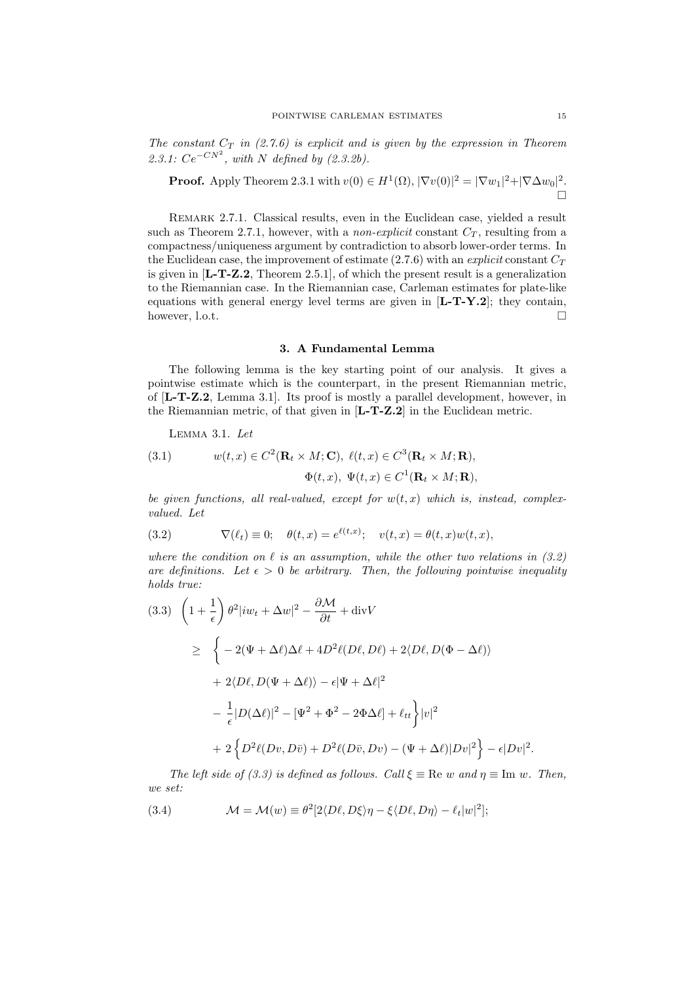The constant  $C_T$  in (2.7.6) is explicit and is given by the expression in Theorem 2.3.1:  $Ce^{-CN^2}$ , with N defined by (2.3.2b).

**Proof.** Apply Theorem 2.3.1 with 
$$
v(0) \in H^1(\Omega)
$$
,  $|\nabla v(0)|^2 = |\nabla w_1|^2 + |\nabla \Delta w_0|^2$ .

Remark 2.7.1. Classical results, even in the Euclidean case, yielded a result such as Theorem 2.7.1, however, with a *non-explicit* constant  $C_T$ , resulting from a compactness/uniqueness argument by contradiction to absorb lower-order terms. In the Euclidean case, the improvement of estimate  $(2.7.6)$  with an explicit constant  $C_T$ is given in  $[\mathbf{L}\text{-}\mathbf{T}\text{-}\mathbf{Z}\text{-}\mathbf{2}, \mathbf{T}$  Theorem 2.5.1], of which the present result is a generalization to the Riemannian case. In the Riemannian case, Carleman estimates for plate-like equations with general energy level terms are given in  $[L-T-Y.2]$ ; they contain, however, l.o.t.  $\square$ 

#### 3. A Fundamental Lemma

The following lemma is the key starting point of our analysis. It gives a pointwise estimate which is the counterpart, in the present Riemannian metric, of [L-T-Z.2, Lemma 3.1]. Its proof is mostly a parallel development, however, in the Riemannian metric, of that given in [L-T-Z.2] in the Euclidean metric.

Lemma 3.1. Let

(3.1) 
$$
w(t,x) \in C^2(\mathbf{R}_t \times M; \mathbf{C}), \ \ell(t,x) \in C^3(\mathbf{R}_t \times M; \mathbf{R}),
$$

$$
\Phi(t,x), \ \Psi(t,x) \in C^1(\mathbf{R}_t \times M; \mathbf{R}),
$$

be given functions, all real-valued, except for  $w(t, x)$  which is, instead, complexvalued. Let

(3.2) 
$$
\nabla(\ell_t) \equiv 0; \quad \theta(t,x) = e^{\ell(t,x)}; \quad v(t,x) = \theta(t,x)w(t,x),
$$

where the condition on  $\ell$  is an assumption, while the other two relations in (3.2) are definitions. Let  $\epsilon > 0$  be arbitrary. Then, the following pointwise inequality holds true:

$$
(3.3) \quad \left(1 + \frac{1}{\epsilon}\right) \theta^2 |iw_t + \Delta w|^2 - \frac{\partial \mathcal{M}}{\partial t} + \text{div}V
$$
\n
$$
\geq \quad \left\{-2(\Psi + \Delta \ell)\Delta \ell + 4D^2 \ell (D\ell, D\ell) + 2\langle D\ell, D(\Phi - \Delta \ell)\rangle \right.
$$
\n
$$
+ 2\langle D\ell, D(\Psi + \Delta \ell)\rangle - \epsilon |\Psi + \Delta \ell|^2
$$
\n
$$
- \frac{1}{\epsilon} |D(\Delta \ell)|^2 - [\Psi^2 + \Phi^2 - 2\Phi \Delta \ell] + \ell_{tt} \right\} |v|^2
$$
\n
$$
+ 2\left\{D^2 \ell (Dv, D\bar{v}) + D^2 \ell (D\bar{v}, Dv) - (\Psi + \Delta \ell)|Dv|^2\right\} - \epsilon |Dv|^2.
$$

The left side of (3.3) is defined as follows. Call  $\xi \equiv \text{Re } w$  and  $\eta \equiv \text{Im } w$ . Then, we set:

(3.4) 
$$
\mathcal{M} = \mathcal{M}(w) \equiv \theta^2 [2 \langle D\ell, D\xi \rangle \eta - \xi \langle D\ell, D\eta \rangle - \ell_t |w|^2];
$$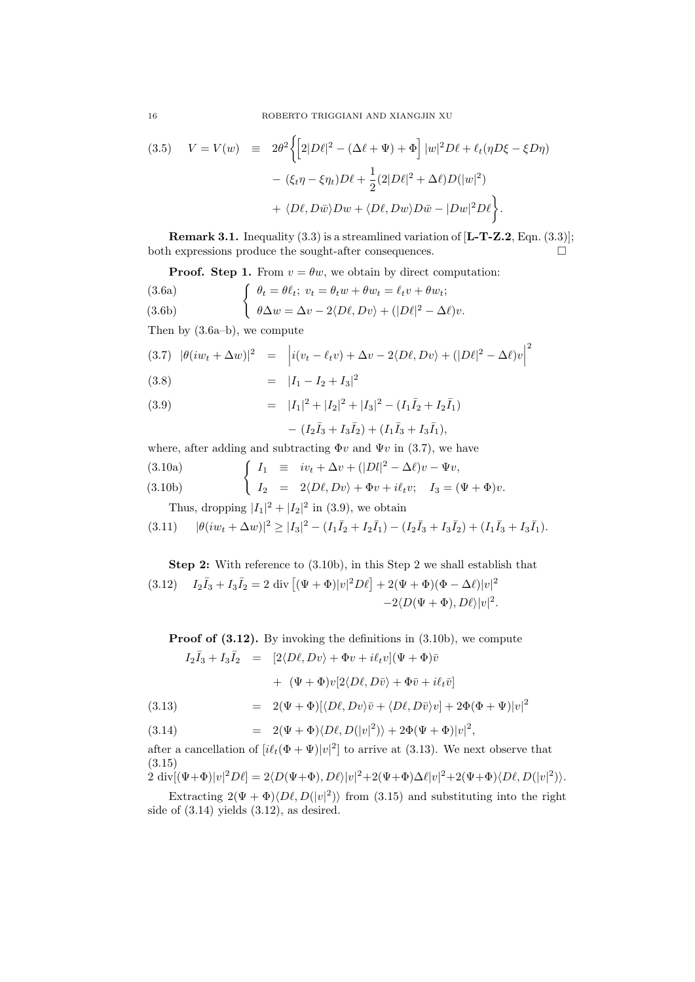(3.5) 
$$
V = V(w) \equiv 2\theta^2 \left\{ \left[ 2|D\ell|^2 - (\Delta\ell + \Psi) + \Phi \right] |w|^2 D\ell + \ell_t (\eta D\xi - \xi D\eta) - (\xi_t \eta - \xi \eta_t) D\ell + \frac{1}{2} (2|D\ell|^2 + \Delta\ell) D(|w|^2) + \langle D\ell, D\bar{w} \rangle Dw + \langle D\ell, Dw \rangle D\bar{w} - |Dw|^2 D\ell \right\}.
$$

**Remark 3.1.** Inequality  $(3.3)$  is a streamlined variation of  $[L-T-Z.2, \text{Eqn. } (3.3)]$ ; both expressions produce the sought-after consequences.  $\Box$ 

**Proof.** Step 1. From 
$$
v = \theta w
$$
, we obtain by direct computation:

(3.6a)  
\n
$$
\begin{cases}\n\theta_t = \theta \ell_t; \ v_t = \theta_t w + \theta w_t = \ell_t v + \theta w_t; \\
\theta \Delta w = \Delta v - 2 \langle D\ell, Dv \rangle + (|D\ell|^2 - \Delta \ell)v.\n\end{cases}
$$

Then by (3.6a–b), we compute

$$
(3.7) \ |\theta(iw_t + \Delta w)|^2 = \left| i(v_t - \ell_t v) + \Delta v - 2\langle D\ell, Dv \rangle + (|D\ell|^2 - \Delta \ell) v \right|^2
$$

= |I<sup>1</sup> − I<sup>2</sup> + I3| (3.8)

(3.9) 
$$
= |I_1|^2 + |I_2|^2 + |I_3|^2 - (I_1\bar{I}_2 + I_2\bar{I}_1)
$$

$$
- (I_2\bar{I}_3 + I_3\bar{I}_2) + (I_1\bar{I}_3 + I_3\bar{I}_1),
$$

where, after adding and subtracting  $\Phi v$  and  $\Psi v$  in (3.7), we have

(3.10a)  
\n
$$
\begin{cases}\nI_1 \equiv iv_t + \Delta v + (|Dl|^2 - \Delta \ell)v - \Psi v, \\
I_2 = 2\langle D\ell, Dv \rangle + \Phi v + i\ell_t v; \quad I_3 = (\Psi + \Phi)v.\n\end{cases}
$$

Thus, dropping  $|I_1|^2 + |I_2|^2$  in (3.9), we obtain

$$
(3.11) \qquad |\theta(iw_t + \Delta w)|^2 \geq |I_3|^2 - (I_1\overline{I}_2 + I_2\overline{I}_1) - (I_2\overline{I}_3 + I_3\overline{I}_2) + (I_1\overline{I}_3 + I_3\overline{I}_1).
$$

Step 2: With reference to (3.10b), in this Step 2 we shall establish that (3.12)  $I_2\bar{I}_3 + I_3\bar{I}_2 = 2 \text{ div } [(\Psi + \Phi)|v|^2 D\ell] + 2(\Psi + \Phi)(\Phi - \Delta\ell)|v|^2$  $-2\langle D(\Psi + \Phi), D\ell \rangle |v|^2$ .

Proof of  $(3.12)$ . By invoking the definitions in  $(3.10b)$ , we compute  $I_2\bar{I}_3 + I_3\bar{I}_2 = [2\langle D\ell, Dv \rangle + \Phi v + i\ell_t v](\Psi + \Phi)\bar{v}$ 

+ 
$$
(\Psi + \Phi)v[2\langle D\ell, D\bar{v}\rangle + \Phi\bar{v} + i\ell_t\bar{v}]
$$

(3.13) = 
$$
2(\Psi + \Phi)[\langle D\ell, Dv \rangle \bar{v} + \langle D\ell, D\bar{v} \rangle v] + 2\Phi(\Phi + \Psi)|v|^2
$$

$$
(3.14) \qquad = \quad 2(\Psi + \Phi) \langle D\ell, D(|v|^2) \rangle + 2\Phi(\Psi + \Phi)|v|^2,
$$

after a cancellation of  $[i\ell_t(\Phi + \Psi)|v|^2]$  to arrive at (3.13). We next observe that (3.15)

$$
2 \operatorname{div}[(\Psi + \Phi)|v|^2 D\ell] = 2\langle D(\Psi + \Phi), D\ell \rangle |v|^2 + 2(\Psi + \Phi)\Delta\ell |v|^2 + 2(\Psi + \Phi)\langle D\ell, D(|v|^2) \rangle.
$$

Extracting  $2(\Psi + \Phi) \langle D\ell, D(|v|^2) \rangle$  from (3.15) and substituting into the right side of (3.14) yields (3.12), as desired.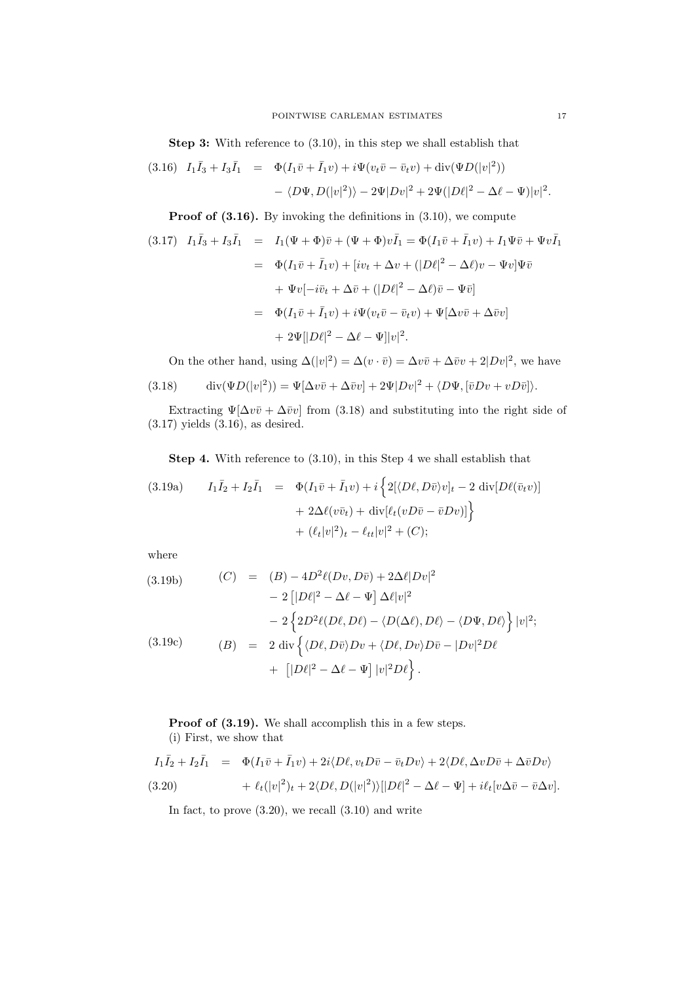Step 3: With reference to (3.10), in this step we shall establish that

(3.16) 
$$
I_1\bar{I}_3 + I_3\bar{I}_1 = \Phi(I_1\bar{v} + \bar{I}_1v) + i\Psi(v_t\bar{v} - \bar{v}_tv) + \text{div}(\Psi D(|v|^2))
$$
  
-  $\langle D\Psi, D(|v|^2) \rangle - 2\Psi|Dv|^2 + 2\Psi(|D\ell|^2 - \Delta\ell - \Psi)|v|^2$ .

Proof of  $(3.16)$ . By invoking the definitions in  $(3.10)$ , we compute

$$
(3.17) \quad I_1\bar{I}_3 + I_3\bar{I}_1 = I_1(\Psi + \Phi)\bar{v} + (\Psi + \Phi)v\bar{I}_1 = \Phi(I_1\bar{v} + \bar{I}_1v) + I_1\Psi\bar{v} + \Psi v\bar{I}_1
$$

$$
= \Phi(I_1\bar{v} + \bar{I}_1v) + [iv_t + \Delta v + (|D\ell|^2 - \Delta\ell)v - \Psi v]\Psi\bar{v}
$$

$$
+ \Psi v[-i\bar{v}_t + \Delta\bar{v} + (|D\ell|^2 - \Delta\ell)\bar{v} - \Psi\bar{v}]
$$

$$
= \Phi(I_1\bar{v} + \bar{I}_1v) + i\Psi(v_t\bar{v} - \bar{v}_tv) + \Psi[\Delta v\bar{v} + \Delta\bar{v}v]
$$

$$
+ 2\Psi[|D\ell|^2 - \Delta\ell - \Psi]|v|^2.
$$

On the other hand, using  $\Delta(|v|^2) = \Delta(v \cdot \bar{v}) = \Delta v \bar{v} + \Delta \bar{v}v + 2|Dv|^2$ , we have

(3.18) 
$$
\operatorname{div}(\Psi D(|v|^2)) = \Psi[\Delta v\overline{v} + \Delta \overline{v}v] + 2\Psi|Dv|^2 + \langle D\Psi, [\overline{v}Dv + vD\overline{v}]\rangle.
$$

Extracting  $\Psi[\Delta v\bar{v} + \Delta \bar{v}v]$  from (3.18) and substituting into the right side of (3.17) yields (3.16), as desired.

Step 4. With reference to (3.10), in this Step 4 we shall establish that

(3.19a) 
$$
I_1\bar{I}_2 + I_2\bar{I}_1 = \Phi(I_1\bar{v} + \bar{I}_1v) + i\{2[\langle D\ell, D\bar{v}\rangle v]_t - 2 \operatorname{div}[D\ell(\bar{v}_t v)] + 2\Delta\ell(v\bar{v}_t) + \operatorname{div}[\ell_t(vD\bar{v} - \bar{v}Dv)]\} + (\ell_t|v|^2)_t - \ell_{tt}|v|^2 + (C);
$$

where

(3.19b) 
$$
(C) = (B) - 4D^2 \ell(Dv, D\bar{v}) + 2\Delta \ell |Dv|^2
$$

$$
- 2 [|D\ell|^2 - \Delta \ell - \Psi] \Delta \ell |v|^2
$$

$$
- 2 \left\{ 2D^2 \ell(D\ell, D\ell) - \langle D(\Delta \ell), D\ell \rangle - \langle D\Psi, D\ell \rangle \right\} |v|^2;
$$
  
(3.19c) 
$$
(B) = 2 \operatorname{div} \left\{ \langle D\ell, D\bar{v} \rangle Dv + \langle D\ell, Dv \rangle D\bar{v} - |Dv|^2 D\ell \right\}
$$

$$
+ [|D\ell|^2 - \Delta \ell - \Psi] |v|^2 D\ell \}.
$$

Proof of  $(3.19)$ . We shall accomplish this in a few steps. (i) First, we show that

(3.20) 
$$
I_1\overline{I}_2 + I_2\overline{I}_1 = \Phi(I_1\overline{v} + \overline{I}_1v) + 2i\langle D\ell, v_t D\overline{v} - \overline{v}_t Dv \rangle + 2\langle D\ell, \Delta v D\overline{v} + \Delta \overline{v}Dv \rangle + \ell_t(|v|^2)_t + 2\langle D\ell, D(|v|^2)\rangle[|D\ell|^2 - \Delta \ell - \Psi] + i\ell_t[v\Delta \overline{v} - \overline{v}\Delta v].
$$

In fact, to prove  $(3.20)$ , we recall  $(3.10)$  and write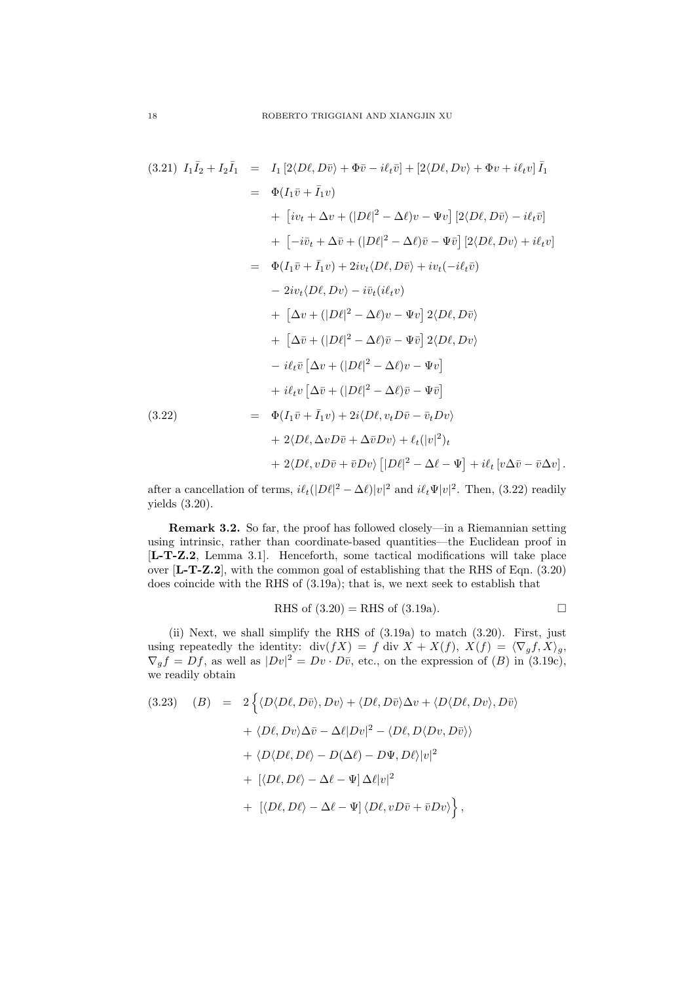$$
(3.21) I_1\overline{I_2} + I_2\overline{I_1} = I_1 [2\langle D\ell, D\overline{v} \rangle + \Phi\overline{v} - i\ell_t\overline{v}] + [2\langle D\ell, Dv \rangle + \Phi v + i\ell_t v] \overline{I_1}
$$
  
\n
$$
= \Phi(I_1\overline{v} + \overline{I_1}v)
$$
  
\n
$$
+ [iv_t + \Delta v + (|D\ell|^2 - \Delta\ell)v - \Psi v] [2\langle D\ell, D\overline{v} \rangle - i\ell_t\overline{v}]
$$
  
\n
$$
+ [-i\overline{v}_t + \Delta\overline{v} + (|D\ell|^2 - \Delta\ell)\overline{v} - \Psi\overline{v}] [2\langle D\ell, Dv \rangle + i\ell_t v]
$$
  
\n
$$
= \Phi(I_1\overline{v} + \overline{I_1}v) + 2iv_t\langle D\ell, D\overline{v} \rangle + iv_t(-i\ell_t\overline{v})
$$
  
\n
$$
- 2iv_t\langle D\ell, Dv \rangle - i\overline{v}_t(i\ell_t v)
$$
  
\n
$$
+ [\Delta v + (|D\ell|^2 - \Delta\ell)v - \Psi v] 2\langle D\ell, D\overline{v} \rangle
$$
  
\n
$$
+ i\ell_t\overline{v} [\Delta v + (|D\ell|^2 - \Delta\ell)\overline{v} - \Psi\overline{v}]
$$
  
\n
$$
+ i\ell_t v [\Delta\overline{v} + (|D\ell|^2 - \Delta\ell)\overline{v} - \Psi\overline{v}]
$$
  
\n
$$
+ i\ell_t v [\Delta\overline{v} + (|D\ell|^2 - \Delta\ell)\overline{v} - \overline{v}_t Dv \rangle
$$
  
\n
$$
+ 2\langle D\ell, \Delta v D\overline{v} + \Delta\overline{v} Dv \rangle + \ell_t(|v|^2)_t
$$
  
\n
$$
+ 2\langle D\ell, v D\overline{v} + \overline{v} Dv \rangle [|D\ell|^2 - \Delta\ell - \Psi] + i\ell_t [v\Delta\overline{v} - \overline{v}\Delta v].
$$

after a cancellation of terms,  $i\ell_t(|D\ell|^2 - \Delta\ell)|v|^2$  and  $i\ell_t\Psi|v|^2$ . Then, (3.22) readily yields (3.20).

Remark 3.2. So far, the proof has followed closely—in a Riemannian setting using intrinsic, rather than coordinate-based quantities—the Euclidean proof in [L-T-Z.2, Lemma 3.1]. Henceforth, some tactical modifications will take place over [L-T-Z.2], with the common goal of establishing that the RHS of Eqn. (3.20) does coincide with the RHS of (3.19a); that is, we next seek to establish that

RHS of 
$$
(3.20)
$$
 = RHS of  $(3.19a)$ .

(ii) Next, we shall simplify the RHS of (3.19a) to match (3.20). First, just using repeatedly the identity:  $\text{div}(fX) = f \text{div } X + X(f), X(f) = \langle \nabla_g f, X \rangle_g,$  $\nabla_g f = Df$ , as well as  $|Dv|^2 = Dv \cdot D\overline{v}$ , etc., on the expression of  $(B)$  in  $(3.19c)$ , we readily obtain

(3.23) 
$$
(B) = 2\left\{\langle D\langle D\ell, D\bar{v}\rangle, Dv\rangle + \langle D\ell, D\bar{v}\rangle \Delta v + \langle D\langle D\ell, Dv\rangle, D\bar{v}\rangle \right.\left. + \langle D\ell, Dv\rangle \Delta \bar{v} - \Delta\ell |Dv|^2 - \langle D\ell, D\langle Dv, D\bar{v}\rangle \rangle \right.\left. + \langle D\langle D\ell, D\ell\rangle - D(\Delta\ell) - D\Psi, D\ell\rangle |v|^2 \right.\left. + \left[ \langle D\ell, D\ell\rangle - \Delta\ell - \Psi \right] \Delta\ell |v|^2 \right.\left. + \left[ \langle D\ell, D\ell\rangle - \Delta\ell - \Psi \right] \langle D\ell, vD\bar{v} + \bar{v}Dv\rangle \right\},
$$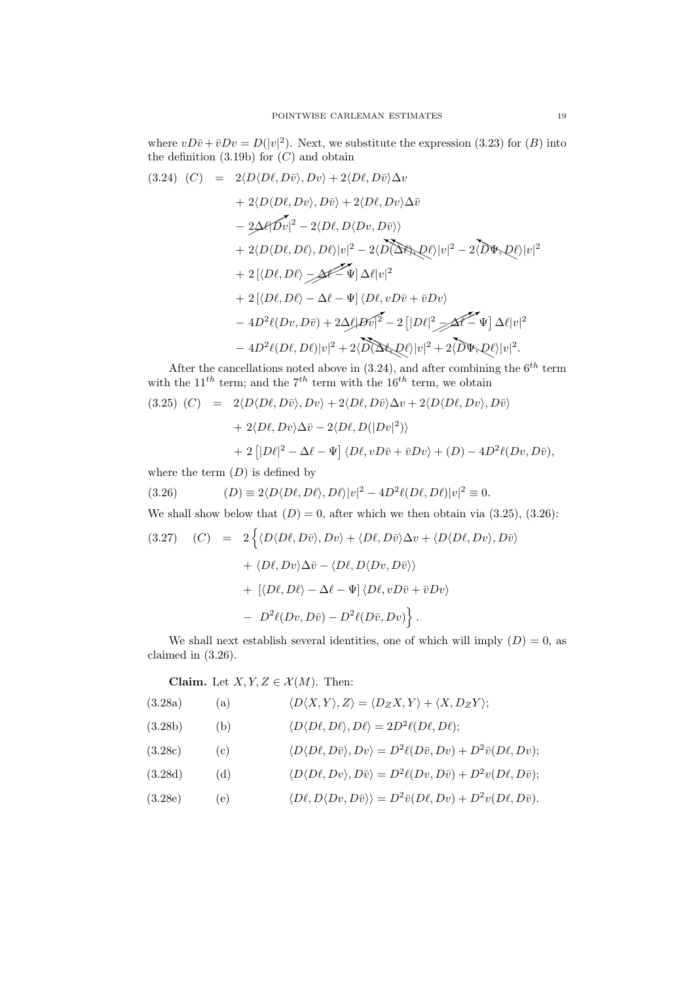where  $vD\bar{v} + \bar{v}Dv = D(|v|^2)$ . Next, we substitute the expression (3.23) for (B) into the definition  $(3.19b)$  for  $(C)$  and obtain

$$
(3.24) (C) = 2\langle D\langle D\ell, D\bar{v}\rangle, Dv\rangle + 2\langle D\ell, D\bar{v}\rangle \Delta v + 2\langle D\langle D\ell, Dv\rangle, D\bar{v}\rangle + 2\langle D\ell, Dv\rangle \Delta \bar{v} - 2\Delta \ell |\mathcal{D}v|^2 - 2\langle D\ell, D\langle Dv, D\bar{v}\rangle\rangle + 2\langle D\langle D\ell, D\ell\rangle, D\ell\rangle |v|^2 - 2\langle D\langle D\ell, D\ell\rangle |v|^2 - 2\langle D\Phi, D\ell\rangle |v|^2 + 2[\langle D\ell, D\ell\rangle - \Delta \ell - \Psi] \Delta \ell |v|^2 + 2[\langle D\ell, D\ell\rangle - \Delta \ell - \Psi] \langle D\ell, vD\bar{v} + \bar{v}Dv\rangle - 4D^2\ell(Dv, D\bar{v}) + 2\Delta \ell |Dv|^2 - 2[|D\ell|^2 \angle \Delta \ell - \Psi] \Delta \ell |v|^2 - 4D^2\ell(D\ell, D\ell)|v|^2 + 2\langle D\langle D\ell, D\ell\rangle |v|^2 + 2\langle D\Phi, D\ell\rangle |v|^2.
$$

After the cancellations noted above in  $(3.24)$ , and after combining the  $6<sup>th</sup>$  term with the  $11^{th}$  term; and the  $7^{th}$  term with the  $16^{th}$  term, we obtain

(3.25) 
$$
(C) = 2\langle D\langle D\ell, D\bar{v}\rangle, Dv\rangle + 2\langle D\ell, D\bar{v}\rangle \Delta v + 2\langle D\langle D\ell, Dv\rangle, D\bar{v}\rangle + 2\langle D\ell, Dv\rangle \Delta \bar{v} - 2\langle D\ell, D(|Dv|^2)\rangle + 2\left[|D\ell|^2 - \Delta\ell - \Psi\right] \langle D\ell, vD\bar{v} + \bar{v}Dv\rangle + (D) - 4D^2\ell(Dv, D\bar{v}),
$$

where the term  $(D)$  is defined by

(3.26) 
$$
(D) \equiv 2\langle D\langle D\ell, D\ell \rangle, D\ell \rangle |v|^2 - 4D^2 \ell (D\ell, D\ell) |v|^2 \equiv 0.
$$

We shall show below that  $(D) = 0$ , after which we then obtain via  $(3.25)$ ,  $(3.26)$ :

(3.27) 
$$
(C) = 2 \left\{ \langle D \langle D\ell, D\bar{v} \rangle, Dv \rangle + \langle D\ell, D\bar{v} \rangle \Delta v + \langle D \langle D\ell, Dv \rangle, D\bar{v} \rangle + \langle D\ell, Dv \rangle \Delta \bar{v} - \langle D\ell, D \langle Dv, D\bar{v} \rangle \rangle + \left[ \langle D\ell, D\ell \rangle - \Delta \ell - \Psi \right] \langle D\ell, v D\bar{v} + \bar{v} Dv \rangle - D^2 \ell (Dv, D\bar{v}) - D^2 \ell (D\bar{v}, Dv) \right\}.
$$

We shall next establish several identities, one of which will imply  $(D) = 0$ , as claimed in (3.26).

Claim. Let  $X, Y, Z \in \mathcal{X}(M)$ . Then:

(3.28a) (a) 
$$
\langle D\langle X,Y\rangle, Z\rangle = \langle D_Z X, Y\rangle + \langle X, D_Z Y\rangle;
$$

(3.28b) (b) 
$$
\langle D\langle D\ell, D\ell \rangle, D\ell \rangle = 2D^2\ell(D\ell, D\ell);
$$

(3.28c) (c) 
$$
\langle D\langle D\ell, D\bar{v}\rangle, Dv\rangle = D^2\ell(D\bar{v}, Dv) + D^2\bar{v}(D\ell, Dv);
$$

(3.28d) (d) 
$$
\langle D\langle D\ell, Dv\rangle, D\overline{v}\rangle = D^2\ell(Dv, D\overline{v}) + D^2v(D\ell, D\overline{v});
$$

(3.28e) (e) 
$$
\langle D\ell, D\langle Dv, D\bar{v}\rangle\rangle = D^2 \bar{v}(D\ell, Dv) + D^2 v(D\ell, D\bar{v}).
$$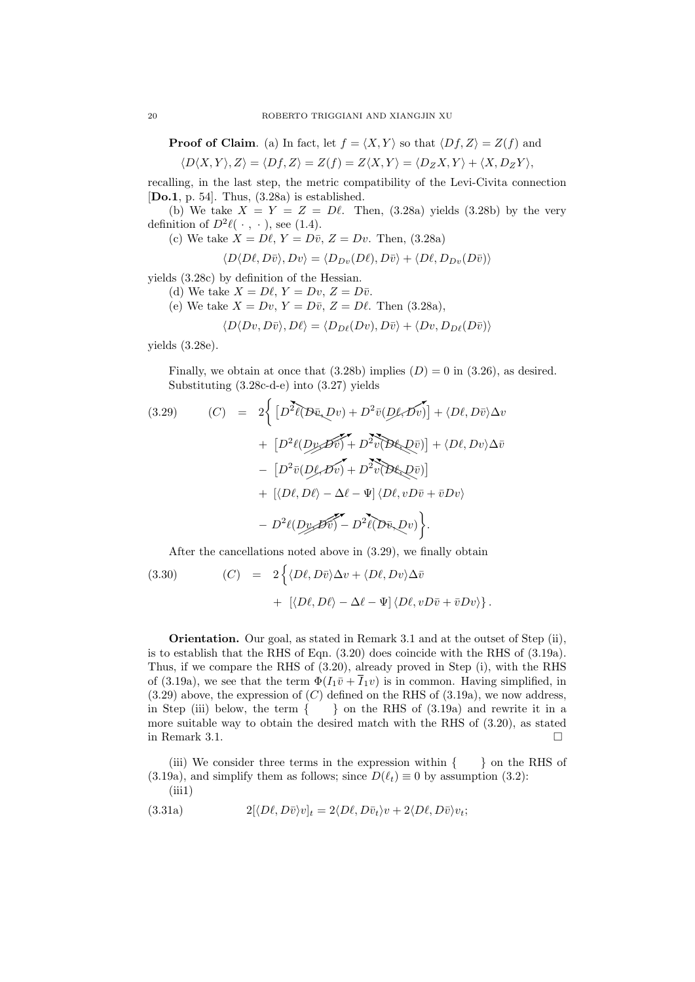**Proof of Claim.** (a) In fact, let  $f = \langle X, Y \rangle$  so that  $\langle Df, Z \rangle = Z(f)$  and

$$
\langle D\langle X,Y\rangle,Z\rangle=\langle Df,Z\rangle=Z(f)=Z\langle X,Y\rangle=\langle D_ZX,Y\rangle+\langle X,D_ZY\rangle,
$$

recalling, in the last step, the metric compatibility of the Levi-Civita connection [Do.1, p. 54]. Thus,  $(3.28a)$  is established.

(b) We take  $X = Y = Z = D\ell$ . Then, (3.28a) yields (3.28b) by the very definition of  $D^2\ell(\cdot, \cdot)$ , see (1.4).

(c) We take  $X = D\ell$ ,  $Y = D\bar{v}$ ,  $Z = Dv$ . Then, (3.28a)

$$
\langle D\langle D\ell, D\bar{v}\rangle, Dv\rangle = \langle D_{Dv}(D\ell), D\bar{v}\rangle + \langle D\ell, D_{Dv}(D\bar{v})\rangle
$$

yields (3.28c) by definition of the Hessian.

- (d) We take  $X = D\ell, Y = Dv, Z = D\bar{v}$ .
- (e) We take  $X = Dv$ ,  $Y = D\bar{v}$ ,  $Z = D\ell$ . Then (3.28a),

$$
\langle D\langle Dv, D\bar{v}\rangle, D\ell\rangle = \langle D_{D\ell}(Dv), D\bar{v}\rangle + \langle Dv, D_{D\ell}(D\bar{v})\rangle
$$

yields (3.28e).

Finally, we obtain at once that  $(3.28b)$  implies  $(D) = 0$  in  $(3.26)$ , as desired. Substituting (3.28c-d-e) into (3.27) yields

(3.29) 
$$
(C) = 2\Big\{ \left[ D^2 \ell (D \bar{v}, D v) + D^2 \bar{v} (D \ell, D \bar{v}) \right] + \langle D \ell, D \bar{v} \rangle \Delta v + \left[ D^2 \ell (D \ell, D \bar{v}) + D^2 \bar{v} (D \ell, D \bar{v}) \right] + \langle D \ell, D v \rangle \Delta \bar{v} - \left[ D^2 \bar{v} (D \ell, D \bar{v}) + D^2 \bar{v} (D \ell, D \bar{v}) \right] + \left[ \langle D \ell, D \ell \rangle - \Delta \ell - \Psi \right] \langle D \ell, v D \bar{v} + \bar{v} D v \rangle - D^2 \ell (D \ell, D \bar{v}) - D^2 \ell (D \bar{v}, D v) \Big\}.
$$

After the cancellations noted above in (3.29), we finally obtain

(3.30) 
$$
(C) = 2 \left\{ \langle D\ell, D\bar{v} \rangle \Delta v + \langle D\ell, Dv \rangle \Delta \bar{v} + \left[ \langle D\ell, D\ell \rangle - \Delta \ell - \Psi \right] \langle D\ell, v D\bar{v} + \bar{v} Dv \rangle \right\}.
$$

Orientation. Our goal, as stated in Remark 3.1 and at the outset of Step (ii), is to establish that the RHS of Eqn. (3.20) does coincide with the RHS of (3.19a). Thus, if we compare the RHS of (3.20), already proved in Step (i), with the RHS of (3.19a), we see that the term  $\Phi(I_1\bar{v}+\bar{I}_1v)$  is in common. Having simplified, in  $(3.29)$  above, the expression of  $(C)$  defined on the RHS of  $(3.19a)$ , we now address, in Step (iii) below, the term  $\{\}$  on the RHS of (3.19a) and rewrite it in a more suitable way to obtain the desired match with the RHS of (3.20), as stated in Remark 3.1.  $\Box$ 

(iii) We consider three terms in the expression within  $\{ \}$  on the RHS of (3.19a), and simplify them as follows; since  $D(\ell_t) \equiv 0$  by assumption (3.2):  $(iii1)$ 

(3.31a) 
$$
2[\langle D\ell, D\bar{v}\rangle v]_t = 2\langle D\ell, D\bar{v}_t\rangle v + 2\langle D\ell, D\bar{v}\rangle v_t;
$$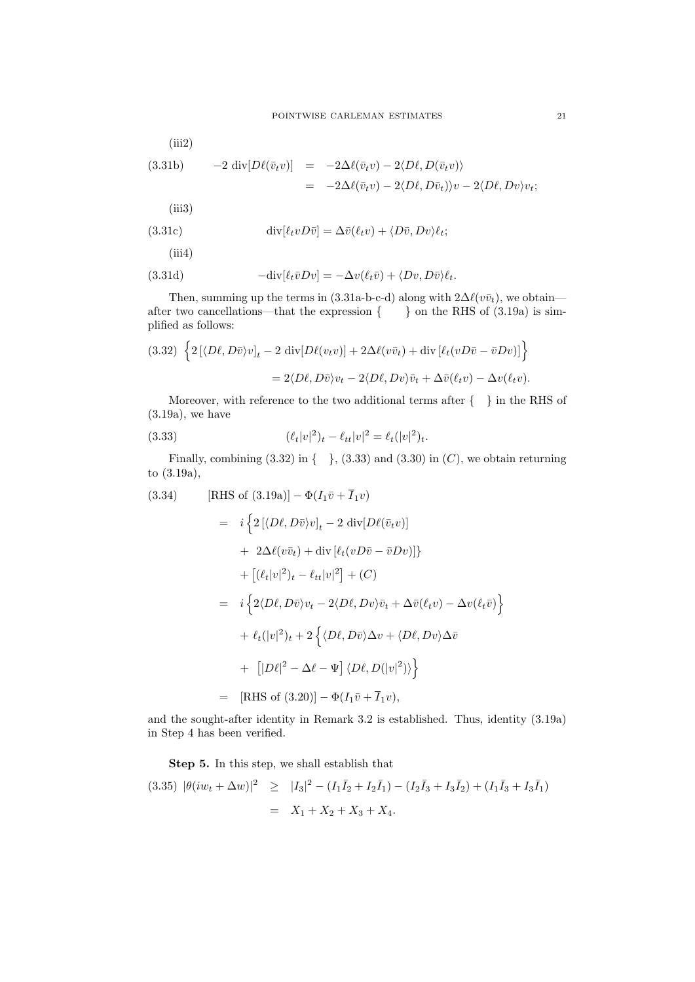(iii2)  
\n
$$
(3.31b) \t -2 \operatorname{div}[D\ell(\bar{v}_t v)] = -2\Delta\ell(\bar{v}_t v) - 2\langle D\ell, D(\bar{v}_t v) \rangle
$$
\n
$$
= -2\Delta\ell(\bar{v}_t v) - 2\langle D\ell, D\bar{v}_t \rangle)v - 2\langle D\ell, Dv \rangle v_t;
$$

 $(iii3)$ 

(3.31c) 
$$
\operatorname{div}[\ell_t v D \bar{v}] = \Delta \bar{v}(\ell_t v) + \langle D \bar{v}, D v \rangle \ell_t;
$$

$$
(\text{iii4})
$$

(3.31d) 
$$
-\text{div}[\ell_t \bar{v}Dv] = -\Delta v(\ell_t \bar{v}) + \langle Dv, D\bar{v} \rangle \ell_t.
$$

Then, summing up the terms in (3.31a-b-c-d) along with  $2\Delta\ell(v\bar{v}_t)$ , we obtain after two cancellations—that the expression  $\{ \}$  on the RHS of  $(3.19a)$  is simplified as follows:

(3.32) 
$$
\left\{2\left[\langle D\ell, D\bar{v}\rangle v\right]_t - 2 \operatorname{div}[D\ell(v_t v)] + 2\Delta\ell(v\bar{v}_t) + \operatorname{div}[\ell_t(vD\bar{v} - \bar{v}Dv)]\right\}
$$

$$
= 2\langle D\ell, D\bar{v}\rangle v_t - 2\langle D\ell, Dv\rangle \bar{v}_t + \Delta\bar{v}(\ell_t v) - \Delta v(\ell_t v).
$$

Moreover, with reference to the two additional terms after  $\{ \quad \}$  in the RHS of (3.19a), we have

(3.33) 
$$
(\ell_t|v|^2)_t - \ell_{tt}|v|^2 = \ell_t(|v|^2)_t.
$$

Finally, combining  $(3.32)$  in  $\{-\}$ ,  $(3.33)$  and  $(3.30)$  in  $(C)$ , we obtain returning to (3.19a),

(3.34) [RHS of (3.19a)] 
$$
-\Phi(I_1\bar{v} + \bar{I}_1v)
$$
  
\n
$$
= i \left\{ 2 \left[ \langle D\ell, D\bar{v} \rangle v \right]_t - 2 \operatorname{div}[D\ell(\bar{v}_t v)] + 2\Delta\ell(v\bar{v}_t) + \operatorname{div}[\ell_t(vD\bar{v} - \bar{v}Dv)] \right\}
$$
\n
$$
+ [(\ell_t|v|^2)_t - \ell_{tt}|v|^2] + (C)
$$
\n
$$
= i \left\{ 2\langle D\ell, D\bar{v} \rangle v_t - 2\langle D\ell, Dv \rangle \bar{v}_t + \Delta\bar{v}(\ell_t v) - \Delta v(\ell_t \bar{v}) \right\}
$$
\n
$$
+ \ell_t(|v|^2)_t + 2 \left\{ \langle D\ell, D\bar{v} \rangle \Delta v + \langle D\ell, Dv \rangle \Delta \bar{v} + [|D\ell|^2 - \Delta\ell - \Psi] \langle D\ell, D(|v|^2) \rangle \right\}
$$
\n
$$
= [RHS of (3.20)] - \Phi(I_1\bar{v} + \bar{I}_1 v),
$$

and the sought-after identity in Remark 3.2 is established. Thus, identity (3.19a) in Step 4 has been verified.

Step 5. In this step, we shall establish that

$$
(3.35) \ |\theta(iw_t + \Delta w)|^2 \ge |I_3|^2 - (I_1\bar{I}_2 + I_2\bar{I}_1) - (I_2\bar{I}_3 + I_3\bar{I}_2) + (I_1\bar{I}_3 + I_3\bar{I}_1)
$$
  
=  $X_1 + X_2 + X_3 + X_4$ .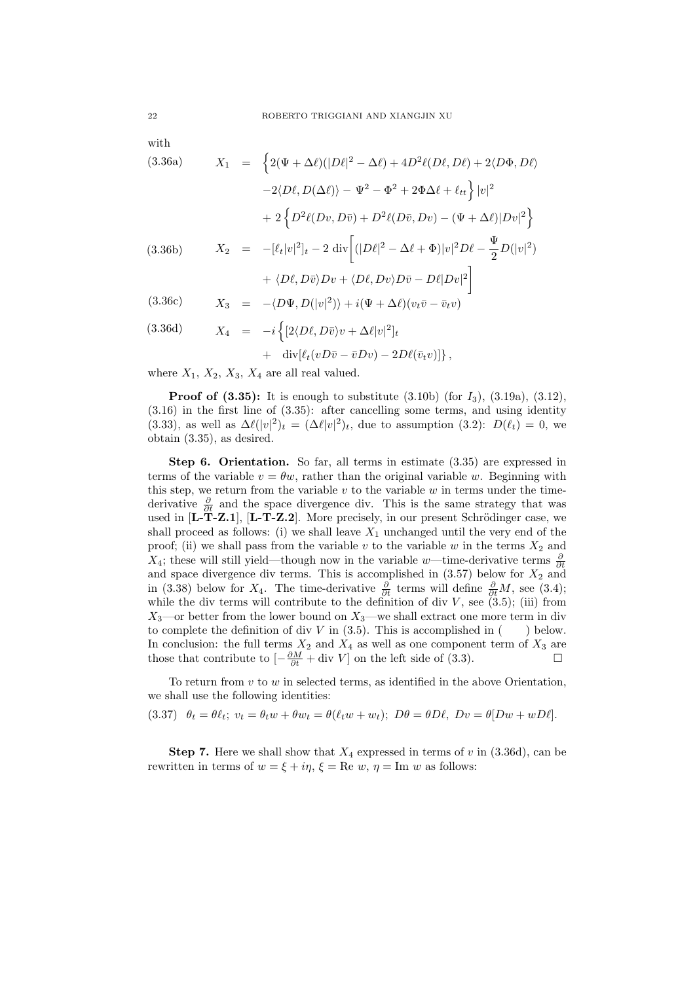with

(3.36a) 
$$
X_1 = \left\{ 2(\Psi + \Delta \ell)(|D\ell|^2 - \Delta \ell) + 4D^2\ell(D\ell, D\ell) + 2\langle D\Phi, D\ell \rangle \right.
$$

$$
-2\langle D\ell, D(\Delta \ell) \rangle - \Psi^2 - \Phi^2 + 2\Phi \Delta \ell + \ell_{tt} \right\} |v|^2
$$

$$
+ 2\left\{ D^2\ell(Dv, D\bar{v}) + D^2\ell(D\bar{v}, Dv) - (\Psi + \Delta \ell)|Dv|^2 \right\}
$$

$$
(3.36b) \qquad X_2 = -[\ell_t|v|^2]_t - 2 \operatorname{div} \left[ (|D\ell|^2 - \Delta \ell + \Phi)|v|^2 D\ell - \frac{\Psi}{2} D(|v|^2) \right.
$$

$$
+ \langle D\ell, D\bar{v} \rangle Dv + \langle D\ell, Dv \rangle D\bar{v} - D\ell|Dv|^2 \right]
$$

$$
(3.36c) \qquad X_3 = -\langle D\Psi, D(|v|^2) \rangle + i(\Psi + \Delta \ell)(v_t \bar{v} - \bar{v}_t v)
$$

(3.36d) 
$$
X_4 = -i \left\{ [2\langle D\ell, D\bar{v} \rangle v + \Delta \ell |v|^2]_t + \text{div}[\ell_t (vD\bar{v} - \bar{v}Dv) - 2D\ell(\bar{v}_t v)] \right\},
$$

where  $X_1, X_2, X_3, X_4$  are all real valued.

**Proof of (3.35):** It is enough to substitute  $(3.10b)$  (for  $I_3$ ),  $(3.19a)$ ,  $(3.12)$ , (3.16) in the first line of (3.35): after cancelling some terms, and using identity (3.33), as well as  $\Delta \ell(|v|^2)_t = (\Delta \ell |v|^2)_t$ , due to assumption (3.2):  $D(\ell_t) = 0$ , we obtain (3.35), as desired.

Step 6. Orientation. So far, all terms in estimate  $(3.35)$  are expressed in terms of the variable  $v = \theta w$ , rather than the original variable w. Beginning with this step, we return from the variable  $v$  to the variable  $w$  in terms under the timederivative  $\frac{\partial}{\partial t}$  and the space divergence div. This is the same strategy that was used in  $[L-T-Z.1]$ ,  $[L-T-Z.2]$ . More precisely, in our present Schrödinger case, we shall proceed as follows: (i) we shall leave  $X_1$  unchanged until the very end of the proof; (ii) we shall pass from the variable v to the variable w in the terms  $X_2$  and X<sub>4</sub>; these will still yield—though now in the variable w—time-derivative terms  $\frac{\partial}{\partial t}$ and space divergence div terms. This is accomplished in  $(3.57)$  below for  $X_2$  and in (3.38) below for  $X_4$ . The time-derivative  $\frac{\partial}{\partial t}$  terms will define  $\frac{\partial}{\partial t}M$ , see (3.4); while the div terms will contribute to the definition of div  $V$ , see  $(3.5)$ ; (iii) from  $X_3$ —or better from the lower bound on  $X_3$ —we shall extract one more term in div to complete the definition of div  $V$  in  $(3.5)$ . This is accomplished in  $($ ) below. In conclusion: the full terms  $X_2$  and  $X_4$  as well as one component term of  $X_3$  are those that contribute to  $\left[-\frac{\partial M}{\partial t} + \text{div } V\right]$  on the left side of (3.3).

To return from  $v$  to  $w$  in selected terms, as identified in the above Orientation, we shall use the following identities:

$$
(3.37) \quad \theta_t = \theta \ell_t; \ v_t = \theta_t w + \theta w_t = \theta(\ell_t w + w_t); \ D\theta = \theta D\ell, \ Dv = \theta[Dw + wD\ell].
$$

**Step 7.** Here we shall show that  $X_4$  expressed in terms of v in  $(3.36d)$ , can be rewritten in terms of  $w = \xi + i\eta$ ,  $\xi = \text{Re } w$ ,  $\eta = \text{Im } w$  as follows: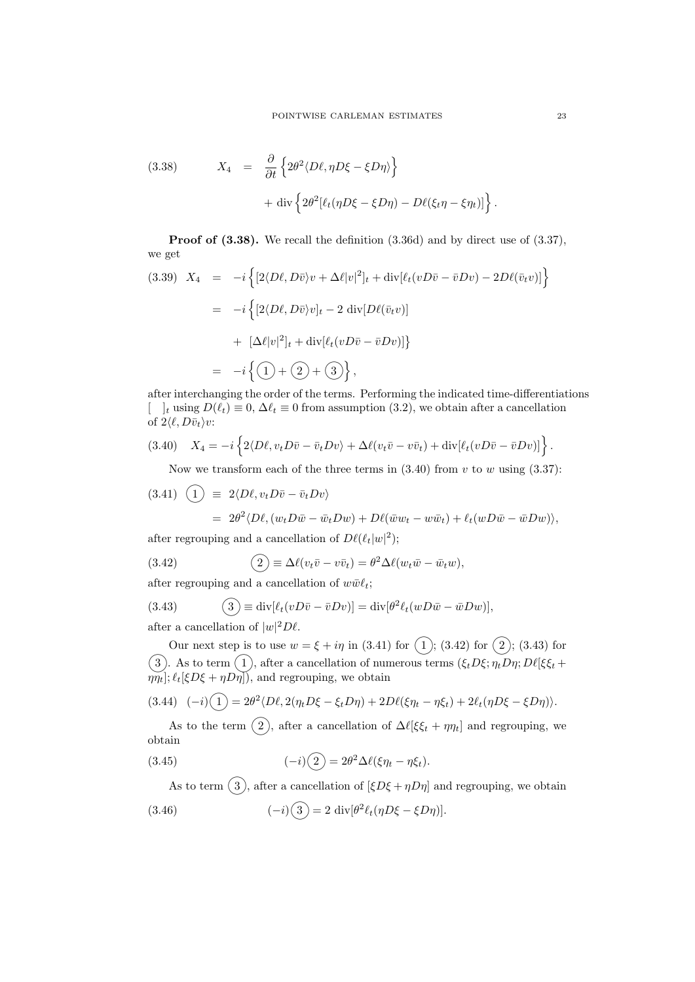(3.38) 
$$
X_4 = \frac{\partial}{\partial t} \left\{ 2\theta^2 \langle D\ell, \eta D\xi - \xi D\eta \rangle \right\} + \text{div} \left\{ 2\theta^2 [\ell_t(\eta D\xi - \xi D\eta) - D\ell(\xi_t \eta - \xi \eta_t)] \right\}.
$$

Proof of  $(3.38)$ . We recall the definition  $(3.36d)$  and by direct use of  $(3.37)$ , we get

$$
(3.39) \quad X_4 = -i \left\{ [2\langle D\ell, D\bar{v} \rangle v + \Delta\ell |v|^2]_t + \text{div}[\ell_t (vD\bar{v} - \bar{v}Dv) - 2D\ell(\bar{v}_t v)] \right\}
$$
  

$$
= -i \left\{ [2\langle D\ell, D\bar{v} \rangle v]_t - 2 \text{ div}[D\ell(\bar{v}_t v)]
$$
  

$$
+ [\Delta\ell |v|^2]_t + \text{div}[\ell_t (vD\bar{v} - \bar{v}Dv)] \right\}
$$
  

$$
= -i \left\{ (1) + (2) + (3) \right\},
$$

after interchanging the order of the terms. Performing the indicated time-differentiations  $\left[\begin{array}{c} \n\end{array}\right]_t$  using  $D(\ell_t) \equiv 0$ ,  $\Delta \ell_t \equiv 0$  from assumption (3.2), we obtain after a cancellation of  $2\langle \ell, D\bar{v}_t\rangle v$ :

$$
(3.40) \quad X_4 = -i \left\{ 2 \langle D\ell, v_t D\bar{v} - \bar{v}_t Dv \rangle + \Delta \ell (v_t \bar{v} - v \bar{v}_t) + \text{div}[\ell_t (v D\bar{v} - \bar{v} Dv)] \right\}.
$$

Now we transform each of the three terms in  $(3.40)$  from v to w using  $(3.37)$ :

$$
(3.41) \quad \begin{aligned} \left(1\right) &\equiv 2\langle D\ell, v_t D\bar{v} - \bar{v}_t Dv \rangle \\ &= 2\theta^2 \langle D\ell, (w_t D\bar{w} - \bar{w}_t Dw) + D\ell(\bar{w}w_t - w\bar{w}_t) + \ell_t(wD\bar{w} - \bar{w}Dw) \rangle, \end{aligned}
$$

after regrouping and a cancellation of  $D\ell(\ell_t|w|^2)$ ;

(3.42) 
$$
\qquad \qquad (\underline{2}) \equiv \Delta \ell (v_t \bar{v} - v \bar{v}_t) = \theta^2 \Delta \ell (w_t \bar{w} - \bar{w}_t w),
$$

after regrouping and a cancellation of  $w\bar{w}\ell_t$ ;

(3.43) 
$$
\textcircled{3} \equiv \text{div}[\ell_t(vD\bar{v} - \bar{v}Dv)] = \text{div}[\theta^2 \ell_t(wD\bar{w} - \bar{w}Dw)],
$$

after a cancellation of  $|w|^2 D\ell$ .

Our next step is to use  $w = \xi + i\eta$  in (3.41) for  $(1)$ ; (3.42) for  $(2)$ ; (3.43) for 3). As to term (1), after a cancellation of numerous terms  $(\xi_t D\xi; \eta_t D\eta; D\ell[\xi\xi_t +$  $\eta \eta_t]; \ell_t[\xi D\xi + \eta D\eta],$  and regrouping, we obtain

$$
(3.44)\quad (-i)\left(1\right) = 2\theta^2 \langle D\ell, 2(\eta_t D\xi - \xi_t D\eta) + 2D\ell(\xi\eta_t - \eta\xi_t) + 2\ell_t(\eta D\xi - \xi D\eta)\rangle.
$$

As to the term  $(2)$ , after a cancellation of  $\Delta \ell [\xi \xi_t + \eta \eta_t]$  and regrouping, we obtain

(3.45) 
$$
(-i)\left(2\right) = 2\theta^2 \Delta \ell (\xi \eta_t - \eta \xi_t).
$$

As to term  $(3)$ , after a cancellation of  $[\xi D\xi + \eta D\eta]$  and regrouping, we obtain

(3.46) 
$$
(-i)\left(3\right) = 2 \operatorname{div}[\theta^2 \ell_t(\eta D\xi - \xi D\eta)].
$$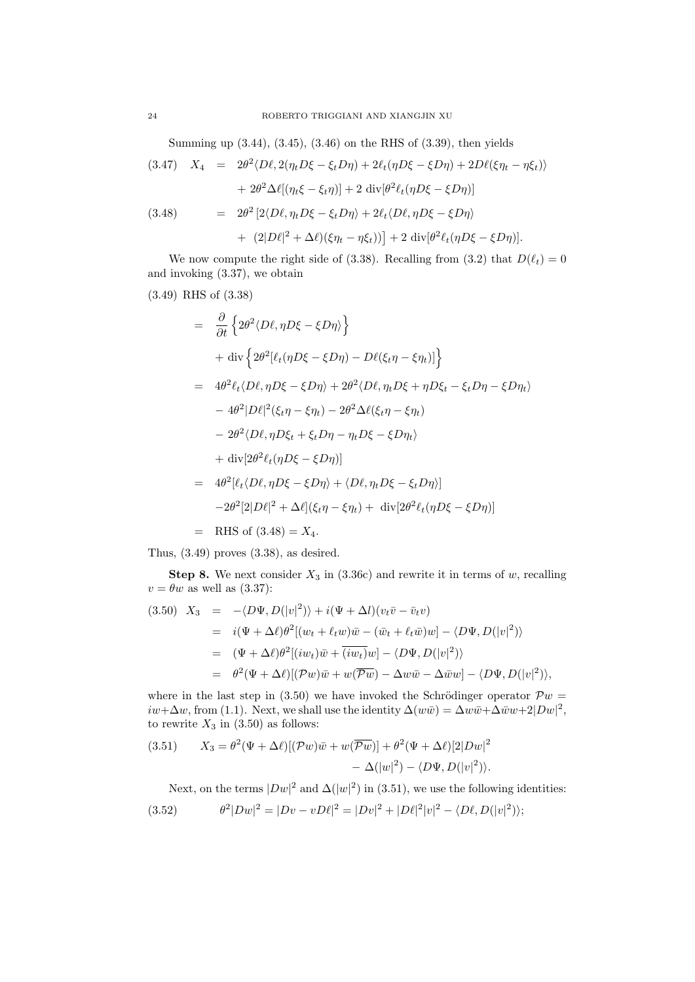Summing up (3.44), (3.45), (3.46) on the RHS of (3.39), then yields

(3.47) 
$$
X_4 = 2\theta^2 \langle D\ell, 2(\eta_t D\xi - \xi_t D\eta) + 2\ell_t (\eta D\xi - \xi D\eta) + 2D\ell(\xi \eta_t - \eta \xi_t) \rangle
$$

$$
+ 2\theta^2 \Delta \ell [(\eta_t \xi - \xi_t \eta)] + 2 \operatorname{div}[\theta^2 \ell_t (\eta D\xi - \xi D\eta)]
$$
  
(3.48) 
$$
= 2\theta^2 [2\langle D\ell, \eta_t D\xi - \xi_t D\eta \rangle + 2\ell_t \langle D\ell, \eta D\xi - \xi D\eta \rangle
$$

$$
+ (2|D\ell|^2 + \Delta \ell)(\xi \eta_t - \eta \xi_t)] + 2 \operatorname{div}[\theta^2 \ell_t (\eta D\xi - \xi D\eta)].
$$

We now compute the right side of (3.38). Recalling from (3.2) that  $D(\ell_t) = 0$ and invoking (3.37), we obtain

 $(3.49)$  RHS of  $(3.38)$ 

$$
= \frac{\partial}{\partial t} \left\{ 2\theta^2 \langle D\ell, \eta D\xi - \xi D\eta \rangle \right\}
$$
  
+  $\text{div} \left\{ 2\theta^2 [\ell_t(\eta D\xi - \xi D\eta) - D\ell(\xi_t \eta - \xi \eta_t)] \right\}$   
=  $4\theta^2 \ell_t \langle D\ell, \eta D\xi - \xi D\eta \rangle + 2\theta^2 \langle D\ell, \eta_t D\xi + \eta D\xi_t - \xi_t D\eta - \xi D\eta_t \rangle$   
-  $4\theta^2 |D\ell|^2 (\xi_t \eta - \xi \eta_t) - 2\theta^2 \Delta \ell (\xi_t \eta - \xi \eta_t)$   
-  $2\theta^2 \langle D\ell, \eta D\xi_t + \xi_t D\eta - \eta_t D\xi - \xi D\eta_t \rangle$   
+  $\text{div} [2\theta^2 \ell_t (\eta D\xi - \xi D\eta)]$   
=  $4\theta^2 [\ell_t \langle D\ell, \eta D\xi - \xi D\eta \rangle + \langle D\ell, \eta_t D\xi - \xi_t D\eta \rangle]$   
-  $2\theta^2 [2|D\ell|^2 + \Delta \ell](\xi_t \eta - \xi \eta_t) + \text{div} [2\theta^2 \ell_t (\eta D\xi - \xi D\eta)]$   
= RHS of (3.48) = X<sub>4</sub>.

Thus, (3.49) proves (3.38), as desired.

**Step 8.** We next consider  $X_3$  in (3.36c) and rewrite it in terms of  $w$ , recalling  $v = \theta w$  as well as (3.37):

(3.50) 
$$
X_3 = -\langle D\Psi, D(|v|^2) \rangle + i(\Psi + \Delta l)(v_t\bar{v} - \bar{v}_t v)
$$
  
\n
$$
= i(\Psi + \Delta \ell)\theta^2[(w_t + \ell_t w)\bar{w} - (\bar{w}_t + \ell_t \bar{w})w] - \langle D\Psi, D(|v|^2) \rangle
$$
  
\n
$$
= (\Psi + \Delta \ell)\theta^2[(iw_t)\bar{w} + \overline{(iw_t)}w] - \langle D\Psi, D(|v|^2) \rangle
$$
  
\n
$$
= \theta^2(\Psi + \Delta \ell)[(\mathcal{P}w)\bar{w} + w(\overline{\mathcal{P}w}) - \Delta w\bar{w} - \Delta \bar{w}w] - \langle D\Psi, D(|v|^2) \rangle,
$$

where in the last step in (3.50) we have invoked the Schrödinger operator  $\mathcal{P}w =$  $iw+\Delta w$ , from (1.1). Next, we shall use the identity  $\Delta(w\bar{w}) = \Delta w\bar{w} + \Delta \bar{w}w + 2|Dw|^2$ , to rewrite  $X_3$  in (3.50) as follows:

(3.51) 
$$
X_3 = \theta^2 (\Psi + \Delta \ell) [(\mathcal{P}w)\bar{w} + w(\overline{\mathcal{P}w})] + \theta^2 (\Psi + \Delta \ell) [2|Dw|^2 - \Delta (|w|^2) - \langle D\Psi, D(|v|^2) \rangle.
$$

Next, on the terms  $|Dw|^2$  and  $\Delta(|w|^2)$  in (3.51), we use the following identities:

(3.52) 
$$
\theta^2 |Dw|^2 = |Dv - vD\ell|^2 = |Dv|^2 + |D\ell|^2 |v|^2 - \langle D\ell, D(|v|^2) \rangle;
$$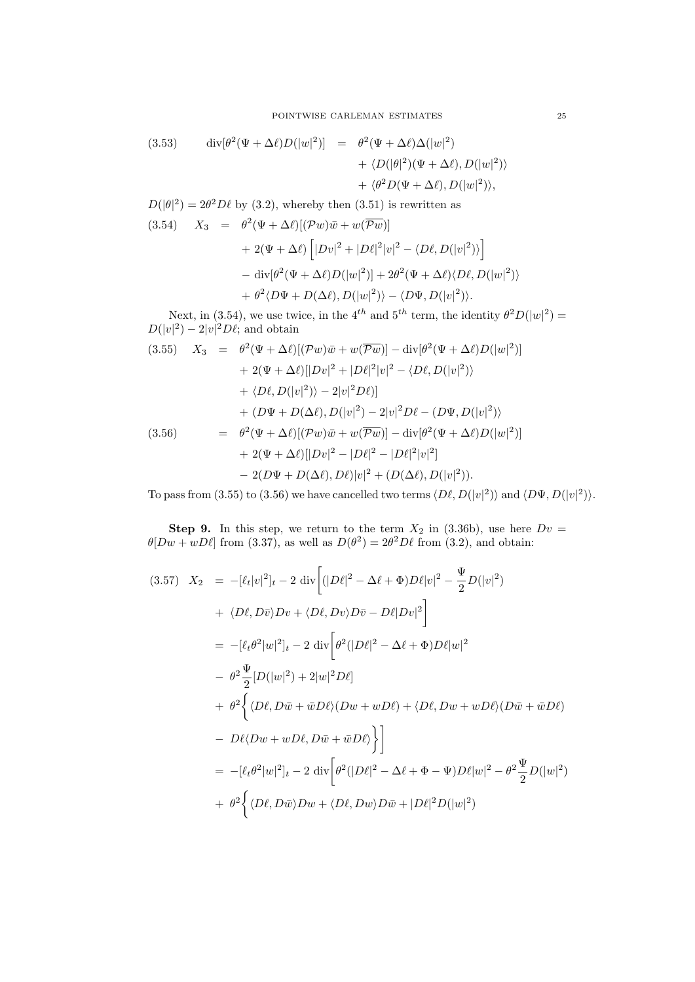(3.53) 
$$
\begin{aligned}\n\operatorname{div}[\theta^2(\Psi + \Delta \ell)D(|w|^2)] &= \theta^2(\Psi + \Delta \ell)\Delta(|w|^2) \\
&+ \langle D(|\theta|^2)(\Psi + \Delta \ell), D(|w|^2) \rangle \\
&+ \langle \theta^2 D(\Psi + \Delta \ell), D(|w|^2) \rangle,\n\end{aligned}
$$

 $D(|\theta|^2) = 2\theta^2 D\ell$  by (3.2), whereby then (3.51) is rewritten as

(3.54) 
$$
X_3 = \theta^2 (\Psi + \Delta \ell) [(\mathcal{P}w)\bar{w} + w(\overline{\mathcal{P}w})] + 2(\Psi + \Delta \ell) [|Dv|^2 + |D\ell|^2 |v|^2 - \langle D\ell, D(|v|^2) \rangle] - \text{div}[\theta^2 (\Psi + \Delta \ell)D(|w|^2)] + 2\theta^2 (\Psi + \Delta \ell) \langle D\ell, D(|w|^2) \rangle + \theta^2 \langle D\Psi + D(\Delta \ell), D(|w|^2) \rangle - \langle D\Psi, D(|v|^2) \rangle.
$$

Next, in (3.54), we use twice, in the 4<sup>th</sup> and 5<sup>th</sup> term, the identity  $\theta^2 D(|w|^2) =$  $D(|v|^2) - 2|v|^2 D\ell$ ; and obtain

(3.55) 
$$
X_3 = \theta^2 (\Psi + \Delta \ell) [(\mathcal{P}w)\bar{w} + w(\overline{\mathcal{P}w})] - \text{div}[\theta^2 (\Psi + \Delta \ell)D(|w|^2)] + 2(\Psi + \Delta \ell)[|Dv|^2 + |D\ell|^2|v|^2 - \langle D\ell, D(|v|^2) \rangle + \langle D\ell, D(|v|^2) \rangle - 2|v|^2 D\ell]| + (D\Psi + D(\Delta \ell), D(|v|^2) - 2|v|^2 D\ell - (D\Psi, D(|v|^2)) = \theta^2 (\Psi + \Delta \ell) [(\mathcal{P}w)\bar{w} + w(\overline{\mathcal{P}w})] - \text{div}[\theta^2 (\Psi + \Delta \ell)D(|w|^2)] + 2(\Psi + \Delta \ell)[|Dv|^2 - |D\ell|^2 - |D\ell|^2|v|^2] - 2(D\Psi + D(\Delta \ell), D\ell)|v|^2 + (D(\Delta \ell), D(|v|^2)).
$$

To pass from (3.55) to (3.56) we have cancelled two terms  $\langle D\ell, D(|v|^2) \rangle$  and  $\langle D\Psi, D(|v|^2) \rangle$ .

**Step 9.** In this step, we return to the term  $X_2$  in (3.36b), use here  $Dv =$  $\theta[Dw+wD\ell]$  from (3.37), as well as  $D(\theta^2) = 2\theta^2 D\ell$  from (3.2), and obtain:

$$
(3.57) \quad X_2 = -[\ell_t|v|^2]_t - 2 \operatorname{div} \left[ (|D\ell|^2 - \Delta\ell + \Phi)D\ell|v|^2 - \frac{\Psi}{2}D(|v|^2) \right]
$$
  
+  $\langle D\ell, D\bar{v} \rangle Dv + \langle D\ell, Dv \rangle D\bar{v} - D\ell|Dv|^2 \right]$   
=  $[-[\ell_t \theta^2|w|^2]_t - 2 \operatorname{div} \left[ \theta^2(|D\ell|^2 - \Delta\ell + \Phi)D\ell|w|^2 \right]$   
-  $\theta^2 \frac{\Psi}{2} [D(|w|^2) + 2|w|^2 D\ell]$   
+  $\theta^2 \left\{ \langle D\ell, D\bar{w} + \bar{w}D\ell \rangle (Dw + wD\ell) + \langle D\ell, Dw + wD\ell \rangle (D\bar{w} + \bar{w}D\ell) \right\}$   
-  $D\ell\langle Dw + wD\ell, D\bar{w} + \bar{w}D\ell \rangle \right\}$   
=  $[-[\ell_t \theta^2|w|^2]_t - 2 \operatorname{div} \left[ \theta^2(|D\ell|^2 - \Delta\ell + \Phi - \Psi)D\ell|w|^2 - \theta^2 \frac{\Psi}{2}D(|w|^2) \right]$   
+  $\theta^2 \left\{ \langle D\ell, D\bar{w} \rangle Dw + \langle D\ell, Dw \rangle D\bar{w} + |D\ell|^2 D(|w|^2) \right\}$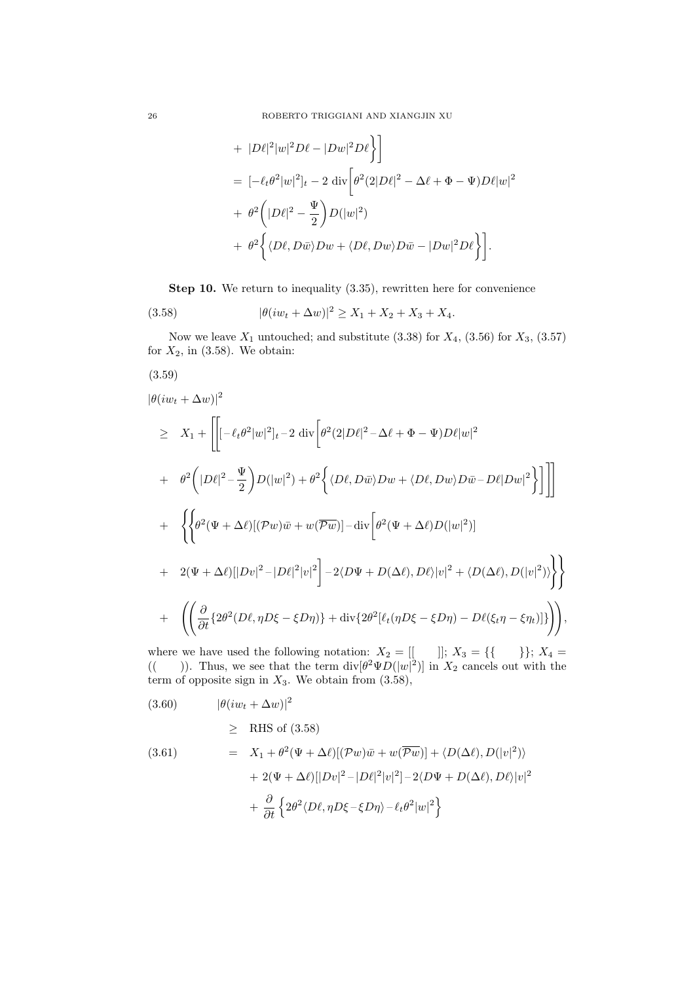+ 
$$
|D\ell|^2 |w|^2 D\ell - |Dw|^2 D\ell
$$
   
\n=  $[-\ell_t \theta^2 |w|^2]_t - 2 \operatorname{div} \left[\theta^2 (2|D\ell|^2 - \Delta \ell + \Phi - \Psi) D\ell |w|^2$   
\n+  $\theta^2 \left(|D\ell|^2 - \frac{\Psi}{2}\right) D(|w|^2)$   
\n+  $\theta^2 \left\langle \langle D\ell, D\bar{w} \rangle Dw + \langle D\ell, Dw \rangle D\bar{w} - |Dw|^2 D\ell \right\rangle \right].$ 

Step 10. We return to inequality  $(3.35)$ , rewritten here for convenience

(3.58) 
$$
|\theta(iw_t + \Delta w)|^2 \ge X_1 + X_2 + X_3 + X_4.
$$

Now we leave  $X_1$  untouched; and substitute  $(3.38)$  for  $X_4$ ,  $(3.56)$  for  $X_3$ ,  $(3.57)$ for  $X_2$ , in (3.58). We obtain:

$$
(3.59)
$$

$$
\begin{split}\n&|\theta(iw_t + \Delta w)|^2 \\
&\geq X_1 + \left[ \left[ -\ell_t \theta^2 |w|^2 \right]_t - 2 \operatorname{div} \left[ \theta^2 (2|D\ell|^2 - \Delta \ell + \Phi - \Psi) D\ell |w|^2 \right. \\
&+ \theta^2 \left( |D\ell|^2 - \frac{\Psi}{2} \right) D(|w|^2) + \theta^2 \left\{ \langle D\ell, D\bar{w} \rangle Dw + \langle D\ell, Dw \rangle D\bar{w} - D\ell |Dw|^2 \right\} \right] \right] \\
&+ \left\{ \left\{ \theta^2 (\Psi + \Delta \ell) [(\mathcal{P}w)\bar{w} + w(\overline{\mathcal{P}w})] - \operatorname{div} \left[ \theta^2 (\Psi + \Delta \ell) D(|w|^2) \right] \right. \\
&+ 2(\Psi + \Delta \ell) [|Dv|^2 - |D\ell|^2 |v|^2 \right] - 2 \langle D\Psi + D(\Delta \ell), D\ell \rangle |v|^2 + \langle D(\Delta \ell), D(|v|^2) \rangle \right\} \right\} \\
&+ \left( \left( \frac{\partial}{\partial t} \{ 2\theta^2 (D\ell, \eta D\xi - \xi D\eta) \} + \operatorname{div} \{ 2\theta^2 [\ell_t (\eta D\xi - \xi D\eta) - D\ell(\xi_t \eta - \xi \eta_t) ] \} \right) \right),\n\end{split}
$$

where we have used the following notation:  $X_2 = [[ \quad ]]; X_3 = \{ \{ \quad \} \}; X_4 =$ (()). Thus, we see that the term  $\text{div}[\theta^2 \Psi D(|w|^2)]$  in  $X_2$  cancels out with the term of opposite sign in  $X_3$ . We obtain from  $(3.58)$ ,

$$
(3.60) \t\t\t |\theta(iw_t + \Delta w)|^2
$$

$$
\geq \quad {\rm RHS \; of} \; (3.58)
$$

(3.61) 
$$
= X_1 + \theta^2 (\Psi + \Delta \ell) [(\mathcal{P}w)\bar{w} + w(\overline{\mathcal{P}w})] + \langle D(\Delta \ell), D(|v|^2) \rangle + 2(\Psi + \Delta \ell) [|Dv|^2 - |D\ell|^2 |v|^2] - 2\langle D\Psi + D(\Delta \ell), D\ell \rangle |v|^2 + \frac{\partial}{\partial t} \left\{ 2\theta^2 \langle D\ell, \eta D\xi - \xi D\eta \rangle - \ell_t \theta^2 |w|^2 \right\}
$$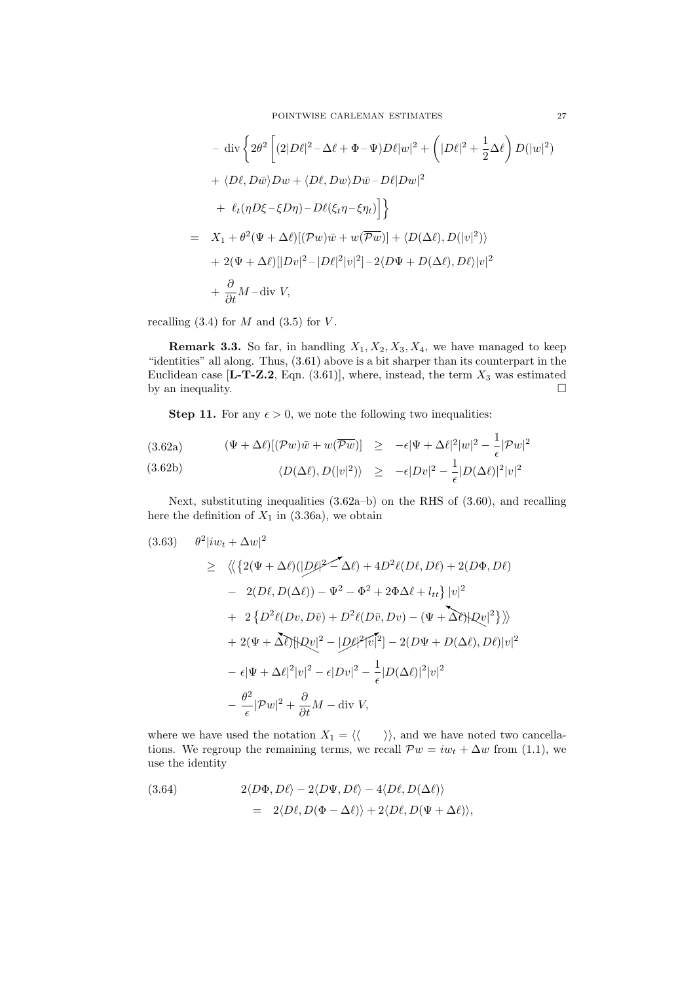POINTWISE CARLEMAN ESTIMATES 27

$$
- \operatorname{div} \left\{ 2\theta^2 \left[ (2|D\ell|^2 - \Delta\ell + \Phi - \Psi) D\ell |w|^2 + \left( |D\ell|^2 + \frac{1}{2} \Delta\ell \right) D(|w|^2) \right. \\ + \langle D\ell, D\bar{w} \rangle Dw + \langle D\ell, Dw \rangle D\bar{w} - D\ell |Dw|^2 \\ + \ell_t (\eta D\xi - \xi D\eta) - D\ell(\xi_t \eta - \xi \eta_t) \right] \right\}
$$
  
=  $X_1 + \theta^2 (\Psi + \Delta\ell) [(\mathcal{P}w)\bar{w} + w(\overline{\mathcal{P}w})] + \langle D(\Delta\ell), D(|v|^2) \rangle$   
+  $2(\Psi + \Delta\ell) [|Dv|^2 - |D\ell|^2 |v|^2] - 2\langle D\Psi + D(\Delta\ell), D\ell \rangle |v|^2$   
+  $\frac{\partial}{\partial t} M - \operatorname{div} V,$ 

recalling  $(3.4)$  for M and  $(3.5)$  for V.

**Remark 3.3.** So far, in handling  $X_1, X_2, X_3, X_4$ , we have managed to keep "identities" all along. Thus, (3.61) above is a bit sharper than its counterpart in the Euclidean case [L-T-Z.2, Eqn.  $(3.61)$ ], where, instead, the term  $X_3$  was estimated by an inequality.  $\Box$ 

**Step 11.** For any  $\epsilon > 0$ , we note the following two inequalities:

(3.62a) 
$$
(\Psi + \Delta \ell)[(\mathcal{P}w)\bar{w} + w(\overline{\mathcal{P}w})] \ge -\epsilon |\Psi + \Delta \ell|^2 |w|^2 - \frac{1}{\epsilon} |\mathcal{P}w|^2
$$
  
(3.62b) 
$$
\langle D(\Delta \ell), D(|v|^2) \rangle \ge -\epsilon |Dv|^2 - \frac{1}{\epsilon} |D(\Delta \ell)|^2 |v|^2
$$

Next, substituting inequalities (3.62a–b) on the RHS of (3.60), and recalling here the definition of  $X_1$  in (3.36a), we obtain

$$
(3.63) \quad \theta^2 |iw_t + \Delta w|^2
$$
  
\n
$$
\geq \langle \langle \{ 2(\Psi + \Delta \ell)(|D\ell)^2 - \Delta \ell \} + 4D^2 \ell(D\ell, D\ell) + 2(D\Phi, D\ell) \rangle
$$
  
\n
$$
- 2(D\ell, D(\Delta \ell)) - \Psi^2 - \Phi^2 + 2\Phi \Delta \ell + l_{tt} \} |v|^2
$$
  
\n
$$
+ 2 \{ D^2 \ell(Dv, D\bar{v}) + D^2 \ell(D\bar{v}, Dv) - (\Psi + \Delta \ell) |D\bar{v}|^2 \} \rangle \rangle
$$
  
\n
$$
+ 2(\Psi + \Delta \ell) |D\bar{v}|^2 - |D\ell|^2 |\bar{v}|^2 - 2(D\Psi + D(\Delta \ell), D\ell) |v|^2
$$
  
\n
$$
- \epsilon |\Psi + \Delta \ell|^2 |v|^2 - \epsilon |Dv|^2 - \frac{1}{\epsilon} |D(\Delta \ell)|^2 |v|^2
$$
  
\n
$$
- \frac{\theta^2}{\epsilon} |Dw|^2 + \frac{\partial}{\partial t} M - \text{div } V,
$$

where we have used the notation  $X_1 = \langle \langle \quad \rangle \rangle$ , and we have noted two cancellations. We regroup the remaining terms, we recall  $\mathcal{P}w = iw_t + \Delta w$  from (1.1), we use the identity

(3.64) 
$$
2\langle D\Phi, D\ell\rangle - 2\langle D\Psi, D\ell\rangle - 4\langle D\ell, D(\Delta\ell)\rangle
$$

$$
= 2\langle D\ell, D(\Phi - \Delta\ell)\rangle + 2\langle D\ell, D(\Psi + \Delta\ell)\rangle,
$$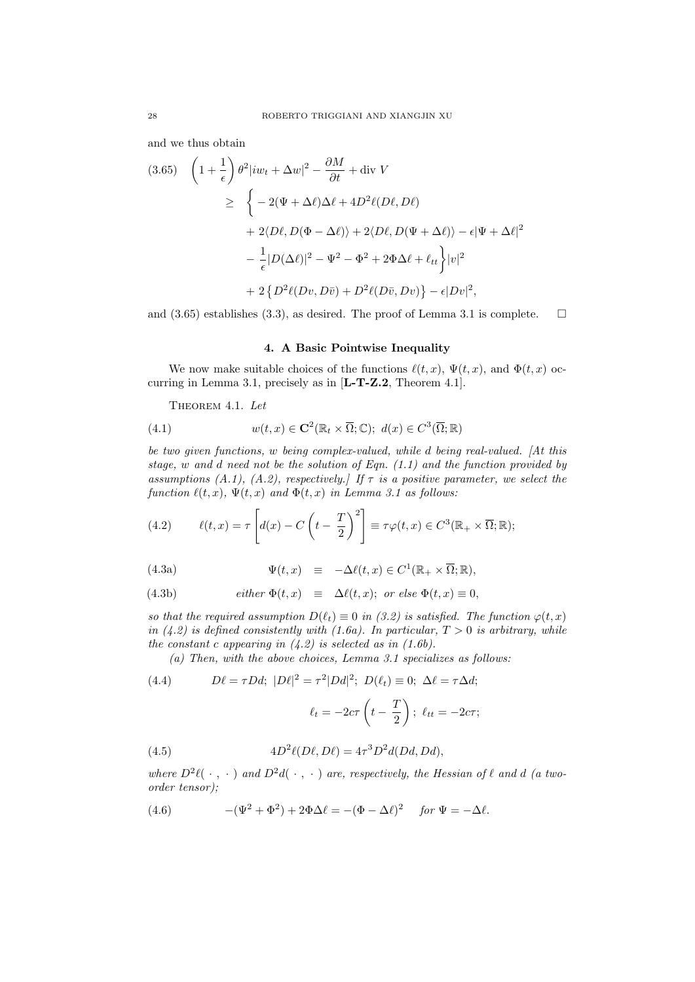and we thus obtain

$$
(3.65) \quad \left(1 + \frac{1}{\epsilon}\right) \theta^2 |iw_t + \Delta w|^2 - \frac{\partial M}{\partial t} + \text{div } V
$$
\n
$$
\geq \left\{ -2(\Psi + \Delta \ell) \Delta \ell + 4D^2 \ell (D\ell, D\ell) \right.
$$
\n
$$
+ 2\langle D\ell, D(\Phi - \Delta \ell) \rangle + 2\langle D\ell, D(\Psi + \Delta \ell) \rangle - \epsilon |\Psi + \Delta \ell|^2
$$
\n
$$
- \frac{1}{\epsilon} |D(\Delta \ell)|^2 - \Psi^2 - \Phi^2 + 2\Phi \Delta \ell + \ell_{tt} \right\} |v|^2
$$
\n
$$
+ 2\left\{ D^2 \ell (Dv, D\bar{v}) + D^2 \ell (D\bar{v}, Dv) \right\} - \epsilon |Dv|^2,
$$

and (3.65) establishes (3.3), as desired. The proof of Lemma 3.1 is complete.  $\square$ 

### 4. A Basic Pointwise Inequality

We now make suitable choices of the functions  $\ell(t, x)$ ,  $\Psi(t, x)$ , and  $\Phi(t, x)$  occurring in Lemma 3.1, precisely as in [L-T-Z.2, Theorem 4.1].

THEOREM 4.1. Let

(4.1) 
$$
w(t,x) \in \mathbf{C}^{2}(\mathbb{R}_{t} \times \overline{\Omega}; \mathbb{C}); d(x) \in C^{3}(\overline{\Omega}; \mathbb{R})
$$

be two given functions, w being complex-valued, while d being real-valued. [At this stage,  $w$  and  $d$  need not be the solution of Eqn.  $(1.1)$  and the function provided by assumptions (A.1), (A.2), respectively.] If  $\tau$  is a positive parameter, we select the function  $\ell(t, x)$ ,  $\Psi(t, x)$  and  $\Phi(t, x)$  in Lemma 3.1 as follows:

(4.2) 
$$
\ell(t,x) = \tau \left[ d(x) - C \left( t - \frac{T}{2} \right)^2 \right] \equiv \tau \varphi(t,x) \in C^3(\mathbb{R}_+ \times \overline{\Omega}; \mathbb{R});
$$

(4.3a) 
$$
\Psi(t,x) \equiv -\Delta \ell(t,x) \in C^1(\mathbb{R}_+ \times \overline{\Omega}; \mathbb{R}),
$$

(4.3b) *either* 
$$
\Phi(t, x) \equiv \Delta \ell(t, x)
$$
; *or else*  $\Phi(t, x) \equiv 0$ ,

so that the required assumption  $D(\ell_t) \equiv 0$  in (3.2) is satisfied. The function  $\varphi(t, x)$ in (4.2) is defined consistently with (1.6a). In particular,  $T > 0$  is arbitrary, while the constant c appearing in  $(4.2)$  is selected as in  $(1.6b)$ .

(a) Then, with the above choices, Lemma 3.1 specializes as follows:

(4.4) 
$$
D\ell = \tau Dd; \ |D\ell|^2 = \tau^2 |Dd|^2; \ D(\ell_t) \equiv 0; \ \Delta \ell = \tau \Delta d; \ell_t = -2c\tau \left(t - \frac{T}{2}\right); \ \ell_{tt} = -2c\tau;
$$

(4.5) 
$$
4D^2\ell(D\ell, D\ell) = 4\tau^3D^2d(Dd, Dd),
$$

where  $D^2\ell(\cdot,\cdot)$  and  $D^2d(\cdot,\cdot)$  are, respectively, the Hessian of  $\ell$  and d (a twoorder tensor);

(4.6) 
$$
-(\Psi^2 + \Phi^2) + 2\Phi\Delta\ell = -(\Phi - \Delta\ell)^2 \quad \text{for } \Psi = -\Delta\ell.
$$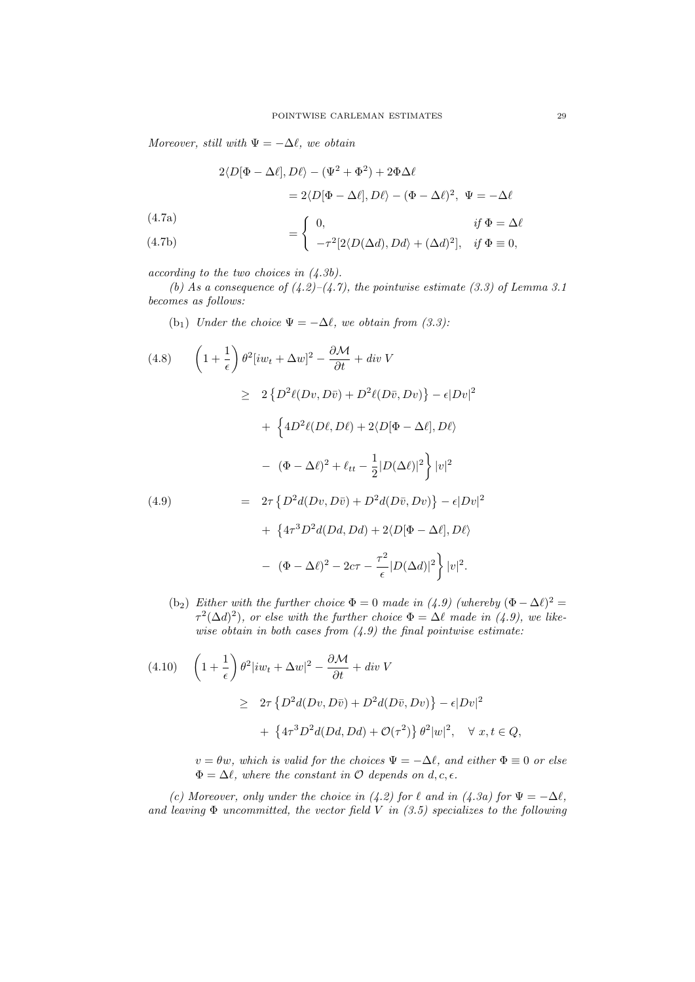Moreover, still with  $\Psi = -\Delta \ell$ , we obtain

$$
2\langle D[\Phi - \Delta \ell], D\ell \rangle - (\Psi^2 + \Phi^2) + 2\Phi \Delta \ell
$$
  
= 2\langle D[\Phi - \Delta \ell], D\ell \rangle - (\Phi - \Delta \ell)^2, \ \Psi = -\Delta \ell  
(4.7a)  
= 
$$
\begin{cases} 0, & \text{if } \Phi = \Delta \ell \end{cases}
$$

(4.7b) 
$$
= \begin{cases} -\tau^2[2\langle D(\Delta d), Dd\rangle + (\Delta d)^2], & \text{if } \Phi \equiv 0, \end{cases}
$$

according to the two choices in (4.3b).

(b) As a consequence of  $(4.2)$ – $(4.7)$ , the pointwise estimate (3.3) of Lemma 3.1 becomes as follows:

(b<sub>1</sub>) Under the choice  $\Psi = -\Delta \ell$ , we obtain from (3.3):

(4.8) 
$$
\left(1 + \frac{1}{\epsilon}\right) \theta^2 [iw_t + \Delta w]^2 - \frac{\partial \mathcal{M}}{\partial t} + div \ V
$$
  
\n
$$
\geq 2 \left\{ D^2 \ell (Dv, D\bar{v}) + D^2 \ell (D\bar{v}, Dv) \right\} - \epsilon |Dv|^2
$$
  
\n
$$
+ \left\{ 4D^2 \ell (D\ell, D\ell) + 2\langle D[\Phi - \Delta \ell], D\ell \rangle \right.
$$
  
\n
$$
- (\Phi - \Delta \ell)^2 + \ell_{tt} - \frac{1}{2} |D(\Delta \ell)|^2 \right\} |v|^2
$$
  
\n(4.9) 
$$
= 2\tau \left\{ D^2 d(Dv, D\bar{v}) + D^2 d(D\bar{v}, Dv) \right\} - \epsilon |Dv|^2
$$
  
\n
$$
+ \left\{ 4\tau^3 D^2 d(Dd, Dd) + 2\langle D[\Phi - \Delta \ell], D\ell \rangle \right.
$$
  
\n
$$
- (\Phi - \Delta \ell)^2 - 2c\tau - \frac{\tau^2}{\epsilon} |D(\Delta d)|^2 \right\} |v|^2.
$$

(b<sub>2</sub>) Either with the further choice  $\Phi = 0$  made in (4.9) (whereby  $(\Phi - \Delta \ell)^2 =$  $\tau^2(\Delta d)^2$ , or else with the further choice  $\Phi = \Delta \ell$  made in (4.9), we likewise obtain in both cases from  $(4.9)$  the final pointwise estimate:

$$
(4.10) \quad \left(1 + \frac{1}{\epsilon}\right)\theta^2 |iw_t + \Delta w|^2 - \frac{\partial \mathcal{M}}{\partial t} + div\ V
$$
  

$$
\geq 2\tau \left\{ D^2 d(Dv, D\bar{v}) + D^2 d(D\bar{v}, Dv) \right\} - \epsilon |Dv|^2
$$
  

$$
+ \left\{ 4\tau^3 D^2 d(Dd, Dd) + \mathcal{O}(\tau^2) \right\} \theta^2 |w|^2, \quad \forall \ x, t \in Q,
$$

 $v = \theta w$ , which is valid for the choices  $\Psi = -\Delta \ell$ , and either  $\Phi \equiv 0$  or else  $\Phi = \Delta \ell$ , where the constant in O depends on d, c,  $\epsilon$ .

(c) Moreover, only under the choice in (4.2) for  $\ell$  and in (4.3a) for  $\Psi = -\Delta \ell$ , and leaving  $\Phi$  uncommitted, the vector field V in (3.5) specializes to the following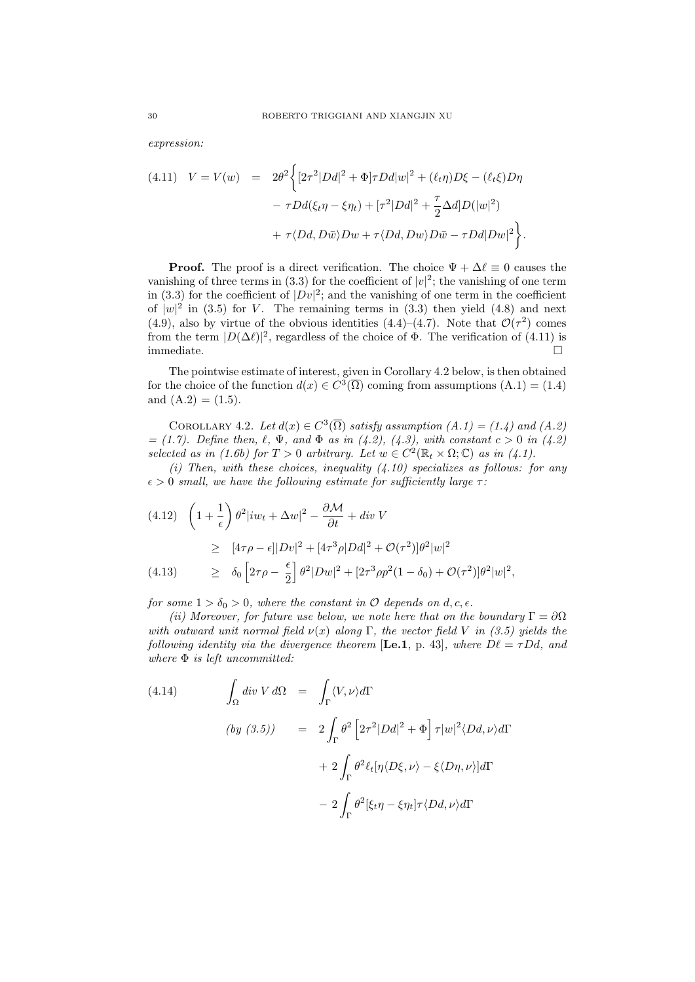expression:

(4.11) 
$$
V = V(w) = 2\theta^2 \left\{ [2\tau^2 |Dd|^2 + \Phi] \tau Dd|w|^2 + (\ell_t \eta)D\xi - (\ell_t \xi)D\eta \right.- \tau Dd(\xi_t \eta - \xi \eta_t) + [\tau^2 |Dd|^2 + \frac{\tau}{2}\Delta d]D(|w|^2) + \tau \langle Dd, D\bar{w} \rangle Dw + \tau \langle Dd, Dw \rangle D\bar{w} - \tau Dd|Dw|^2 \right\}.
$$

**Proof.** The proof is a direct verification. The choice  $\Psi + \Delta \ell \equiv 0$  causes the vanishing of three terms in (3.3) for the coefficient of  $|v|^2$ ; the vanishing of one term in (3.3) for the coefficient of  $|Dv|^2$ ; and the vanishing of one term in the coefficient of  $|w|^2$  in (3.5) for V. The remaining terms in (3.3) then yield (4.8) and next (4.9), also by virtue of the obvious identities (4.4)–(4.7). Note that  $\mathcal{O}(\tau^2)$  comes from the term  $|D(\Delta \ell)|^2$ , regardless of the choice of  $\Phi$ . The verification of (4.11) is immediate.  $\hfill \square$ 

The pointwise estimate of interest, given in Corollary 4.2 below, is then obtained for the choice of the function  $d(x) \in C^3(\overline{\Omega})$  coming from assumptions  $(A.1) = (1.4)$ and  $(A.2) = (1.5)$ .

COROLLARY 4.2. Let  $d(x) \in C^3(\overline{\Omega})$  satisfy assumption  $(A.1) = (1.4)$  and  $(A.2)$  $= (1.7)$ . Define then,  $\ell, \Psi$ , and  $\Phi$  as in (4.2), (4.3), with constant  $c > 0$  in (4.2) selected as in (1.6b) for  $T > 0$  arbitrary. Let  $w \in C^2(\mathbb{R}_t \times \Omega; \mathbb{C})$  as in (4.1).

(i) Then, with these choices, inequality  $(4.10)$  specializes as follows: for any  $\epsilon > 0$  small, we have the following estimate for sufficiently large  $\tau$ :

$$
(4.12) \quad \left(1 + \frac{1}{\epsilon}\right) \theta^2 |iw_t + \Delta w|^2 - \frac{\partial \mathcal{M}}{\partial t} + div \, V
$$
  
\n
$$
\geq [4\tau \rho - \epsilon] |Dv|^2 + [4\tau^3 \rho |Dd|^2 + \mathcal{O}(\tau^2) ]\theta^2 |w|^2
$$
  
\n
$$
(4.13) \quad \geq \delta_0 \left[2\tau \rho - \frac{\epsilon}{2}\right] \theta^2 |Dw|^2 + [2\tau^3 \rho p^2 (1 - \delta_0) + \mathcal{O}(\tau^2) ]\theta^2 |w|^2,
$$

for some  $1 > \delta_0 > 0$ , where the constant in  $\mathcal O$  depends on d, c,  $\epsilon$ .

(ii) Moreover, for future use below, we note here that on the boundary  $\Gamma = \partial \Omega$ with outward unit normal field  $\nu(x)$  along Γ, the vector field V in (3.5) yields the following identity via the divergence theorem [Le.1, p. 43], where  $D\ell = \tau Dd$ , and where  $\Phi$  is left uncommitted:

(4.14) 
$$
\int_{\Omega} \operatorname{div} V \, d\Omega = \int_{\Gamma} \langle V, \nu \rangle d\Gamma
$$

$$
\begin{aligned} \left( \int_{\Omega} \operatorname{div} V \, d\Omega \right) &= 2 \int_{\Gamma} \theta^2 \left[ 2\tau^2 |D \, d|^2 + \Phi \right] \tau |w|^2 \langle D \, d, \nu \rangle d\Gamma \\ &+ 2 \int_{\Gamma} \theta^2 \ell_t [\eta \langle D \xi, \nu \rangle - \xi \langle D \eta, \nu \rangle] d\Gamma \\ &- 2 \int_{\Gamma} \theta^2 [\xi_t \eta - \xi \eta_t] \tau \langle D \, d, \nu \rangle d\Gamma \end{aligned}
$$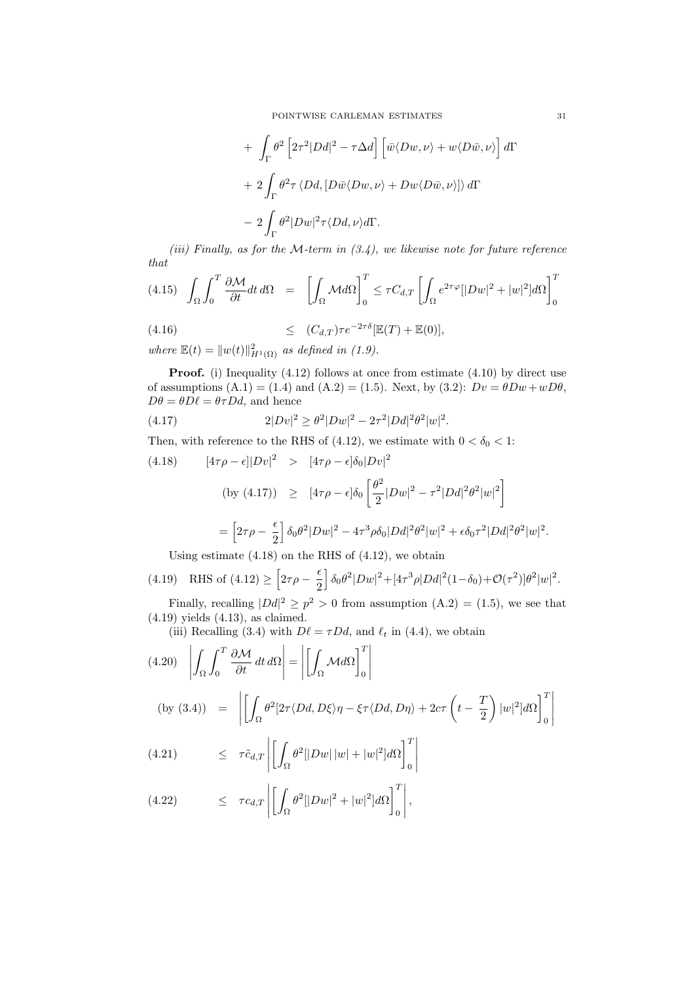+ 
$$
\int_{\Gamma} \theta^2 \left[ 2\tau^2 |D d|^2 - \tau \Delta d \right] \left[ \bar{w} \langle Dw, \nu \rangle + w \langle D \bar{w}, \nu \rangle \right] d\Gamma
$$
  
+  $2 \int_{\Gamma} \theta^2 \tau \langle D d, [D \bar{w} \langle Dw, \nu \rangle + Dw \langle D \bar{w}, \nu \rangle] \rangle d\Gamma$   
-  $2 \int_{\Gamma} \theta^2 |D w|^2 \tau \langle D d, \nu \rangle d\Gamma$ .

(iii) Finally, as for the M-term in  $(3.4)$ , we likewise note for future reference that

$$
(4.15)\quad \int_{\Omega} \int_0^T \frac{\partial \mathcal{M}}{\partial t} dt \, d\Omega \quad = \quad \left[ \int_{\Omega} \mathcal{M} d\Omega \right]_0^T \le \tau C_{d,T} \left[ \int_{\Omega} e^{2\tau \varphi} [|Dw|^2 + |w|^2] d\Omega \right]_0^T
$$

$$
(4.16) \qquad \qquad \leq \qquad (C_{d,T})\tau e^{-2\tau\delta}[\mathbb{E}(T)+\mathbb{E}(0)],
$$

where  $\mathbb{E}(t) = ||w(t)||_{H^1(\Omega)}^2$  as defined in (1.9).

**Proof.** (i) Inequality (4.12) follows at once from estimate (4.10) by direct use of assumptions  $(A.1) = (1.4)$  and  $(A.2) = (1.5)$ . Next, by  $(3.2)$ :  $Dv = \theta Dw + wD\theta$ ,  $D\theta = \theta D\ell = \theta \tau Dd$ , and hence

(4.17) 
$$
2|Dv|^2 \geq \theta^2|Dw|^2 - 2\tau^2|Dd|^2\theta^2|w|^2.
$$

Then, with reference to the RHS of (4.12), we estimate with  $0 < \delta_0 < 1$ :

(4.18) 
$$
[4\tau\rho - \epsilon]|Dv|^2 > [4\tau\rho - \epsilon]\delta_0|Dv|^2
$$
  
\n(by (4.17)) 
$$
\geq [4\tau\rho - \epsilon]\delta_0 \left[\frac{\theta^2}{2}|Dw|^2 - \tau^2|Dd|^2\theta^2|w|^2\right]
$$

$$
= \left[2\tau\rho - \frac{\epsilon}{2}\right]\delta_0\theta^2|Dw|^2 - 4\tau^3\rho\delta_0|Dd|^2\theta^2|w|^2 + \epsilon\delta_0\tau^2|Dd|^2\theta^2|w|^2.
$$

Using estimate  $(4.18)$  on the RHS of  $(4.12)$ , we obtain

(4.19) RHS of (4.12) 
$$
\geq \left[2\tau\rho - \frac{\epsilon}{2}\right] \delta_0 \theta^2 |Dw|^2 + [4\tau^3 \rho |Dd|^2 (1 - \delta_0) + \mathcal{O}(\tau^2)] \theta^2 |w|^2.
$$

Finally, recalling  $|Dd|^2 \ge p^2 > 0$  from assumption  $(A.2) = (1.5)$ , we see that (4.19) yields (4.13), as claimed.

(iii) Recalling (3.4) with  $D\ell = \tau Dd$ , and  $\ell_t$  in (4.4), we obtain

(4.20) 
$$
\left| \int_{\Omega} \int_{0}^{T} \frac{\partial M}{\partial t} dt \, d\Omega \right| = \left| \left[ \int_{\Omega} M d\Omega \right]_{0}^{T} \right|
$$
  
(by (3.4)) 
$$
= \left| \left[ \int_{\Omega} \theta^{2} [2\tau \langle Dd, D\xi \rangle \eta - \xi \tau \langle Dd, D\eta \rangle + 2c\tau \left( t - \frac{T}{2} \right) |w|^{2} |d\Omega \right]_{0}^{T} \right|
$$

(4.21) 
$$
\leq \tau \tilde{c}_{d,T} \left| \left[ \int_{\Omega} \theta^2 [|Dw| \, |w| + |w|^2] d\Omega \right]_0^T \right|
$$

(4.22) 
$$
\leq \tau c_{d,T} \left| \left[ \int_{\Omega} \theta^2 [|Dw|^2 + |w|^2] d\Omega \right]_0^T \right|,
$$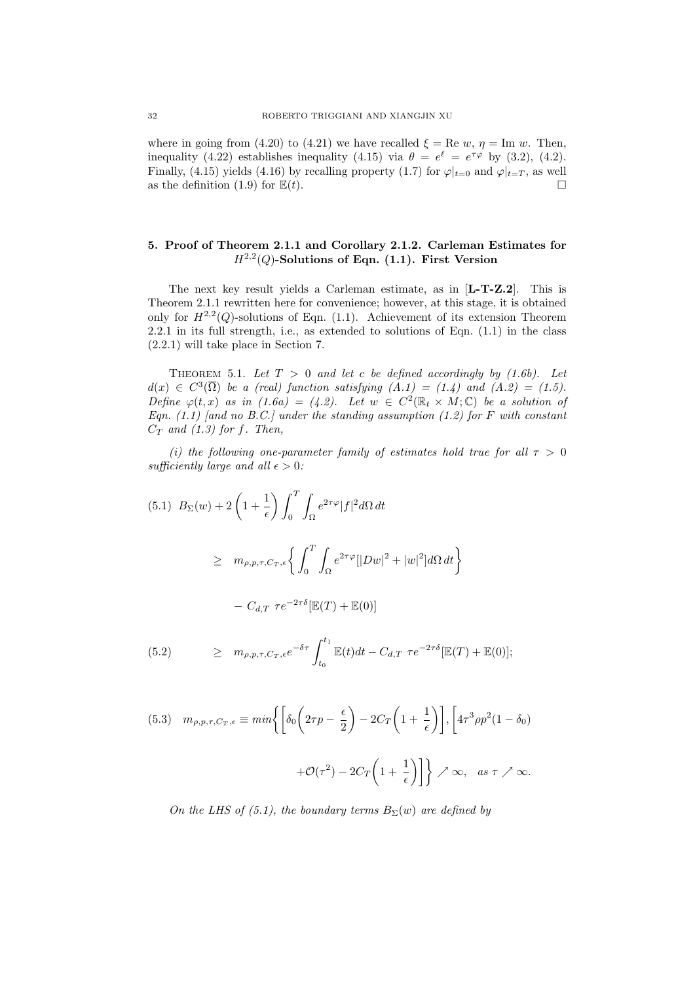where in going from (4.20) to (4.21) we have recalled  $\xi = \text{Re } w, \eta = \text{Im } w$ . Then, inequality (4.22) establishes inequality (4.15) via  $\theta = e^{\ell} = e^{\tau \varphi}$  by (3.2), (4.2). Finally, (4.15) yields (4.16) by recalling property (1.7) for  $\varphi|_{t=0}$  and  $\varphi|_{t=T}$ , as well as the definition (1.9) for  $\mathbb{E}(t)$ .

## 5. Proof of Theorem 2.1.1 and Corollary 2.1.2. Carleman Estimates for  $H^{2,2}(Q)$ -Solutions of Eqn. (1.1). First Version

The next key result yields a Carleman estimate, as in [L-T-Z.2]. This is Theorem 2.1.1 rewritten here for convenience; however, at this stage, it is obtained only for  $H^{2,2}(Q)$ -solutions of Eqn. (1.1). Achievement of its extension Theorem 2.2.1 in its full strength, i.e., as extended to solutions of Eqn. (1.1) in the class (2.2.1) will take place in Section 7.

THEOREM 5.1. Let  $T > 0$  and let c be defined accordingly by (1.6b). Let  $d(x) \in C^3(\overline{\Omega})$  be a (real) function satisfying  $(A.1) = (1.4)$  and  $(A.2) = (1.5)$ . Define  $\varphi(t,x)$  as in  $(1.6a) = (4.2)$ . Let  $w \in C^2(\mathbb{R}_t \times M; \mathbb{C})$  be a solution of Eqn. (1.1) [and no B.C.] under the standing assumption (1.2) for F with constant  $C_T$  and (1.3) for f. Then,

(i) the following one-parameter family of estimates hold true for all  $\tau > 0$ sufficiently large and all  $\epsilon > 0$ :

$$
(5.1) \ B_{\Sigma}(w) + 2\left(1 + \frac{1}{\epsilon}\right) \int_0^T \int_{\Omega} e^{2\tau \varphi} |f|^2 d\Omega dt
$$
  

$$
\geq m_{\rho, p, \tau, C_T, \epsilon} \left\{ \int_0^T \int_{\Omega} e^{2\tau \varphi} |Dw|^2 + |w|^2 |d\Omega dt \right\}
$$
  

$$
- C_{d,T} \ \tau e^{-2\tau \delta} [\mathbb{E}(T) + \mathbb{E}(0)]
$$

(5.2) 
$$
\geq m_{\rho,p,\tau,C_T,\epsilon}e^{-\delta\tau}\int_{t_0}^{t_1}\mathbb{E}(t)dt-C_{d,T}\ \tau e^{-2\tau\delta}[\mathbb{E}(T)+\mathbb{E}(0)];
$$

(5.3) 
$$
m_{\rho,p,\tau,C_T,\epsilon} \equiv \min \left\{ \left[ \delta_0 \left( 2\tau p - \frac{\epsilon}{2} \right) - 2C_T \left( 1 + \frac{1}{\epsilon} \right) \right], \left[ 4\tau^3 \rho p^2 (1 - \delta_0) + \mathcal{O}(\tau^2) - 2C_T \left( 1 + \frac{1}{\epsilon} \right) \right] \right\} \nearrow \infty, \text{ as } \tau \nearrow \infty.
$$

On the LHS of (5.1), the boundary terms  $B_{\Sigma}(w)$  are defined by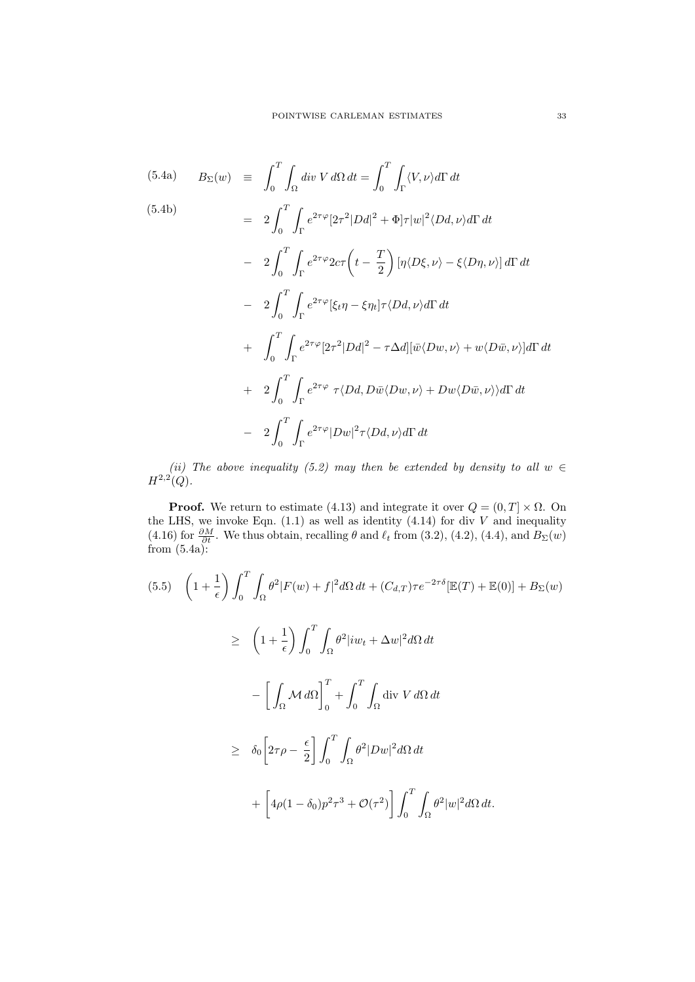(5.4a) 
$$
B_{\Sigma}(w) = \int_0^T \int_{\Omega} \operatorname{div} V \, d\Omega \, dt = \int_0^T \int_{\Gamma} \langle V, \nu \rangle d\Gamma \, dt
$$
\n(5.4b) 
$$
= 2 \int_0^T \int_{\Gamma} e^{2\tau \varphi} [2\tau^2 |Dd|^2 + \Phi] \tau |w|^2 \langle Dd, \nu \rangle d\Gamma \, dt
$$
\n
$$
- 2 \int_0^T \int_{\Gamma} e^{2\tau \varphi} 2c\tau \left( t - \frac{T}{2} \right) [\eta \langle D\xi, \nu \rangle - \xi \langle D\eta, \nu \rangle] \, d\Gamma \, dt
$$
\n
$$
- 2 \int_0^T \int_{\Gamma} e^{2\tau \varphi} [\xi_t \eta - \xi \eta_t] \tau \langle Dd, \nu \rangle d\Gamma \, dt
$$
\n
$$
+ \int_0^T \int_{\Gamma} e^{2\tau \varphi} [2\tau^2 |Dd|^2 - \tau \Delta d] [\bar{w} \langle Dw, \nu \rangle + w \langle D\bar{w}, \nu \rangle] d\Gamma \, dt
$$
\n
$$
+ 2 \int_0^T \int_{\Gamma} e^{2\tau \varphi} \tau \langle Dd, D\bar{w} \langle Dw, \nu \rangle + Dw \langle D\bar{w}, \nu \rangle \rangle d\Gamma \, dt
$$
\n
$$
- 2 \int_0^T \int_{\Gamma} e^{2\tau \varphi} |Dw|^2 \tau \langle Dd, \nu \rangle d\Gamma \, dt
$$

(ii) The above inequality (5.2) may then be extended by density to all  $w \in$  $H^{2,2}(Q)$ .

**Proof.** We return to estimate (4.13) and integrate it over  $Q = (0, T] \times \Omega$ . On the LHS, we invoke Eqn.  $(1.1)$  as well as identity  $(4.14)$  for div V and inequality (4.16) for  $\frac{\partial M}{\partial t}$ . We thus obtain, recalling  $\theta$  and  $\ell_t$  from (3.2), (4.2), (4.4), and  $B_{\Sigma}(w)$ from (5.4a):

$$
(5.5) \quad \left(1 + \frac{1}{\epsilon}\right) \int_0^T \int_\Omega \theta^2 |F(w) + f|^2 d\Omega dt + (C_{d,T})\tau e^{-2\tau\delta} [\mathbb{E}(T) + \mathbb{E}(0)] + B_{\Sigma}(w) \n\geq \left(1 + \frac{1}{\epsilon}\right) \int_0^T \int_\Omega \theta^2 |iw_t + \Delta w|^2 d\Omega dt \n- \left[\int_\Omega \mathcal{M} d\Omega\right]_0^T + \int_0^T \int_\Omega \text{div } V d\Omega dt \n\geq \delta_0 \left[2\tau \rho - \frac{\epsilon}{2}\right] \int_0^T \int_\Omega \theta^2 |Dw|^2 d\Omega dt \n+ \left[4\rho(1 - \delta_0)p^2 \tau^3 + \mathcal{O}(\tau^2)\right] \int_0^T \int_\Omega \theta^2 |w|^2 d\Omega dt.
$$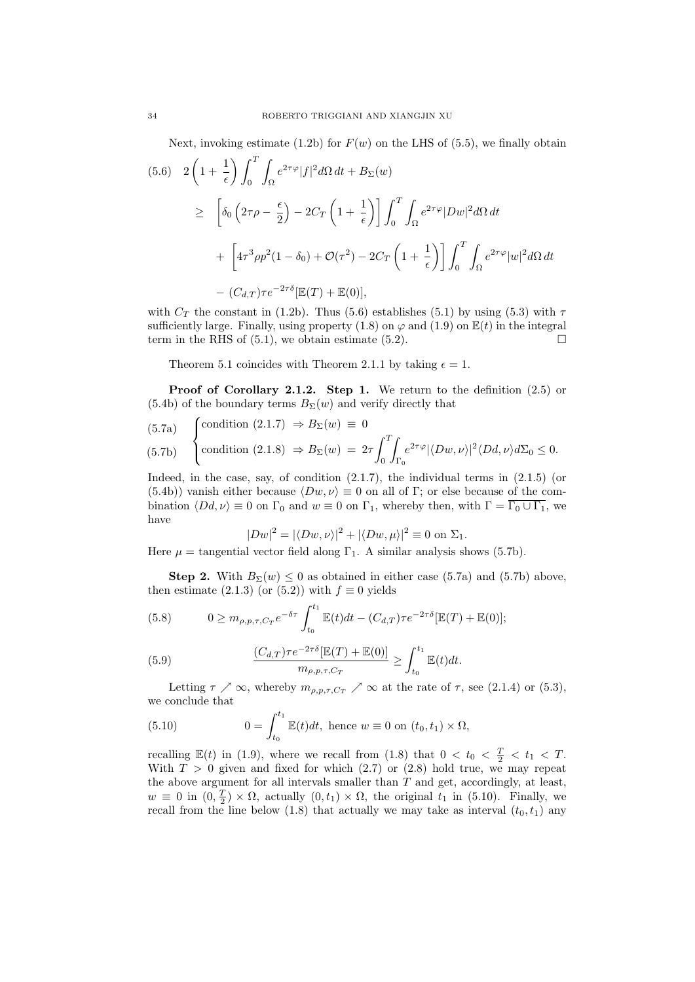Next, invoking estimate (1.2b) for  $F(w)$  on the LHS of (5.5), we finally obtain

$$
(5.6) \quad 2\left(1+\frac{1}{\epsilon}\right) \int_0^T \int_{\Omega} e^{2\tau \varphi} |f|^2 d\Omega dt + B_{\Sigma}(w)
$$
  
\n
$$
\geq \left[\delta_0 \left(2\tau \rho - \frac{\epsilon}{2}\right) - 2C_T \left(1+\frac{1}{\epsilon}\right)\right] \int_0^T \int_{\Omega} e^{2\tau \varphi} |Dw|^2 d\Omega dt
$$
  
\n
$$
+ \left[4\tau^3 \rho p^2 (1-\delta_0) + \mathcal{O}(\tau^2) - 2C_T \left(1+\frac{1}{\epsilon}\right)\right] \int_0^T \int_{\Omega} e^{2\tau \varphi} |w|^2 d\Omega dt
$$
  
\n
$$
- (C_{d,T}) \tau e^{-2\tau \delta} [\mathbb{E}(T) + \mathbb{E}(0)],
$$

with  $C_T$  the constant in (1.2b). Thus (5.6) establishes (5.1) by using (5.3) with  $\tau$ sufficiently large. Finally, using property (1.8) on  $\varphi$  and (1.9) on  $\mathbb{E}(t)$  in the integral term in the RHS of (5.1), we obtain estimate (5.2).  $\square$ 

Theorem 5.1 coincides with Theorem 2.1.1 by taking  $\epsilon = 1$ .

Proof of Corollary 2.1.2. Step 1. We return to the definition  $(2.5)$  or  $(5.4b)$  of the boundary terms  $B_{\Sigma}(w)$  and verify directly that

(5.7a) 
$$
\begin{cases} \text{condition } (2.1.7) \Rightarrow B_{\Sigma}(w) \equiv 0 \\ \text{condition } (2.1.8) \Rightarrow B_{\Sigma}(w) = 2\tau \int_0^T \int_{\Gamma_0} e^{2\tau \varphi} |\langle Dw, \nu \rangle|^2 \langle Dd, \nu \rangle d\Sigma_0 \le 0. \end{cases}
$$

Indeed, in the case, say, of condition  $(2.1.7)$ , the individual terms in  $(2.1.5)$  (or (5.4b)) vanish either because  $\langle Dw, \nu \rangle \equiv 0$  on all of Γ; or else because of the combination  $\langle Dd, \nu \rangle \equiv 0$  on  $\Gamma_0$  and  $w \equiv 0$  on  $\Gamma_1$ , whereby then, with  $\Gamma = \overline{\Gamma_0 \cup \Gamma_1}$ , we have

$$
|Dw|^2 = |\langle Dw, \nu \rangle|^2 + |\langle Dw, \mu \rangle|^2 \equiv 0 \text{ on } \Sigma_1.
$$

Here  $\mu$  = tangential vector field along  $\Gamma_1$ . A similar analysis shows (5.7b).

**Step 2.** With  $B_{\Sigma}(w) \leq 0$  as obtained in either case (5.7a) and (5.7b) above, then estimate (2.1.3) (or (5.2)) with  $f \equiv 0$  yields

(5.8) 
$$
0 \geq m_{\rho,p,\tau,C_T} e^{-\delta \tau} \int_{t_0}^{t_1} \mathbb{E}(t) dt - (C_{d,T}) \tau e^{-2\tau \delta} [\mathbb{E}(T) + \mathbb{E}(0)];
$$

(5.9) 
$$
\frac{(C_{d,T})\tau e^{-2\tau\delta}[\mathbb{E}(T)+\mathbb{E}(0)]}{m_{\rho,p,\tau,C_T}} \geq \int_{t_0}^{t_1} \mathbb{E}(t)dt.
$$

Letting  $\tau \nearrow \infty$ , whereby  $m_{\rho, p, \tau, C_T} \nearrow \infty$  at the rate of  $\tau$ , see (2.1.4) or (5.3), we conclude that

(5.10) 
$$
0 = \int_{t_0}^{t_1} \mathbb{E}(t) dt, \text{ hence } w \equiv 0 \text{ on } (t_0, t_1) \times \Omega,
$$

recalling  $\mathbb{E}(t)$  in (1.9), where we recall from (1.8) that  $0 < t_0 < \frac{T}{2} < t_1 < T$ . With  $T > 0$  given and fixed for which  $(2.7)$  or  $(2.8)$  hold true, we may repeat the above argument for all intervals smaller than  $T$  and get, accordingly, at least,  $w \equiv 0$  in  $(0, \frac{T}{2}) \times \Omega$ , actually  $(0, t_1) \times \Omega$ , the original  $t_1$  in (5.10). Finally, we recall from the line below (1.8) that actually we may take as interval  $(t_0, t_1)$  any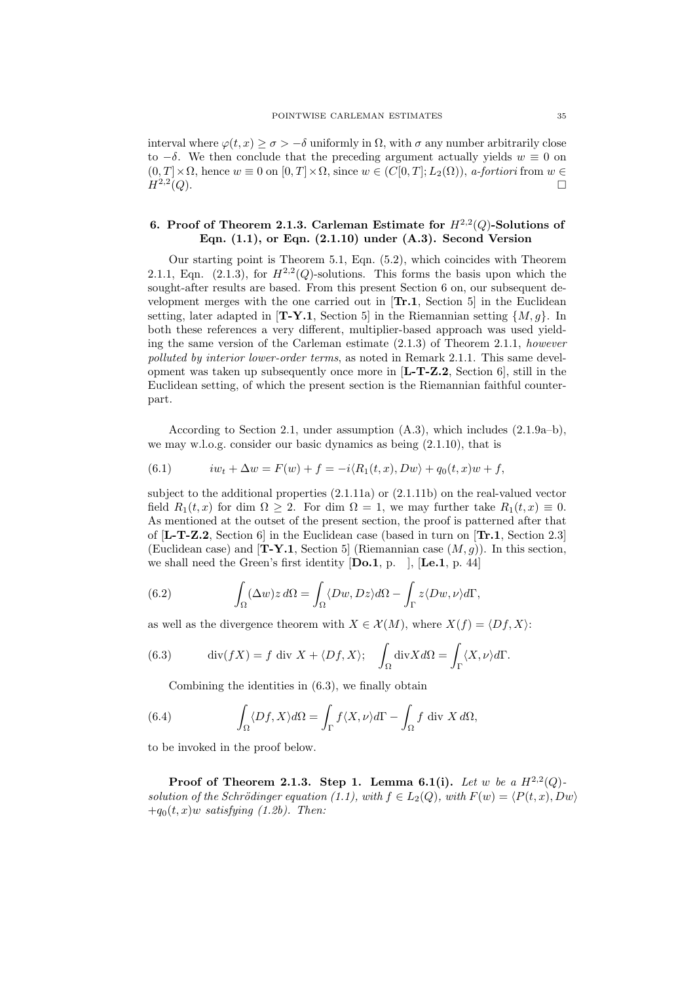interval where  $\varphi(t, x) \geq \sigma > -\delta$  uniformly in  $\Omega$ , with  $\sigma$  any number arbitrarily close to  $-\delta$ . We then conclude that the preceding argument actually yields  $w \equiv 0$  on  $(0, T] \times \Omega$ , hence  $w \equiv 0$  on  $[0, T] \times \Omega$ , since  $w \in (C[0, T]; L_2(\Omega))$ , *a-fortiori* from  $w \in$  $H^{2,2}(Q)$ .  $(Q).$ 

## 6. Proof of Theorem 2.1.3. Carleman Estimate for  $H^{2,2}(Q)$ -Solutions of Eqn.  $(1.1)$ , or Eqn.  $(2.1.10)$  under  $(A.3)$ . Second Version

Our starting point is Theorem 5.1, Eqn. (5.2), which coincides with Theorem 2.1.1, Eqn. (2.1.3), for  $H^{2,2}(Q)$ -solutions. This forms the basis upon which the sought-after results are based. From this present Section 6 on, our subsequent development merges with the one carried out in  $[Tr.1, Section 5]$  in the Euclidean setting, later adapted in [**T-Y.1**, Section 5] in the Riemannian setting  $\{M, g\}$ . In both these references a very different, multiplier-based approach was used yielding the same version of the Carleman estimate  $(2.1.3)$  of Theorem 2.1.1, however polluted by interior lower-order terms, as noted in Remark 2.1.1. This same development was taken up subsequently once more in  $[L-T-Z.2, Section 6]$ , still in the Euclidean setting, of which the present section is the Riemannian faithful counterpart.

According to Section 2.1, under assumption (A.3), which includes (2.1.9a–b), we may w.l.o.g. consider our basic dynamics as being (2.1.10), that is

(6.1) 
$$
iw_t + \Delta w = F(w) + f = -i \langle R_1(t, x), Dw \rangle + q_0(t, x)w + f,
$$

subject to the additional properties (2.1.11a) or (2.1.11b) on the real-valued vector field  $R_1(t, x)$  for dim  $\Omega > 2$ . For dim  $\Omega = 1$ , we may further take  $R_1(t, x) \equiv 0$ . As mentioned at the outset of the present section, the proof is patterned after that of  $[L-T-Z.2, Section 6]$  in the Euclidean case (based in turn on  $[Tr.1, Section 2.3]$ (Euclidean case) and  $[T-Y.1,$  Section 5 (Riemannian case  $(M, g)$ ). In this section, we shall need the Green's first identity  $[\mathbf{Do.1}, \mathbf{p.} \quad]$ ,  $[\mathbf{Le.1}, \mathbf{p. 44}]$ 

(6.2) 
$$
\int_{\Omega} (\Delta w) z \, d\Omega = \int_{\Omega} \langle Dw, Dz \rangle d\Omega - \int_{\Gamma} z \langle Dw, \nu \rangle d\Gamma,
$$

as well as the divergence theorem with  $X \in \mathcal{X}(M)$ , where  $X(f) = \langle Df, X \rangle$ :

(6.3) 
$$
\operatorname{div}(fX) = f \operatorname{div} X + \langle Df, X \rangle; \quad \int_{\Omega} \operatorname{div} X d\Omega = \int_{\Gamma} \langle X, \nu \rangle d\Gamma.
$$

Combining the identities in (6.3), we finally obtain

(6.4) 
$$
\int_{\Omega} \langle Df, X \rangle d\Omega = \int_{\Gamma} f \langle X, \nu \rangle d\Gamma - \int_{\Omega} f \operatorname{div} X d\Omega,
$$

to be invoked in the proof below.

Proof of Theorem 2.1.3. Step 1. Lemma 6.1(i). Let w be a  $H^{2,2}(Q)$ . solution of the Schrödinger equation (1.1), with  $f \in L_2(Q)$ , with  $F(w) = \langle P(t, x), Dw \rangle$  $+q_0(t, x)$ w satisfying (1.2b). Then: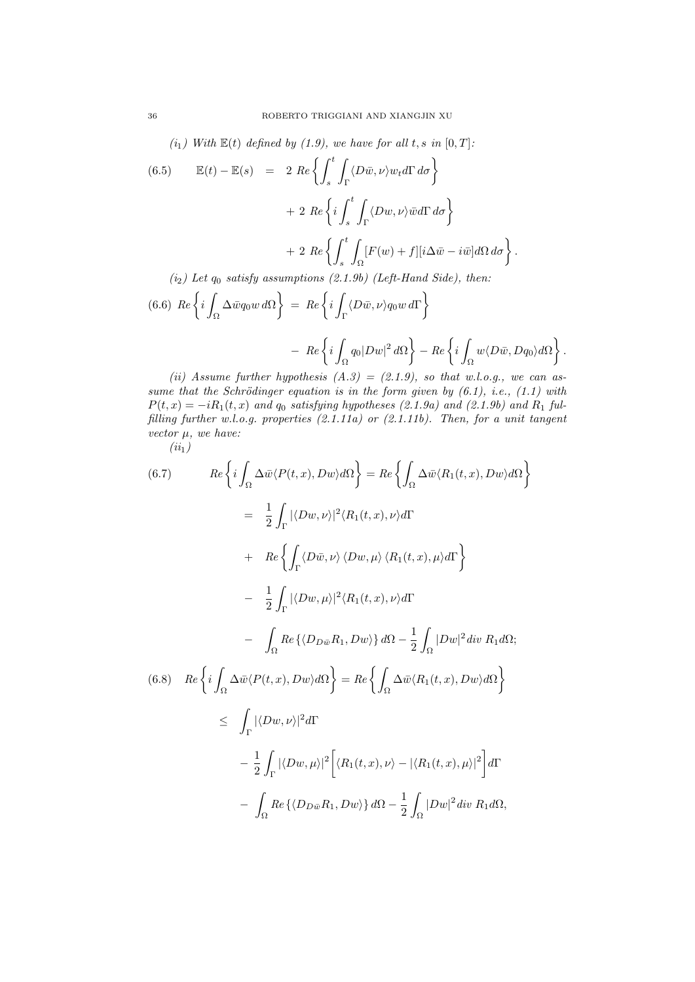(i<sub>1</sub>) With  $\mathbb{E}(t)$  defined by (1.9), we have for all t, s in  $[0, T]$ :

(6.5) 
$$
\mathbb{E}(t) - \mathbb{E}(s) = 2 \operatorname{Re} \left\{ \int_{s}^{t} \int_{\Gamma} \langle D\bar{w}, \nu \rangle w_t d\Gamma d\sigma \right\} + 2 \operatorname{Re} \left\{ i \int_{s}^{t} \int_{\Gamma} \langle Dw, \nu \rangle \bar{w} d\Gamma d\sigma \right\} + 2 \operatorname{Re} \left\{ \int_{s}^{t} \int_{\Omega} [F(w) + f][i\Delta \bar{w} - i\bar{w}] d\Omega d\sigma \right\}.
$$
  
(i<sub>2</sub>) Let  $q_0$  satisfy assumptions (2.1.9b) (Left-Hand Side), then:

(6.6) 
$$
Re\left\{i\int_{\Omega}\Delta\bar{w}q_0w\,d\Omega\right\} = Re\left\{i\int_{\Gamma}\langle D\bar{w},\nu\rangle q_0w\,d\Gamma\right\}
$$
  

$$
- Re\left\{i\int_{\Omega}q_0|Dw|^2\,d\Omega\right\} - Re\left\{i\int_{\Omega}w\langle D\bar{w},Dq_0\rangle d\Omega\right\}.
$$

(ii) Assume further hypothesis  $(A.3) = (2.1.9)$ , so that w.l.o.g., we can assume that the Schrödinger equation is in the form given by  $(6.1)$ , i.e.,  $(1.1)$  with  $P(t, x) = -iR_1(t, x)$  and  $q_0$  satisfying hypotheses (2.1.9a) and (2.1.9b) and  $R_1$  fulfilling further w.l.o.g. properties (2.1.11a) or (2.1.11b). Then, for a unit tangent vector  $\mu$ , we have:

 $(ii<sub>1</sub>)$ 

(6.7) 
$$
Re\left\{i\int_{\Omega}\Delta\bar{w}\langle P(t,x), Dw\rangle d\Omega\right\} = Re\left\{\int_{\Omega}\Delta\bar{w}\langle R_{1}(t,x), Dw\rangle d\Omega\right\}
$$

$$
= \frac{1}{2}\int_{\Gamma}|\langle Dw, \nu\rangle|^{2}\langle R_{1}(t,x), \nu\rangle d\Gamma
$$

$$
+ Re\left\{\int_{\Gamma}\langle D\bar{w}, \nu\rangle\langle Dw, \mu\rangle\langle R_{1}(t,x), \mu\rangle d\Gamma\right\}
$$

$$
- \frac{1}{2}\int_{\Gamma}|\langle Dw, \mu\rangle|^{2}\langle R_{1}(t,x), \nu\rangle d\Gamma
$$

$$
- \int_{\Omega}Re\{\langle D_{D\bar{w}}R_{1}, Dw\rangle\} d\Omega - \frac{1}{2}\int_{\Omega}|Dw|^{2}div R_{1}d\Omega;
$$
  
(6.8) 
$$
Re\left\{i\int_{\Omega}\Delta\bar{w}\langle P(t,x), Dw\rangle d\Omega\right\} = Re\left\{\int_{\Omega}\Delta\bar{w}\langle R_{1}(t,x), Dw\rangle d\Omega\right\}
$$

$$
\leq \int_{\Gamma}|\langle Dw, \nu\rangle|^{2}d\Gamma
$$

$$
- \frac{1}{2}\int_{\Gamma}|\langle Dw, \mu\rangle|^{2}\left[\langle R_{1}(t,x), \nu\rangle - |\langle R_{1}(t,x), \mu\rangle|^{2}\right]d\Gamma
$$

$$
- \int_{\Omega}Re\left\{\langle D_{D\bar{w}}R_{1}, Dw\rangle\right\} d\Omega - \frac{1}{2}\int_{\Omega}|Dw|^{2}div R_{1}d\Omega,
$$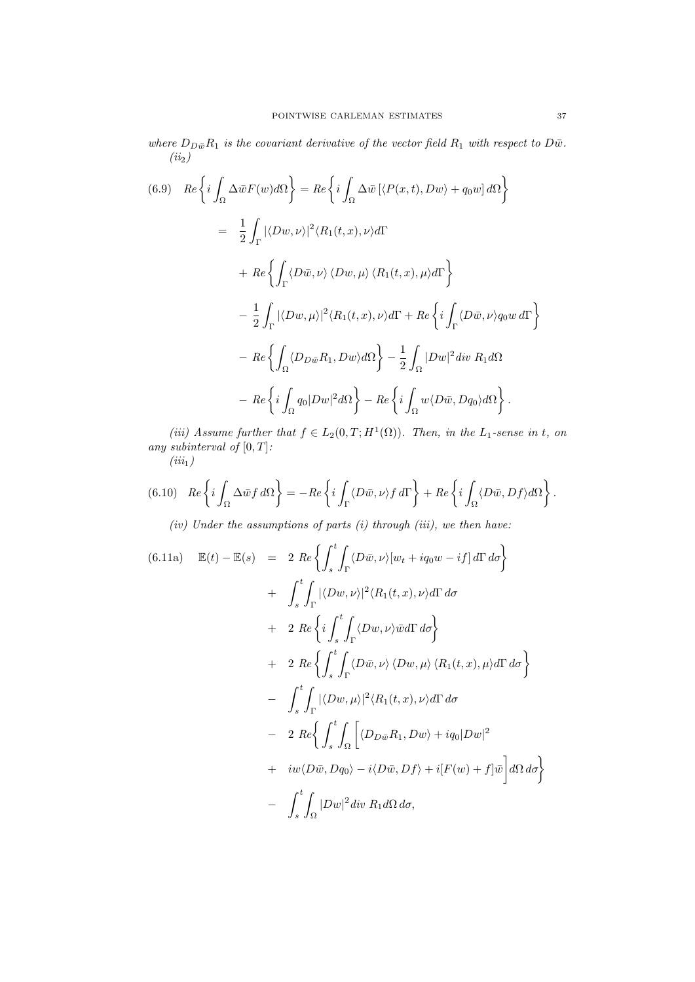where  $D_{D\bar{w}}R_1$  is the covariant derivative of the vector field  $R_1$  with respect to  $D\bar{w}$ .  $(ii_2)$ 

(6.9) 
$$
Re\left\{i\int_{\Omega}\Delta\bar{w}F(w)d\Omega\right\} = Re\left\{i\int_{\Omega}\Delta\bar{w}[(P(x,t),Dw)+q_0w]d\Omega\right\}
$$

$$
= \frac{1}{2}\int_{\Gamma}|\langle Dw,\nu\rangle|^2\langle R_1(t,x),\nu\rangle d\Gamma
$$

$$
+ Re\left\{\int_{\Gamma}\langle D\bar{w},\nu\rangle\langle Dw,\mu\rangle\langle R_1(t,x),\mu\rangle d\Gamma\right\}
$$

$$
- \frac{1}{2}\int_{\Gamma}|\langle Dw,\mu\rangle|^2\langle R_1(t,x),\nu\rangle d\Gamma + Re\left\{i\int_{\Gamma}\langle D\bar{w},\nu\rangle q_0w d\Gamma\right\}
$$

$$
- Re\left\{\int_{\Omega}\langle D_{D\bar{w}}R_1,Dw\rangle d\Omega\right\} - \frac{1}{2}\int_{\Omega}|Dw|^2\,div\,R_1d\Omega
$$

$$
- Re\left\{i\int_{\Omega}q_0|Dw|^2d\Omega\right\} - Re\left\{i\int_{\Omega}w\langle D\bar{w},Dq_0\rangle d\Omega\right\}.
$$

(iii) Assume further that  $f \in L_2(0,T;H^1(\Omega))$ . Then, in the L<sub>1</sub>-sense in t, on any subinterval of  $[0, T]$ :

 $(iii_1)$ 

$$
(6.10) \quad Re\left\{i\int_{\Omega}\Delta\bar{w}f\,d\Omega\right\} = -Re\left\{i\int_{\Gamma}\langle D\bar{w},\nu\rangle f\,d\Gamma\right\} + Re\left\{i\int_{\Omega}\langle D\bar{w},Df\rangle d\Omega\right\}.
$$

(iv) Under the assumptions of parts  $(i)$  through  $(iii)$ , we then have:

$$
(6.11a) \quad \mathbb{E}(t) - \mathbb{E}(s) = 2 \operatorname{Re} \left\{ \int_{s}^{t} \int_{\Gamma} \langle D\bar{w}, \nu \rangle [w_t + iq_0 w - if] d\Gamma d\sigma \right\} + \int_{s}^{t} \int_{\Gamma} |\langle Dw, \nu \rangle|^2 \langle R_1(t, x), \nu \rangle d\Gamma d\sigma + 2 \operatorname{Re} \left\{ i \int_{s}^{t} \int_{\Gamma} \langle Dw, \nu \rangle \bar{w} d\Gamma d\sigma \right\} + 2 \operatorname{Re} \left\{ \int_{s}^{t} \int_{\Gamma} \langle Dw, \nu \rangle \langle Dw, \mu \rangle \langle R_1(t, x), \mu \rangle d\Gamma d\sigma \right\} - \int_{s}^{t} \int_{\Gamma} |\langle Dw, \mu \rangle|^2 \langle R_1(t, x), \nu \rangle d\Gamma d\sigma - 2 \operatorname{Re} \left\{ \int_{s}^{t} \int_{\Omega} \left[ \langle D_{D\bar{w}} R_1, Dw \rangle + iq_0 |Dw|^2 \right. + iw \langle D\bar{w}, Dq_0 \rangle - i \langle D\bar{w}, Df \rangle + i[F(w) + f]\bar{w} \right] d\Omega d\sigma \right\} - \int_{s}^{t} \int_{\Omega} |Dw|^2 \operatorname{div} R_1 d\Omega d\sigma,
$$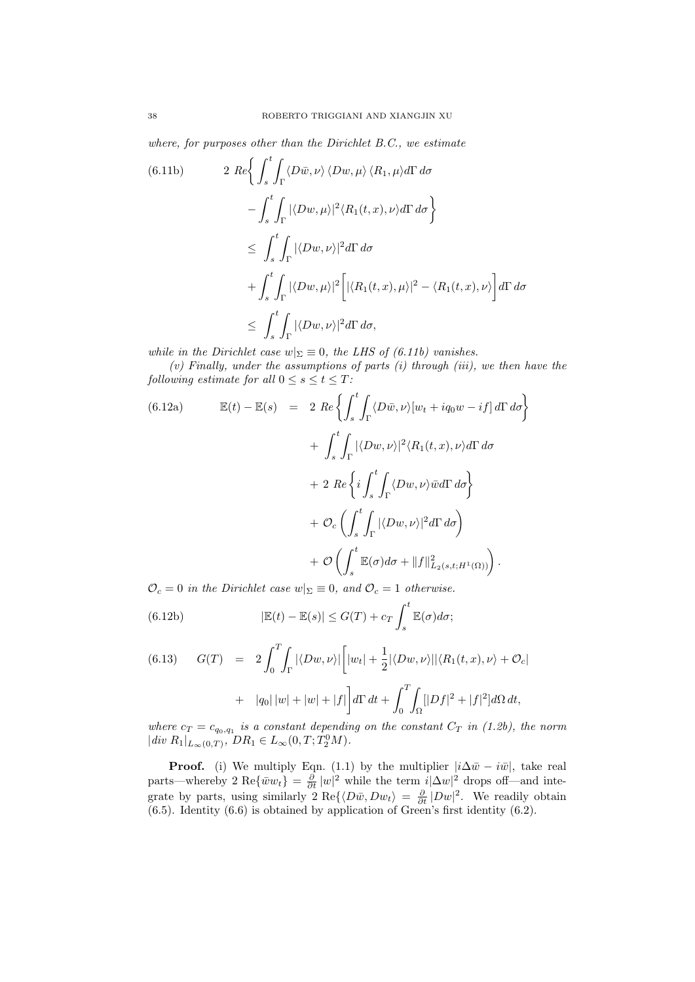where, for purposes other than the Dirichlet B.C., we estimate

$$
(6.11b) \t2 Re \left\{ \int_{s}^{t} \int_{\Gamma} \langle D\bar{w}, \nu \rangle \langle Dw, \mu \rangle \langle R_{1}, \mu \rangle d\Gamma d\sigma - \int_{s}^{t} \int_{\Gamma} |\langle Dw, \mu \rangle|^{2} \langle R_{1}(t, x), \nu \rangle d\Gamma d\sigma \right\}
$$
  

$$
\leq \int_{s}^{t} \int_{\Gamma} |\langle Dw, \nu \rangle|^{2} d\Gamma d\sigma
$$
  

$$
+ \int_{s}^{t} \int_{\Gamma} |\langle Dw, \mu \rangle|^{2} \left[ |\langle R_{1}(t, x), \mu \rangle|^{2} - \langle R_{1}(t, x), \nu \rangle \right] d\Gamma d\sigma
$$
  

$$
\leq \int_{s}^{t} \int_{\Gamma} |\langle Dw, \nu \rangle|^{2} d\Gamma d\sigma,
$$

while in the Dirichlet case  $w|_{\Sigma} \equiv 0$ , the LHS of (6.11b) vanishes.

 $(v)$  Finally, under the assumptions of parts  $(i)$  through  $(iii)$ , we then have the following estimate for all  $0 \leq s \leq t \leq T$ :

(6.12a) 
$$
\mathbb{E}(t) - \mathbb{E}(s) = 2 \operatorname{Re} \left\{ \int_{s}^{t} \int_{\Gamma} \langle D\bar{w}, \nu \rangle [w_t + iq_0 w - if] d\Gamma d\sigma \right\} + \int_{s}^{t} \int_{\Gamma} |\langle Dw, \nu \rangle|^2 \langle R_1(t, x), \nu \rangle d\Gamma d\sigma + 2 \operatorname{Re} \left\{ i \int_{s}^{t} \int_{\Gamma} \langle Dw, \nu \rangle \bar{w} d\Gamma d\sigma \right\} + \mathcal{O}_c \left( \int_{s}^{t} \int_{\Gamma} |\langle Dw, \nu \rangle|^2 d\Gamma d\sigma \right) + \mathcal{O} \left( \int_{s}^{t} \mathbb{E}(\sigma) d\sigma + \|f\|_{L_2(s, t; H^1(\Omega))}^2 \right).
$$

 $\mathcal{O}_c = 0$  in the Dirichlet case  $w|_{\Sigma} \equiv 0$ , and  $\mathcal{O}_c = 1$  otherwise.

(6.12b) 
$$
|\mathbb{E}(t) - \mathbb{E}(s)| \leq G(T) + c_T \int_s^t \mathbb{E}(\sigma) d\sigma;
$$

(6.13) 
$$
G(T) = 2 \int_0^T \int_{\Gamma} |\langle Dw, \nu \rangle| \left[ |w_t| + \frac{1}{2} |\langle Dw, \nu \rangle| \right] \langle R_1(t, x), \nu \rangle + O_c| + |q_0| |w| + |w| + |f| \Big] d\Gamma dt + \int_0^T \int_{\Omega} [|Df|^2 + |f|^2] d\Omega dt,
$$

where  $c_T = c_{q_0,q_1}$  is a constant depending on the constant  $C_T$  in (1.2b), the norm  $|div R_1|_{L_{\infty}(0,T)}$ ,  $DR_1 \in L_{\infty}(0,T;T_2^0M)$ .

**Proof.** (i) We multiply Eqn. (1.1) by the multiplier  $|i\Delta \bar{w} - i\bar{w}|$ , take real parts—whereby 2 Re $\{\bar{w}w_t\} = \frac{\partial}{\partial t} |w|^2$  while the term  $i|\Delta w|^2$  drops off—and integrate by parts, using similarly  $2 \text{ Re}\{\langle D\bar{w}, Dw_t\rangle = \frac{\partial}{\partial t} |Dw|^2$ . We readily obtain (6.5). Identity (6.6) is obtained by application of Green's first identity (6.2).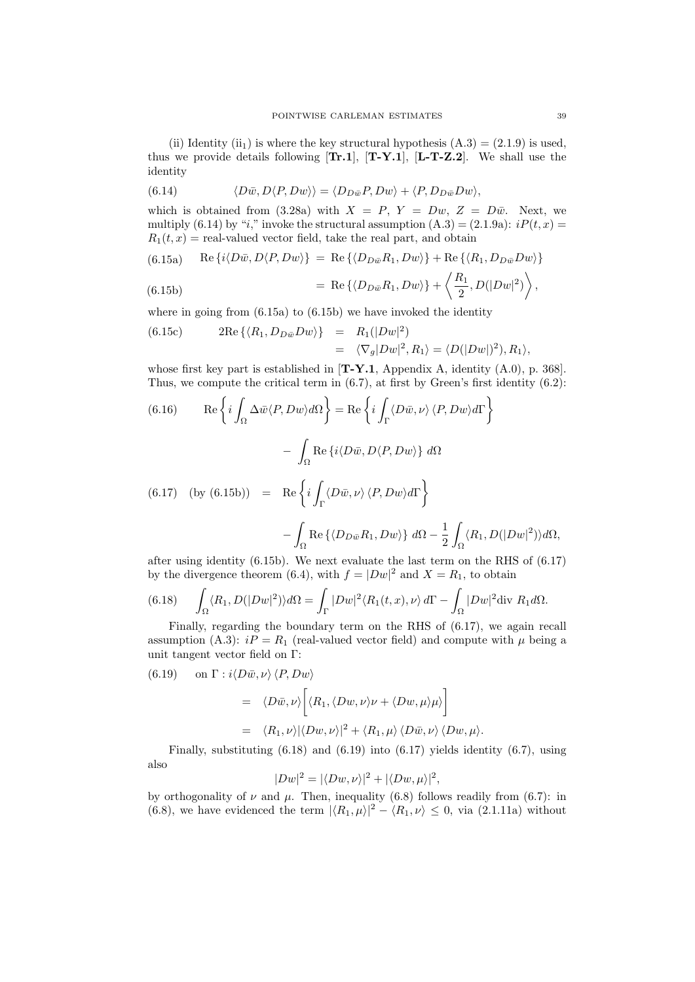(ii) Identity (ii<sub>1</sub>) is where the key structural hypothesis  $(A.3) = (2.1.9)$  is used, thus we provide details following  $[Tr.1]$ ,  $[T-Y.1]$ ,  $[L-T-Z.2]$ . We shall use the identity

(6.14) 
$$
\langle D\bar{w}, D\langle P, Dw \rangle \rangle = \langle D_{D\bar{w}}P, Dw \rangle + \langle P, D_{D\bar{w}}Dw \rangle,
$$

which is obtained from (3.28a) with  $X = P$ ,  $Y = Dw$ ,  $Z = D\bar{w}$ . Next, we multiply (6.14) by "i," invoke the structural assumption  $(A.3) = (2.1.9a)$ :  $iP(t, x) =$  $R_1(t, x)$  = real-valued vector field, take the real part, and obtain

(6.15a) Re 
$$
\{i\langle D\bar{w}, D\langle P, Dw \rangle\}
$$
 = Re  $\{\langle D_{D\bar{w}}R_1, Dw \rangle\}$  + Re  $\{\langle R_1, D_{D\bar{w}}Dw \rangle\}$ 

(6.15b) = Re 
$$
\left\{ \langle D_{D\bar{w}}R_1, Dw \rangle \right\} + \left\langle \frac{R_1}{2}, D(|Dw|^2) \right\rangle
$$
,

where in going from  $(6.15a)$  to  $(6.15b)$  we have invoked the identity

(6.15c) 
$$
2\text{Re}\left\{\langle R_1, D_{D\bar{w}}Dw\rangle\right\} = R_1(|Dw|^2) = \langle \nabla_g |Dw|^2, R_1 \rangle = \langle D(|Dw|)^2, R_1 \rangle,
$$

whose first key part is established in  $[T-Y.1$ , Appendix A, identity  $(A.0)$ , p. 368. Thus, we compute the critical term in (6.7), at first by Green's first identity (6.2):

(6.16) 
$$
\operatorname{Re}\left\{i\int_{\Omega}\Delta\bar{w}\langle P,Dw\rangle d\Omega\right\} = \operatorname{Re}\left\{i\int_{\Gamma}\langle D\bar{w},\nu\rangle\langle P,Dw\rangle d\Gamma\right\}
$$

$$
-\int_{\Omega}\operatorname{Re}\left\{i\langle D\bar{w},D\langle P,Dw\rangle\right\}d\Omega
$$
  
(6.17) 
$$
\text{(by (6.15b))} = \operatorname{Re}\left\{i\int_{\Gamma}\langle D\bar{w},\nu\rangle\langle P,Dw\rangle d\Gamma\right\}
$$

$$
-\int_{\Omega}\operatorname{Re}\left\{\langle D_{D\bar{w}}R_{1},Dw\rangle\right\}d\Omega - \frac{1}{2}\int_{\Omega}\langle R_{1},D(|Dw|^{2})\rangle d\Omega,
$$

after using identity (6.15b). We next evaluate the last term on the RHS of (6.17) by the divergence theorem (6.4), with  $f = |Dw|^2$  and  $X = R_1$ , to obtain

(6.18) 
$$
\int_{\Omega} \langle R_1, D(|Dw|^2) \rangle d\Omega = \int_{\Gamma} |Dw|^2 \langle R_1(t, x), \nu \rangle d\Gamma - \int_{\Omega} |Dw|^2 \text{div } R_1 d\Omega.
$$

Finally, regarding the boundary term on the RHS of (6.17), we again recall assumption (A.3):  $i = R_1$  (real-valued vector field) and compute with  $\mu$  being a unit tangent vector field on Γ:

(6.19) on 
$$
\Gamma : i \langle D\bar{w}, \nu \rangle \langle P, Dw \rangle
$$
  
\n
$$
= \langle D\bar{w}, \nu \rangle \left[ \langle R_1, \langle Dw, \nu \rangle \nu + \langle Dw, \mu \rangle \mu \rangle \right]
$$
\n
$$
= \langle R_1, \nu \rangle |\langle Dw, \nu \rangle|^2 + \langle R_1, \mu \rangle \langle D\bar{w}, \nu \rangle \langle Dw, \mu \rangle.
$$

Finally, substituting  $(6.18)$  and  $(6.19)$  into  $(6.17)$  yields identity  $(6.7)$ , using also

$$
|Dw|^2 = |\langle Dw, \nu \rangle|^2 + |\langle Dw, \mu \rangle|^2,
$$

by orthogonality of  $\nu$  and  $\mu$ . Then, inequality (6.8) follows readily from (6.7): in (6.8), we have evidenced the term  $|\langle R_1, \mu \rangle|^2 - \langle R_1, \nu \rangle \leq 0$ , via (2.1.11a) without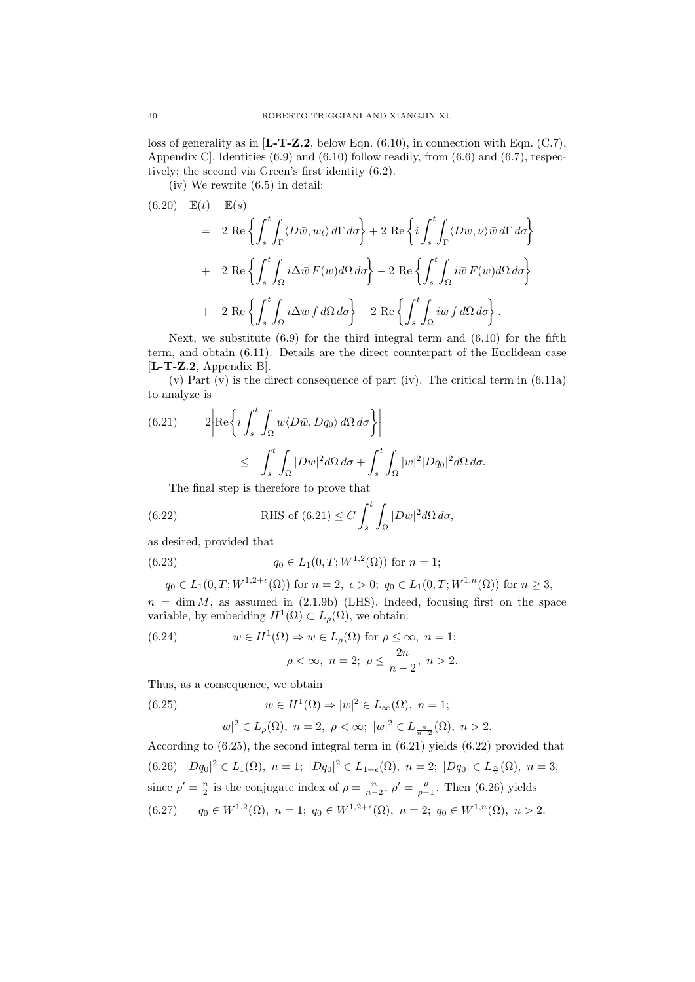loss of generality as in  $[L-T-Z.2,$  below Eqn. (6.10), in connection with Eqn. (C.7), Appendix C. Identities  $(6.9)$  and  $(6.10)$  follow readily, from  $(6.6)$  and  $(6.7)$ , respectively; the second via Green's first identity (6.2).

(iv) We rewrite (6.5) in detail:

$$
(6.20) \mathbb{E}(t) - \mathbb{E}(s)
$$
  
=  $2 \text{ Re } \left\{ \int_s^t \int_{\Gamma} \langle D\bar{w}, w_t \rangle d\Gamma d\sigma \right\} + 2 \text{ Re } \left\{ i \int_s^t \int_{\Gamma} \langle Dw, \nu \rangle \bar{w} d\Gamma d\sigma \right\}$   
+  $2 \text{ Re } \left\{ \int_s^t \int_{\Omega} i \Delta \bar{w} F(w) d\Omega d\sigma \right\} - 2 \text{ Re } \left\{ \int_s^t \int_{\Omega} i \bar{w} F(w) d\Omega d\sigma \right\}$   
+  $2 \text{ Re } \left\{ \int_s^t \int_{\Omega} i \Delta \bar{w} f d\Omega d\sigma \right\} - 2 \text{ Re } \left\{ \int_s^t \int_{\Omega} i \bar{w} f d\Omega d\sigma \right\}.$ 

Next, we substitute  $(6.9)$  for the third integral term and  $(6.10)$  for the fifth term, and obtain (6.11). Details are the direct counterpart of the Euclidean case [L-T-Z.2, Appendix B].

(v) Part  $(v)$  is the direct consequence of part (iv). The critical term in  $(6.11a)$ to analyze is

(6.21) 
$$
2\left| \operatorname{Re} \left\{ i \int_{s}^{t} \int_{\Omega} w \langle D\bar{w}, Dq_{0} \rangle d\Omega d\sigma \right\} \right|
$$
  

$$
\leq \int_{s}^{t} \int_{\Omega} |Dw|^{2} d\Omega d\sigma + \int_{s}^{t} \int_{\Omega} |w|^{2} |Dq_{0}|^{2} d\Omega d\sigma.
$$

The final step is therefore to prove that

(6.22) RHS of (6.21) 
$$
\leq C \int_{s}^{t} \int_{\Omega} |Dw|^2 d\Omega d\sigma
$$
,

as desired, provided that

(6.23) 
$$
q_0 \in L_1(0,T;W^{1,2}(\Omega))
$$
 for  $n = 1$ ;

$$
q_0 \in L_1(0,T;W^{1,2+\epsilon}(\Omega))
$$
 for  $n = 2$ ,  $\epsilon > 0$ ;  $q_0 \in L_1(0,T;W^{1,n}(\Omega))$  for  $n \ge 3$ ,

 $n = \dim M$ , as assumed in (2.1.9b) (LHS). Indeed, focusing first on the space variable, by embedding  $H^1(\Omega) \subset L_\rho(\Omega)$ , we obtain:

(6.24) 
$$
w \in H^{1}(\Omega) \Rightarrow w \in L_{\rho}(\Omega) \text{ for } \rho \leq \infty, n = 1;
$$

$$
\rho < \infty, n = 2; \ \rho \leq \frac{2n}{n-2}, n > 2.
$$

Thus, as a consequence, we obtain

(6.25) 
$$
w \in H^{1}(\Omega) \Rightarrow |w|^{2} \in L_{\infty}(\Omega), n = 1;
$$

$$
|w|^2 \in L_{\rho}(\Omega), \ n = 2, \ \rho < \infty; \ |w|^2 \in L_{\frac{n}{n-2}}(\Omega), \ n > 2.
$$

According to (6.25), the second integral term in (6.21) yields (6.22) provided that (6.26)  $|Dq_0|^2 \in L_1(\Omega)$ ,  $n = 1$ ;  $|Dq_0|^2 \in L_{1+\epsilon}(\Omega)$ ,  $n = 2$ ;  $|Dq_0| \in L_{\frac{n}{2}}(\Omega)$ ,  $n = 3$ , since  $\rho' = \frac{n}{2}$  is the conjugate index of  $\rho = \frac{n}{n-2}$ ,  $\rho' = \frac{\rho}{\rho-1}$ . Then (6.26) yields

$$
(6.27) \qquad q_0 \in W^{1,2}(\Omega), \ n = 1; \ q_0 \in W^{1,2+\epsilon}(\Omega), \ n = 2; \ q_0 \in W^{1,n}(\Omega), \ n > 2.
$$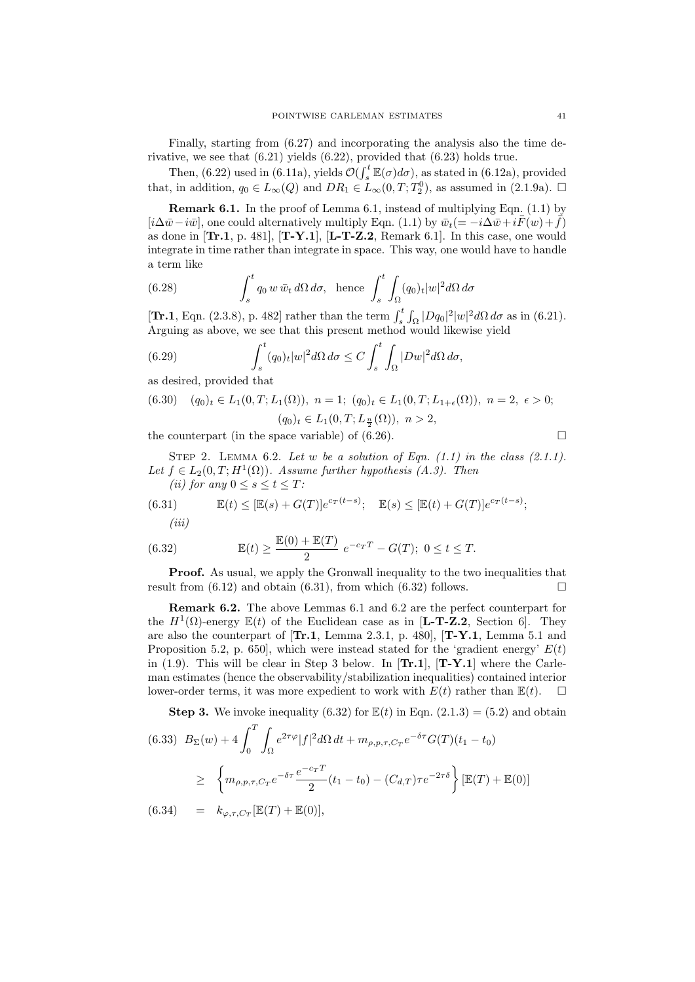Finally, starting from (6.27) and incorporating the analysis also the time derivative, we see that (6.21) yields (6.22), provided that (6.23) holds true.

Then, (6.22) used in (6.11a), yields  $\mathcal{O}(\int_s^t \mathbb{E}(\sigma) d\sigma)$ , as stated in (6.12a), provided that, in addition,  $q_0 \in L_\infty(Q)$  and  $DR_1 \in L_\infty(0,T;T_2^0)$ , as assumed in  $(2.1.9a)$ .  $\Box$ 

Remark 6.1. In the proof of Lemma 6.1, instead of multiplying Eqn. (1.1) by  $[i\Delta \bar{w}-i\bar{w}]$ , one could alternatively multiply Eqn. (1.1) by  $\bar{w}_t(=-i\Delta \bar{w}+i\bar{F}(w)+\bar{f})$ as done in  $\{Tr.1, p. 481\}$ ,  $\{Tr.1, [L-T-Z.2, Remark 6.1]$ . In this case, one would integrate in time rather than integrate in space. This way, one would have to handle a term like

(6.28) 
$$
\int_{s}^{t} q_0 w \,\overline{w}_t \, d\Omega \, d\sigma, \text{ hence } \int_{s}^{t} \int_{\Omega} (q_0)_t |w|^2 d\Omega \, d\sigma
$$

[**Tr.1**, Eqn. (2.3.8), p. 482] rather than the term  $\int_s^t \int_{\Omega} |Dq_0|^2 |w|^2 d\Omega d\sigma$  as in (6.21). Arguing as above, we see that this present method would likewise yield

(6.29) 
$$
\int_{s}^{t} (q_{0})_{t} |w|^{2} d\Omega d\sigma \leq C \int_{s}^{t} \int_{\Omega} |Dw|^{2} d\Omega d\sigma,
$$

as desired, provided that

(6.30) 
$$
(q_0)_t \in L_1(0,T; L_1(\Omega)), \ n = 1; \ (q_0)_t \in L_1(0,T; L_{1+\epsilon}(\Omega)), \ n = 2, \ \epsilon > 0;
$$
  
 $(q_0)_t \in L_1(0,T; L_{\frac{n}{2}}(\Omega)), \ n > 2,$ 

the counterpart (in the space variable) of (6.26).

$$
\qquad \qquad \Box
$$

STEP 2. LEMMA 6.2. Let w be a solution of Eqn.  $(1.1)$  in the class  $(2.1.1)$ . Let  $f \in L_2(0,T; H^1(\Omega))$ . Assume further hypothesis (A.3). Then

(ii) for any 
$$
0 \le s \le t \le T
$$
:

(6.31) 
$$
\mathbb{E}(t) \leq [\mathbb{E}(s) + G(T)]e^{c_T(t-s)}; \quad \mathbb{E}(s) \leq [\mathbb{E}(t) + G(T)]e^{c_T(t-s)};
$$
  
(iii)

(6.32) 
$$
\mathbb{E}(t) \ge \frac{\mathbb{E}(0) + \mathbb{E}(T)}{2} e^{-c_T T} - G(T); 0 \le t \le T.
$$

**Proof.** As usual, we apply the Gronwall inequality to the two inequalities that result from  $(6.12)$  and obtain  $(6.31)$ , from which  $(6.32)$  follows.

Remark 6.2. The above Lemmas 6.1 and 6.2 are the perfect counterpart for the  $H^1(\Omega)$ -energy  $\mathbb{E}(t)$  of the Euclidean case as in [**L-T-Z.2**, Section 6]. They are also the counterpart of  $[\text{Tr.1, Lemma 2.3.1, p. 480}, [\text{T-Y.1, Lemma 5.1 and}]$ Proposition 5.2, p. 650, which were instead stated for the 'gradient energy'  $E(t)$ in (1.9). This will be clear in Step 3 below. In  $[\mathbf{Tr.1}]$ ,  $[\mathbf{Tr.1}]$  where the Carleman estimates (hence the observability/stabilization inequalities) contained interior lower-order terms, it was more expedient to work with  $E(t)$  rather than  $\mathbb{E}(t)$ .  $\Box$ 

**Step 3.** We invoke inequality (6.32) for  $E(t)$  in Eqn. (2.1.3) = (5.2) and obtain  $B_{\Sigma}(w)+4\int_0^T$ Z (6.33)  $B_{\Sigma}(w) + 4 \int \int e^{2\tau \varphi} |f|^2 d\Omega dt + m_{\rho, p, \tau, C_T} e^{-\delta \tau} G(T) (t_1 - t_0)$ 

$$
\geq \left\{ m_{\rho,p,\tau,C_T} e^{-\delta \tau} \frac{e^{-c_T T}}{2} (t_1 - t_0) - (C_{d,T}) \tau e^{-2\tau \delta} \right\} [\mathbb{E}(T) + \mathbb{E}(0)]
$$

$$
(6.34) = k_{\varphi,\tau,C_T}[\mathbb{E}(T) + \mathbb{E}(0)],
$$

Ω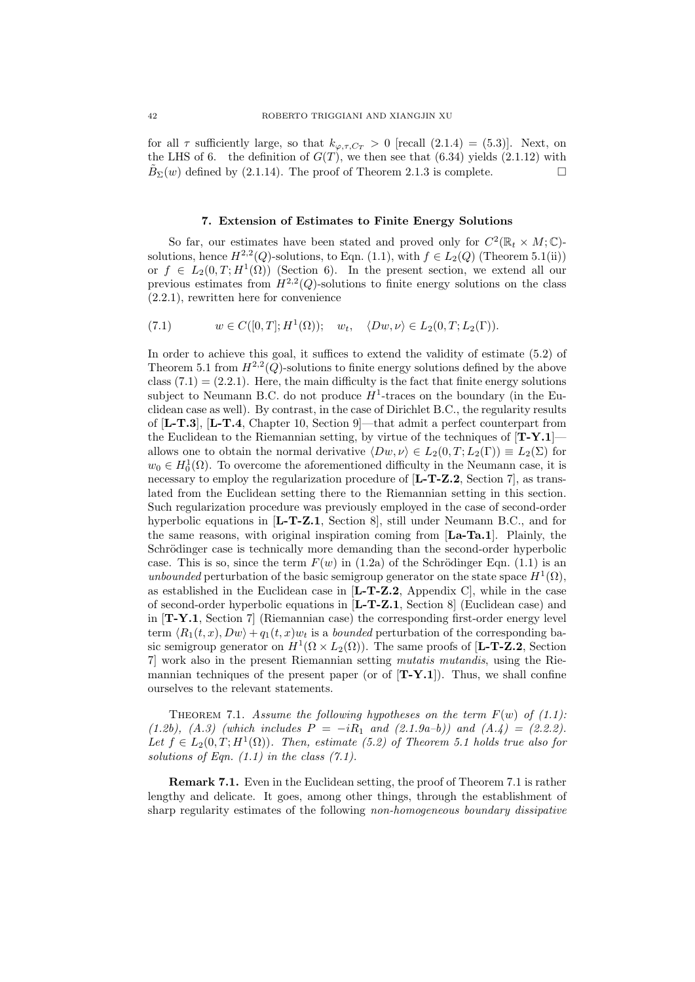for all  $\tau$  sufficiently large, so that  $k_{\varphi,\tau,C_T} > 0$  [recall (2.1.4) = (5.3)]. Next, on the LHS of 6. the definition of  $G(T)$ , we then see that (6.34) yields (2.1.12) with  $\tilde{B}_{\Sigma}(w)$  defined by (2.1.14). The proof of Theorem 2.1.3 is complete.

#### 7. Extension of Estimates to Finite Energy Solutions

So far, our estimates have been stated and proved only for  $C^2(\mathbb{R}_t \times M; \mathbb{C})$ solutions, hence  $H^{2,2}(Q)$ -solutions, to Eqn. (1.1), with  $f \in L_2(Q)$  (Theorem 5.1(ii)) or  $f \in L_2(0,T;H^1(\Omega))$  (Section 6). In the present section, we extend all our previous estimates from  $H^{2,2}(Q)$ -solutions to finite energy solutions on the class (2.2.1), rewritten here for convenience

(7.1) 
$$
w \in C([0,T]; H^1(\Omega)); \quad w_t, \quad \langle Dw, \nu \rangle \in L_2(0,T; L_2(\Gamma)).
$$

In order to achieve this goal, it suffices to extend the validity of estimate (5.2) of Theorem 5.1 from  $H^{2,2}(Q)$ -solutions to finite energy solutions defined by the above class  $(7.1) = (2.2.1)$ . Here, the main difficulty is the fact that finite energy solutions subject to Neumann B.C. do not produce  $H^1$ -traces on the boundary (in the Euclidean case as well). By contrast, in the case of Dirichlet B.C., the regularity results of [L-T.3], [L-T.4, Chapter 10, Section 9]—that admit a perfect counterpart from the Euclidean to the Riemannian setting, by virtue of the techniques of  $[T-Y.1]$ allows one to obtain the normal derivative  $\langle Dw, \nu \rangle \in L_2(0, T; L_2(\Gamma)) \equiv L_2(\Sigma)$  for  $w_0 \in H_0^1(\Omega)$ . To overcome the aforementioned difficulty in the Neumann case, it is necessary to employ the regularization procedure of  $[L-T-Z.2, Section 7]$ , as translated from the Euclidean setting there to the Riemannian setting in this section. Such regularization procedure was previously employed in the case of second-order hyperbolic equations in  $[L-T-Z.1, Section 8]$ , still under Neumann B.C., and for the same reasons, with original inspiration coming from [La-Ta.1]. Plainly, the Schrödinger case is technically more demanding than the second-order hyperbolic case. This is so, since the term  $F(w)$  in (1.2a) of the Schrödinger Eqn. (1.1) is an unbounded perturbation of the basic semigroup generator on the state space  $H^1(\Omega)$ , as established in the Euclidean case in  $[L-T-Z.2,$  Appendix C, while in the case of second-order hyperbolic equations in  $[L-T-Z.1, Section 8]$  (Euclidean case) and in  $[T-Y.1$ , Section 7 (Riemannian case) the corresponding first-order energy level term  $\langle R_1(t, x), Dw \rangle + q_1(t, x)w_t$  is a *bounded* perturbation of the corresponding basic semigroup generator on  $H^1(\Omega \times L_2(\Omega))$ . The same proofs of [**L-T-Z.2**, Section 7] work also in the present Riemannian setting mutatis mutandis, using the Riemannian techniques of the present paper (or of  $[T-Y.1]$ ). Thus, we shall confine ourselves to the relevant statements.

THEOREM 7.1. Assume the following hypotheses on the term  $F(w)$  of (1.1): (1.2b), (A.3) (which includes  $P = -iR_1$  and (2.1.9a–b)) and (A.4) = (2.2.2). Let  $f \in L_2(0,T;H^1(\Omega))$ . Then, estimate (5.2) of Theorem 5.1 holds true also for solutions of Eqn.  $(1.1)$  in the class  $(7.1)$ .

Remark 7.1. Even in the Euclidean setting, the proof of Theorem 7.1 is rather lengthy and delicate. It goes, among other things, through the establishment of sharp regularity estimates of the following non-homogeneous boundary dissipative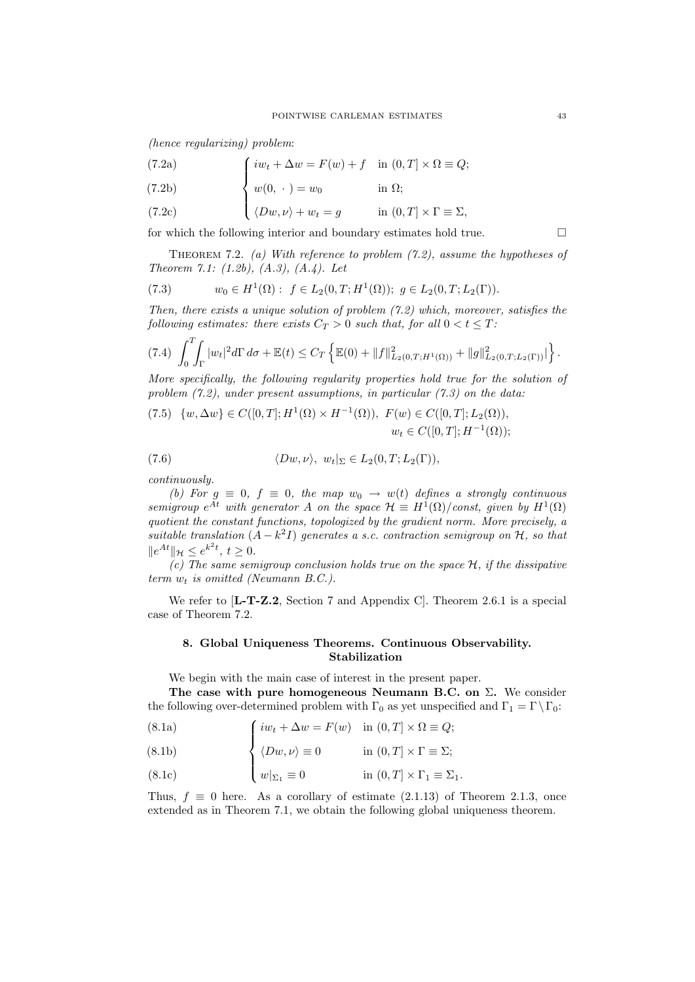(hence regularizing) problem:

(7.2a) 
$$
\int iw_t + \Delta w = F(w) + f \quad \text{in } (0, T] \times \Omega \equiv Q;
$$

(7.2b) 
$$
\begin{cases} w(0, \cdot) = w_0 & \text{in } \Omega; \end{cases}
$$

(7.2c) 
$$
\left\{\langle Dw,\nu\rangle+w_t=g\right\} \text{ in } (0,T]\times\Gamma\equiv\Sigma,
$$

for which the following interior and boundary estimates hold true.  $\Box$ 

THEOREM 7.2. (a) With reference to problem  $(7.2)$ , assume the hypotheses of Theorem 7.1:  $(1.2b)$ ,  $(A.3)$ ,  $(A.4)$ . Let

(7.3) 
$$
w_0 \in H^1(\Omega): f \in L_2(0,T;H^1(\Omega)); g \in L_2(0,T;L_2(\Gamma)).
$$

Then, there exists a unique solution of problem (7.2) which, moreover, satisfies the following estimates: there exists  $C_T > 0$  such that, for all  $0 < t \leq T$ :

$$
(7.4) \int_0^T \int_{\Gamma} |w_t|^2 d\Gamma d\sigma + \mathbb{E}(t) \leq C_T \left\{ \mathbb{E}(0) + \|f\|_{L_2(0,T;H^1(\Omega))}^2 + \|g\|_{L_2(0,T;L_2(\Gamma))}^2 \right\}.
$$

More specifically, the following regularity properties hold true for the solution of problem  $(7.2)$ , under present assumptions, in particular  $(7.3)$  on the data:

(7.5) 
$$
\{w, \Delta w\} \in C([0, T]; H^1(\Omega) \times H^{-1}(\Omega)), F(w) \in C([0, T]; L_2(\Omega)),
$$
  
 $w_t \in C([0, T]; H^{-1}(\Omega));$ 

(7.6) 
$$
\langle Dw,\nu\rangle, w_t|_{\Sigma} \in L_2(0,T;L_2(\Gamma)),
$$

continuously.

(b) For  $g \equiv 0$ ,  $f \equiv 0$ , the map  $w_0 \rightarrow w(t)$  defines a strongly continuous semigroup  $e^{At}$  with generator A on the space  $\mathcal{H} \equiv H^1(\Omega)/\text{const}$ , given by  $H^1(\Omega)$ quotient the constant functions, topologized by the gradient norm. More precisely, a suitable translation  $(A - k^2 I)$  generates a s.c. contraction semigroup on  $H$ , so that  $||e^{At}||_{\mathcal{H}} \leq e^{k^2 t}, t \geq 0.$ 

(c) The same semigroup conclusion holds true on the space  $H$ , if the dissipative term  $w_t$  is omitted (Neumann B.C.).

We refer to [**L-T-Z.2**, Section 7 and Appendix C]. Theorem 2.6.1 is a special case of Theorem 7.2.

## 8. Global Uniqueness Theorems. Continuous Observability. Stabilization

We begin with the main case of interest in the present paper.

The case with pure homogeneous Neumann B.C. on Σ. We consider the following over-determined problem with  $\Gamma_0$  as yet unspecified and  $\Gamma_1 = \Gamma \setminus \Gamma_0$ :

(8.1a) 
$$
\int iw_t + \Delta w = F(w) \quad \text{in } (0, T] \times \Omega \equiv Q;
$$

(8.1b) 
$$
\left\{ \langle Dw, \nu \rangle \equiv 0 \right\} \text{ in } (0, T] \times \Gamma \equiv \Sigma;
$$

(8.1c) 
$$
\left\{ w|_{\Sigma_1} \equiv 0 \right. \qquad \text{in } (0,T] \times \Gamma_1 \equiv \Sigma_1.
$$

Thus,  $f \equiv 0$  here. As a corollary of estimate (2.1.13) of Theorem 2.1.3, once extended as in Theorem 7.1, we obtain the following global uniqueness theorem.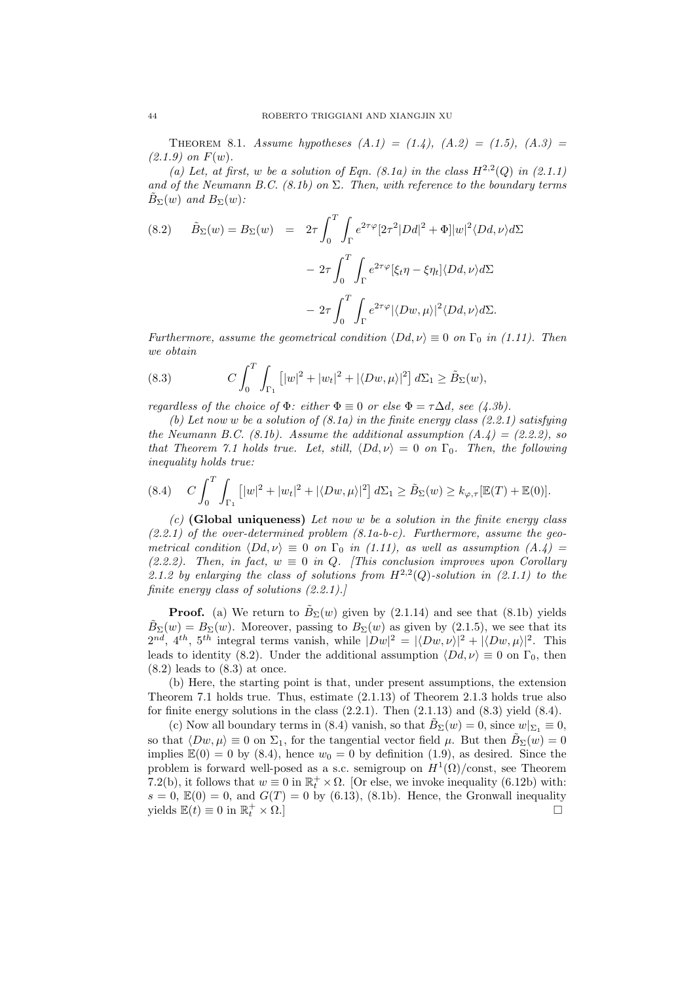THEOREM 8.1. Assume hypotheses  $(A.1) = (1.4), (A.2) = (1.5), (A.3) =$  $(2.1.9)$  on  $F(w)$ .

(a) Let, at first, w be a solution of Eqn.  $(8.1a)$  in the class  $H^{2,2}(Q)$  in  $(2.1.1)$ and of the Neumann B.C. (8.1b) on  $\Sigma$ . Then, with reference to the boundary terms  $B_{\Sigma}(w)$  and  $B_{\Sigma}(w)$ :

(8.2) 
$$
\tilde{B}_{\Sigma}(w) = B_{\Sigma}(w) = 2\tau \int_0^T \int_{\Gamma} e^{2\tau \varphi} [2\tau^2 |Dd|^2 + \Phi] |w|^2 \langle Dd, \nu \rangle d\Sigma
$$

$$
- 2\tau \int_0^T \int_{\Gamma} e^{2\tau \varphi} [\xi_t \eta - \xi \eta_t] \langle Dd, \nu \rangle d\Sigma
$$

$$
- 2\tau \int_0^T \int_{\Gamma} e^{2\tau \varphi} |\langle Dw, \mu \rangle|^2 \langle Dd, \nu \rangle d\Sigma.
$$

Furthermore, assume the geometrical condition  $\langle Dd, \nu \rangle \equiv 0$  on  $\Gamma_0$  in (1.11). Then we obtain

(8.3) 
$$
C \int_0^T \int_{\Gamma_1} [|w|^2 + |w_t|^2 + |\langle Dw, \mu \rangle|^2] d\Sigma_1 \ge \tilde{B}_{\Sigma}(w),
$$

regardless of the choice of  $\Phi$ : either  $\Phi \equiv 0$  or else  $\Phi = \tau \Delta d$ , see (4.3b).

(b) Let now w be a solution of  $(8.1a)$  in the finite energy class  $(2.2.1)$  satisfying the Neumann B.C.  $(8.1b)$ . Assume the additional assumption  $(A.4) = (2.2.2)$ , so that Theorem 7.1 holds true. Let, still,  $\langle Dd, \nu \rangle = 0$  on  $\Gamma_0$ . Then, the following inequality holds true:

$$
(8.4) \t C \int_0^T \int_{\Gamma_1} [ |w|^2 + |w_t|^2 + |\langle Dw, \mu \rangle|^2 ] d\Sigma_1 \ge \tilde{B}_{\Sigma}(w) \ge k_{\varphi, \tau} [\mathbb{E}(T) + \mathbb{E}(0)].
$$

(c) (Global uniqueness) Let now w be a solution in the finite energy class  $(2.2.1)$  of the over-determined problem  $(8.1a-b-c)$ . Furthermore, assume the geometrical condition  $\langle Dd, \nu \rangle \equiv 0$  on  $\Gamma_0$  in (1.11), as well as assumption (A.4) = (2.2.2). Then, in fact,  $w \equiv 0$  in Q. [This conclusion improves upon Corollary 2.1.2 by enlarging the class of solutions from  $H^{2,2}(Q)$ -solution in (2.1.1) to the finite energy class of solutions (2.2.1).]

**Proof.** (a) We return to  $\tilde{B}_{\Sigma}(w)$  given by (2.1.14) and see that (8.1b) yields  $\tilde{B}_{\Sigma}(w) = B_{\Sigma}(w)$ . Moreover, passing to  $B_{\Sigma}(w)$  as given by (2.1.5), we see that its  $2^{nd}$ ,  $4^{th}$ ,  $5^{th}$  integral terms vanish, while  $|Dw|^2 = |\langle Dw, \nu \rangle|^2 + |\langle Dw, \mu \rangle|^2$ . This leads to identity (8.2). Under the additional assumption  $\langle Dd, \nu \rangle \equiv 0$  on  $\Gamma_0$ , then  $(8.2)$  leads to  $(8.3)$  at once.

(b) Here, the starting point is that, under present assumptions, the extension Theorem 7.1 holds true. Thus, estimate (2.1.13) of Theorem 2.1.3 holds true also for finite energy solutions in the class  $(2.2.1)$ . Then  $(2.1.13)$  and  $(8.3)$  yield  $(8.4)$ .

(c) Now all boundary terms in (8.4) vanish, so that  $\hat{B}_{\Sigma}(w) = 0$ , since  $w|_{\Sigma_1} \equiv 0$ , so that  $\langle Dw, \mu \rangle \equiv 0$  on  $\Sigma_1$ , for the tangential vector field  $\mu$ . But then  $\tilde{B}_{\Sigma}(w) = 0$ implies  $\mathbb{E}(0) = 0$  by (8.4), hence  $w_0 = 0$  by definition (1.9), as desired. Since the problem is forward well-posed as a s.c. semigroup on  $H^1(\Omega)/\text{const}$ , see Theorem 7.2(b), it follows that  $w \equiv 0$  in  $\mathbb{R}^+$  ×  $\Omega$ . [Or else, we invoke inequality (6.12b) with:  $s = 0$ ,  $\mathbb{E}(0) = 0$ , and  $G(T) = 0$  by (6.13), (8.1b). Hence, the Gronwall inequality yields  $\mathbb{E}(t) \equiv 0$  in  $\mathbb{R}^+_t$  $\left\{ \frac{t}{t} \times \Omega. \right\}$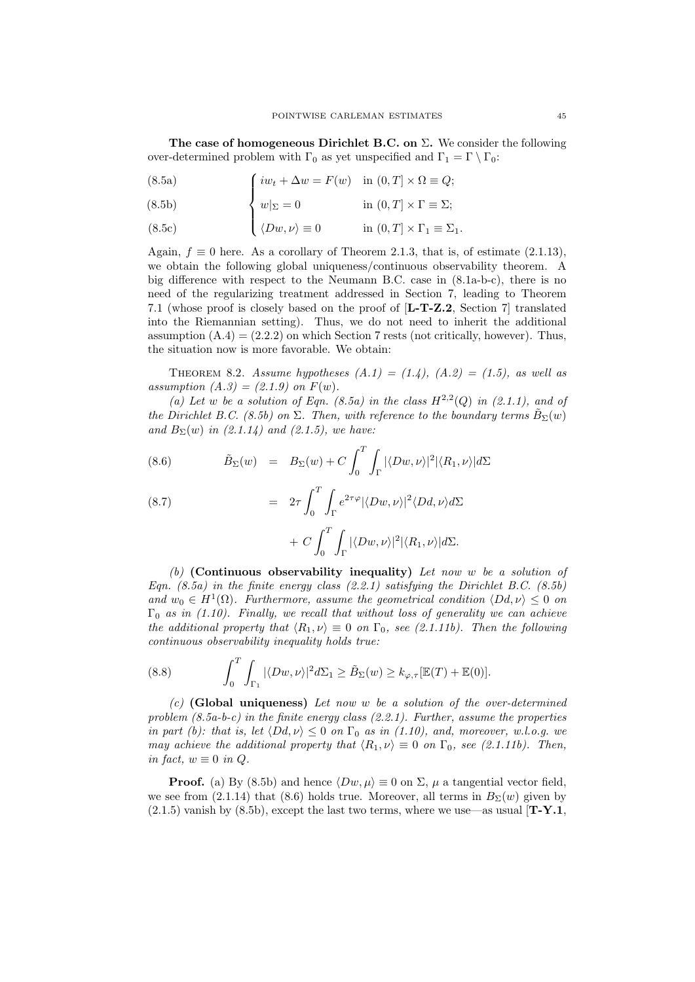The case of homogeneous Dirichlet B.C. on  $\Sigma$ . We consider the following over-determined problem with  $\Gamma_0$  as yet unspecified and  $\Gamma_1 = \Gamma \setminus \Gamma_0$ :

(8.5a) 
$$
\int iw_t + \Delta w = F(w) \quad \text{in } (0, T] \times \Omega \equiv Q;
$$

(8.5b) 
$$
\left\{ w|_{\Sigma} = 0 \right\} \text{ in } (0,T] \times \Gamma \equiv \Sigma;
$$

(8.5c) 
$$
\langle Dw,\nu\rangle \equiv 0 \qquad \text{in } (0,T] \times \Gamma_1 \equiv \Sigma_1.
$$

Again,  $f \equiv 0$  here. As a corollary of Theorem 2.1.3, that is, of estimate (2.1.13), we obtain the following global uniqueness/continuous observability theorem. A big difference with respect to the Neumann B.C. case in (8.1a-b-c), there is no need of the regularizing treatment addressed in Section 7, leading to Theorem 7.1 (whose proof is closely based on the proof of [L-T-Z.2, Section 7] translated into the Riemannian setting). Thus, we do not need to inherit the additional assumption  $(A.4) = (2.2.2)$  on which Section 7 rests (not critically, however). Thus, the situation now is more favorable. We obtain:

THEOREM 8.2. Assume hypotheses  $(A.1) = (1.4)$ ,  $(A.2) = (1.5)$ , as well as assumption  $(A.3) = (2.1.9)$  on  $F(w)$ .

(a) Let w be a solution of Eqn. (8.5a) in the class  $H^{2,2}(Q)$  in (2.1.1), and of the Dirichlet B.C. (8.5b) on  $\Sigma$ . Then, with reference to the boundary terms  $\tilde{B}_{\Sigma}(w)$ and  $B_{\Sigma}(w)$  in (2.1.14) and (2.1.5), we have:

(8.6) 
$$
\tilde{B}_{\Sigma}(w) = B_{\Sigma}(w) + C \int_0^T \int_{\Gamma} |\langle Dw, \nu \rangle|^2 |\langle R_1, \nu \rangle| d\Sigma
$$

(8.7) 
$$
= 2\tau \int_0^T \int_{\Gamma} e^{2\tau \varphi} |\langle Dw, \nu \rangle|^2 \langle Dd, \nu \rangle d\Sigma + C \int_0^T \int_{\Gamma} |\langle Dw, \nu \rangle|^2 |\langle R_1, \nu \rangle| d\Sigma.
$$

(b) (Continuous observability inequality) Let now w be a solution of Eqn.  $(8.5a)$  in the finite energy class  $(2.2.1)$  satisfying the Dirichlet B.C.  $(8.5b)$ and  $w_0 \in H^1(\Omega)$ . Furthermore, assume the geometrical condition  $\langle Dd, \nu \rangle \leq 0$  on  $\Gamma_0$  as in (1.10). Finally, we recall that without loss of generality we can achieve the additional property that  $\langle R_1, \nu \rangle \equiv 0$  on  $\Gamma_0$ , see (2.1.11b). Then the following continuous observability inequality holds true:

(8.8) 
$$
\int_0^T \int_{\Gamma_1} |\langle Dw, \nu \rangle|^2 d\Sigma_1 \geq \tilde{B}_{\Sigma}(w) \geq k_{\varphi, \tau}[\mathbb{E}(T) + \mathbb{E}(0)].
$$

 $(c)$  (Global uniqueness) Let now w be a solution of the over-determined problem  $(8.5a-b-c)$  in the finite energy class  $(2.2.1)$ . Further, assume the properties in part (b): that is, let  $\langle Dd, \nu \rangle \leq 0$  on  $\Gamma_0$  as in (1.10), and, moreover, w.l.o.g. we may achieve the additional property that  $\langle R_1, \nu \rangle \equiv 0$  on  $\Gamma_0$ , see (2.1.11b). Then, in fact,  $w \equiv 0$  in Q.

**Proof.** (a) By (8.5b) and hence  $\langle Dw, \mu \rangle \equiv 0$  on  $\Sigma$ ,  $\mu$  a tangential vector field, we see from (2.1.14) that (8.6) holds true. Moreover, all terms in  $B_{\Sigma}(w)$  given by  $(2.1.5)$  vanish by  $(8.5b)$ , except the last two terms, where we use—as usual  $[T-Y.1$ ,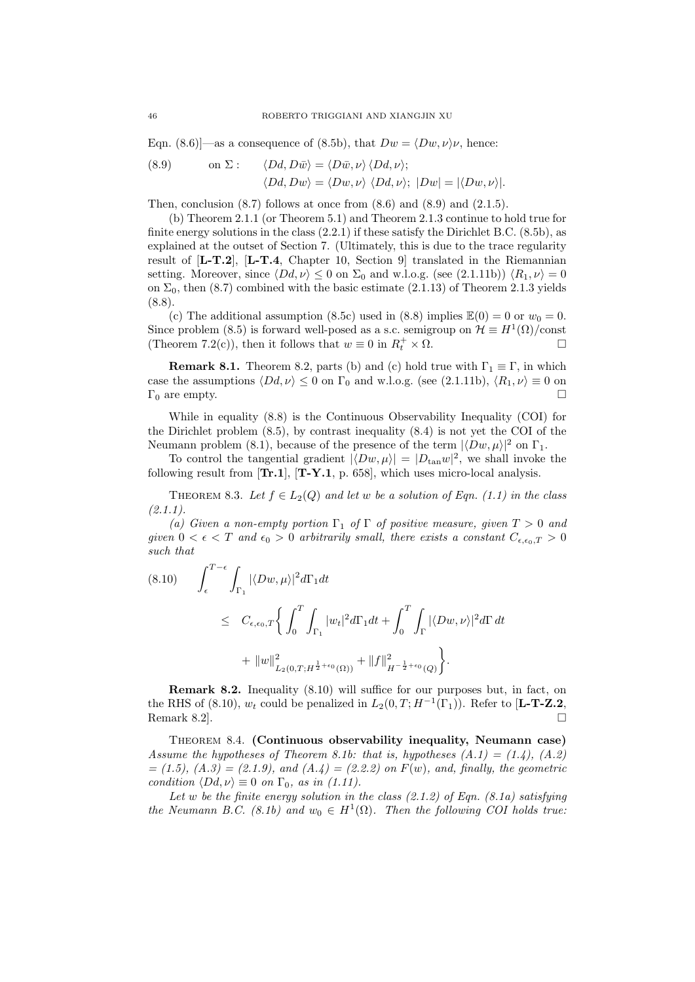Eqn. (8.6)]—as a consequence of (8.5b), that  $Dw = \langle Dw, \nu \rangle \nu$ , hence:

(8.9) on 
$$
\Sigma
$$
:  $\langle Dd, D\bar{w} \rangle = \langle D\bar{w}, \nu \rangle \langle Dd, \nu \rangle$ ;  
\n $\langle Dd, Dw \rangle = \langle Dw, \nu \rangle \langle Dd, \nu \rangle$ ;  $|Dw| = |\langle Dw, \nu \rangle|$ .

Then, conclusion  $(8.7)$  follows at once from  $(8.6)$  and  $(8.9)$  and  $(2.1.5)$ .

(b) Theorem 2.1.1 (or Theorem 5.1) and Theorem 2.1.3 continue to hold true for finite energy solutions in the class  $(2.2.1)$  if these satisfy the Dirichlet B.C.  $(8.5b)$ , as explained at the outset of Section 7. (Ultimately, this is due to the trace regularity result of [L-T.2], [L-T.4, Chapter 10, Section 9] translated in the Riemannian setting. Moreover, since  $\langle Dd, \nu \rangle \leq 0$  on  $\Sigma_0$  and w.l.o.g. (see (2.1.11b))  $\langle R_1, \nu \rangle = 0$ on  $\Sigma_0$ , then (8.7) combined with the basic estimate (2.1.13) of Theorem 2.1.3 yields (8.8).

(c) The additional assumption (8.5c) used in (8.8) implies  $\mathbb{E}(0) = 0$  or  $w_0 = 0$ . Since problem (8.5) is forward well-posed as a s.c. semigroup on  $\mathcal{H} \equiv H^1(\Omega)/\text{const}$ (Theorem 7.2(c)), then it follows that  $w \equiv 0$  in  $R_t^+ \times \Omega$ .

**Remark 8.1.** Theorem 8.2, parts (b) and (c) hold true with  $\Gamma_1 \equiv \Gamma$ , in which case the assumptions  $\langle Dd, \nu \rangle \leq 0$  on  $\Gamma_0$  and w.l.o.g. (see (2.1.11b),  $\langle R_1, \nu \rangle \equiv 0$  on  $\Gamma_0$  are empty.

While in equality (8.8) is the Continuous Observability Inequality (COI) for the Dirichlet problem (8.5), by contrast inequality (8.4) is not yet the COI of the Neumann problem (8.1), because of the presence of the term  $|\langle Dw, \mu\rangle|^2$  on  $\Gamma_1$ .

To control the tangential gradient  $|\langle Dw, \mu \rangle| = |D_{tan} w|^2$ , we shall invoke the following result from  $[\text{Tr.1}]$ ,  $[\text{T-Y.1}, p. 658]$ , which uses micro-local analysis.

THEOREM 8.3. Let  $f \in L_2(Q)$  and let w be a solution of Eqn. (1.1) in the class  $(2.1.1)$ .

(a) Given a non-empty portion  $\Gamma_1$  of  $\Gamma$  of positive measure, given  $T > 0$  and given  $0 < \epsilon < T$  and  $\epsilon_0 > 0$  arbitrarily small, there exists a constant  $C_{\epsilon,\epsilon_0,T} > 0$ such that

$$
(8.10) \qquad \int_{\epsilon}^{T-\epsilon} \int_{\Gamma_1} |\langle Dw, \mu \rangle|^2 d\Gamma_1 dt
$$
  
\n
$$
\leq C_{\epsilon, \epsilon_0, T} \Biggl\{ \int_0^T \int_{\Gamma_1} |w_t|^2 d\Gamma_1 dt + \int_0^T \int_{\Gamma} |\langle Dw, \nu \rangle|^2 d\Gamma dt
$$
  
\n
$$
+ \|w\|_{L_2(0, T; H^{\frac{1}{2} + \epsilon_0}(\Omega))}^2 + \|f\|_{H^{-\frac{1}{2} + \epsilon_0}(Q)}^2 \Biggr\}.
$$

Remark 8.2. Inequality (8.10) will suffice for our purposes but, in fact, on the RHS of (8.10),  $w_t$  could be penalized in  $L_2(0,T;H^{-1}(\Gamma_1))$ . Refer to [**L-T-Z.2**, Remark 8.2.

Theorem 8.4. (Continuous observability inequality, Neumann case) Assume the hypotheses of Theorem 8.1b: that is, hypotheses  $(A.1) = (1.4)$ ,  $(A.2)$  $= (1.5), (A.3) = (2.1.9), and (A.4) = (2.2.2)$  on  $F(w)$ , and, finally, the geometric condition  $\langle Dd, \nu \rangle \equiv 0$  on  $\Gamma_0$ , as in (1.11).

Let w be the finite energy solution in the class  $(2.1.2)$  of Eqn.  $(8.1a)$  satisfying the Neumann B.C. (8.1b) and  $w_0 \in H^1(\Omega)$ . Then the following COI holds true: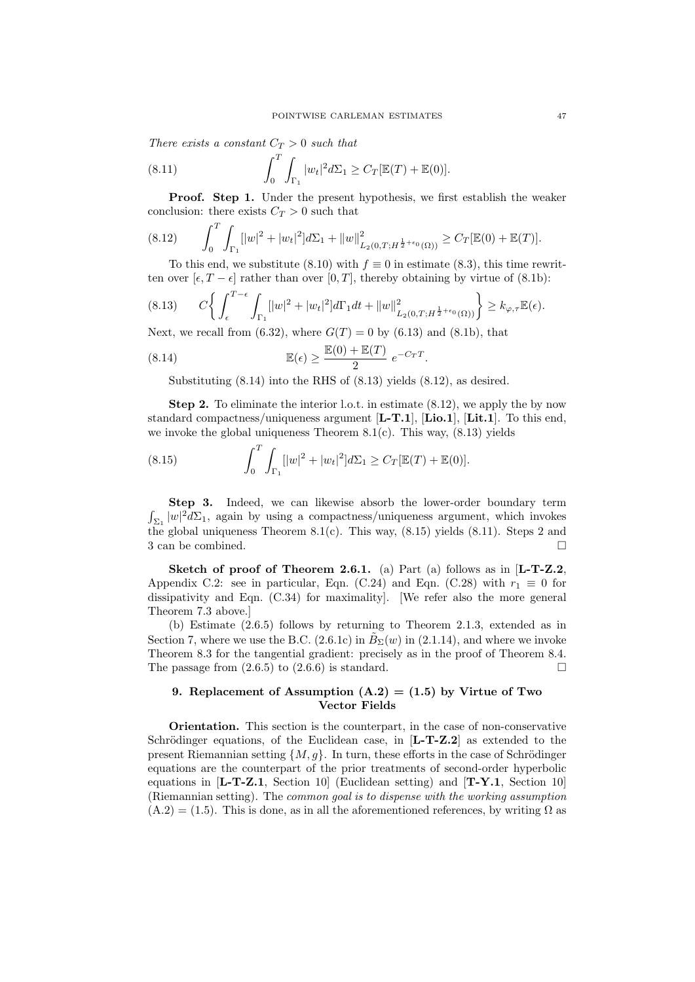There exists a constant  $C_T > 0$  such that

(8.11) 
$$
\int_0^T \int_{\Gamma_1} |w_t|^2 d\Sigma_1 \ge C_T [\mathbb{E}(T) + \mathbb{E}(0)].
$$

Proof. Step 1. Under the present hypothesis, we first establish the weaker conclusion: there exists  $C_T > 0$  such that

$$
(8.12) \qquad \int_0^T \int_{\Gamma_1} [|w|^2 + |w_t|^2] d\Sigma_1 + ||w||^2_{L_2(0,T;H^{\frac{1}{2}+\epsilon_0}(\Omega))} \ge C_T[\mathbb{E}(0) + \mathbb{E}(T)].
$$

To this end, we substitute (8.10) with  $f \equiv 0$  in estimate (8.3), this time rewritten over  $[\epsilon, T - \epsilon]$  rather than over  $[0, T]$ , thereby obtaining by virtue of  $(8.1b)$ :

$$
(8.13) \t C \bigg\{ \int_{\epsilon}^{T-\epsilon} \int_{\Gamma_1} [|w|^2 + |w_t|^2] d\Gamma_1 dt + ||w||^2_{L_2(0,T;H^{\frac{1}{2}+\epsilon_0}(\Omega))} \bigg\} \ge k_{\varphi,\tau} \mathbb{E}(\epsilon).
$$

Next, we recall from (6.32), where  $G(T) = 0$  by (6.13) and (8.1b), that

(8.14) 
$$
\mathbb{E}(\epsilon) \ge \frac{\mathbb{E}(0) + \mathbb{E}(T)}{2} e^{-C_T T}.
$$

Substituting (8.14) into the RHS of (8.13) yields (8.12), as desired.

Step 2. To eliminate the interior l.o.t. in estimate (8.12), we apply the by now standard compactness/uniqueness argument  $[L-T.1]$ ,  $[Lio.1]$ ,  $[Lit.1]$ . To this end, we invoke the global uniqueness Theorem  $8.1(c)$ . This way,  $(8.13)$  yields

(8.15) 
$$
\int_0^T \int_{\Gamma_1} [|w|^2 + |w_t|^2] d\Sigma_1 \ge C_T [\mathbb{E}(T) + \mathbb{E}(0)].
$$

 $\int_{\Sigma_1} |w|^2 d\Sigma_1$ , again by using a compactness/uniqueness argument, which invokes Step 3. Indeed, we can likewise absorb the lower-order boundary term the global uniqueness Theorem 8.1(c). This way,  $(8.15)$  yields  $(8.11)$ . Steps 2 and 3 can be combined.

Sketch of proof of Theorem 2.6.1. (a) Part (a) follows as in [L-T-Z.2, Appendix C.2: see in particular, Eqn. (C.24) and Eqn. (C.28) with  $r_1 \equiv 0$  for dissipativity and Eqn. (C.34) for maximality]. [We refer also the more general Theorem 7.3 above.]

(b) Estimate (2.6.5) follows by returning to Theorem 2.1.3, extended as in Section 7, where we use the B.C. (2.6.1c) in  $\tilde{B}_{\Sigma}(w)$  in (2.1.14), and where we invoke Theorem 8.3 for the tangential gradient: precisely as in the proof of Theorem 8.4. The passage from  $(2.6.5)$  to  $(2.6.6)$  is standard.

#### 9. Replacement of Assumption  $(A.2) = (1.5)$  by Virtue of Two Vector Fields

Orientation. This section is the counterpart, in the case of non-conservative Schrödinger equations, of the Euclidean case, in  $[L-T-Z.2]$  as extended to the present Riemannian setting  $\{M, g\}$ . In turn, these efforts in the case of Schrödinger equations are the counterpart of the prior treatments of second-order hyperbolic equations in  $[L-T-Z.1, Section 10]$  (Euclidean setting) and  $[T-Y.1, Section 10]$ (Riemannian setting). The common goal is to dispense with the working assumption  $(A.2) = (1.5)$ . This is done, as in all the aforementioned references, by writing  $\Omega$  as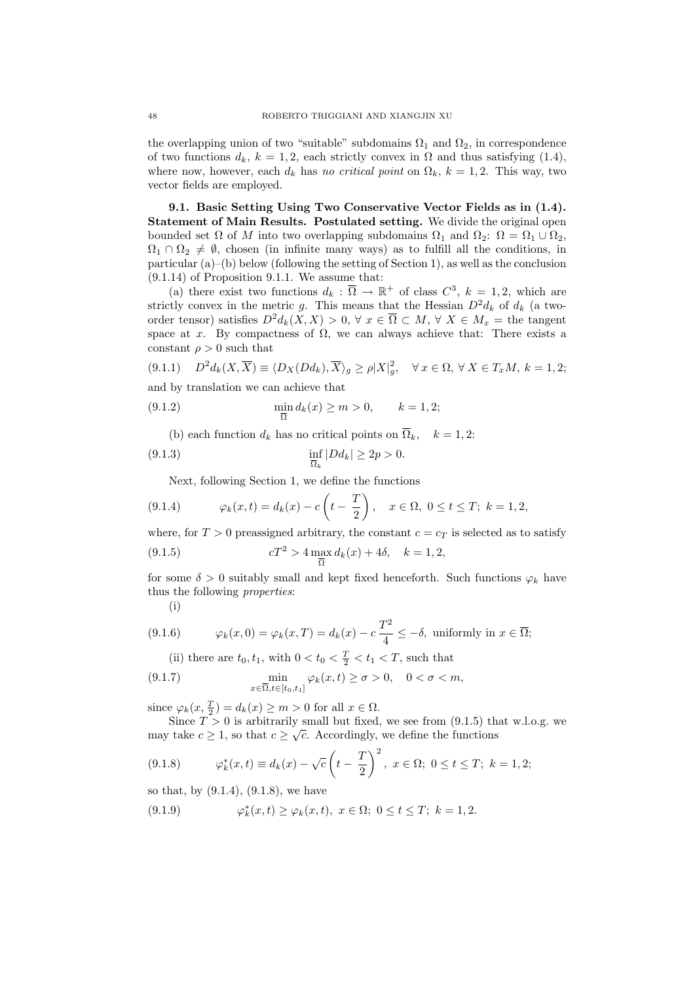the overlapping union of two "suitable" subdomains  $\Omega_1$  and  $\Omega_2$ , in correspondence of two functions  $d_k$ ,  $k = 1, 2$ , each strictly convex in  $\Omega$  and thus satisfying (1.4), where now, however, each  $d_k$  has no critical point on  $\Omega_k$ ,  $k = 1, 2$ . This way, two vector fields are employed.

9.1. Basic Setting Using Two Conservative Vector Fields as in (1.4). Statement of Main Results. Postulated setting. We divide the original open bounded set  $\Omega$  of M into two overlapping subdomains  $\Omega_1$  and  $\Omega_2$ :  $\Omega = \Omega_1 \cup \Omega_2$ ,  $\Omega_1 \cap \Omega_2 \neq \emptyset$ , chosen (in infinite many ways) as to fulfill all the conditions, in particular (a)–(b) below (following the setting of Section 1), as well as the conclusion (9.1.14) of Proposition 9.1.1. We assume that:

(a) there exist two functions  $d_k : \overline{\Omega} \to \mathbb{R}^+$  of class  $C^3$ ,  $k = 1, 2$ , which are strictly convex in the metric g. This means that the Hessian  $D^2 d_k$  of  $d_k$  (a twoorder tensor) satisfies  $D^2 d_k(X, X) > 0$ ,  $\forall x \in \overline{\Omega} \subset M$ ,  $\forall X \in M_x =$  the tangent space at x. By compactness of  $\Omega$ , we can always achieve that: There exists a constant  $\rho > 0$  such that

(9.1.1) 
$$
D^2 d_k(X, \overline{X}) \equiv \langle D_X(Dd_k), \overline{X} \rangle_g \ge \rho |X|_g^2, \quad \forall x \in \Omega, \forall X \in T_xM, k = 1, 2;
$$
  
and by translation we can achieve that

(9.1.2) 
$$
\min_{\overline{\Omega}} d_k(x) \ge m > 0, \qquad k = 1, 2;
$$

(b) each function  $d_k$  has no critical points on  $\overline{\Omega}_k$ ,  $k = 1, 2$ :

$$
(9.1.3)\qquad \qquad \inf_{\overline{\Omega}_k}|Dd_k|\geq 2p>0.
$$

Next, following Section 1, we define the functions

(9.1.4) 
$$
\varphi_k(x,t) = d_k(x) - c\left(t - \frac{T}{2}\right), \quad x \in \Omega, \ 0 \le t \le T; \ k = 1, 2,
$$

where, for  $T > 0$  preassigned arbitrary, the constant  $c = c_T$  is selected as to satisfy (9.1.5)  $cT^2 > 4 \max_{\overline{\Omega}} d_k(x) + 4\delta, \quad k = 1, 2,$ 

for some 
$$
\delta > 0
$$
 suitably small and kept fixed henceforth. Such functions  $\varphi_k$  have thus the following *properties*:

(i)

(9.1.6) 
$$
\varphi_k(x,0) = \varphi_k(x,T) = d_k(x) - c \frac{T^2}{4} \leq -\delta, \text{ uniformly in } x \in \overline{\Omega};
$$

(ii) there are  $t_0, t_1$ , with  $0 < t_0 < \frac{T}{2} < t_1 < T$ , such that

(9.1.7) 
$$
\min_{x \in \overline{\Omega}, t \in [t_0, t_1]} \varphi_k(x, t) \ge \sigma > 0, \quad 0 < \sigma < m,
$$

since  $\varphi_k(x, \frac{T}{2}) = d_k(x) \ge m > 0$  for all  $x \in \Omega$ .

Since  $T > 0$  is arbitrarily small but fixed, we see from  $(9.1.5)$  that w.l.o.g. we may take  $c \geq 1$ , so that  $c \geq \sqrt{c}$ . Accordingly, we define the functions

$$
(9.1.8) \qquad \varphi_k^*(x,t) \equiv d_k(x) - \sqrt{c} \left( t - \frac{T}{2} \right)^2, \ x \in \Omega; \ 0 \le t \le T; \ k = 1,2;
$$

so that, by  $(9.1.4)$ ,  $(9.1.8)$ , we have

(9.1.9) 
$$
\varphi_k^*(x,t) \ge \varphi_k(x,t), \ x \in \Omega; \ 0 \le t \le T; \ k = 1,2.
$$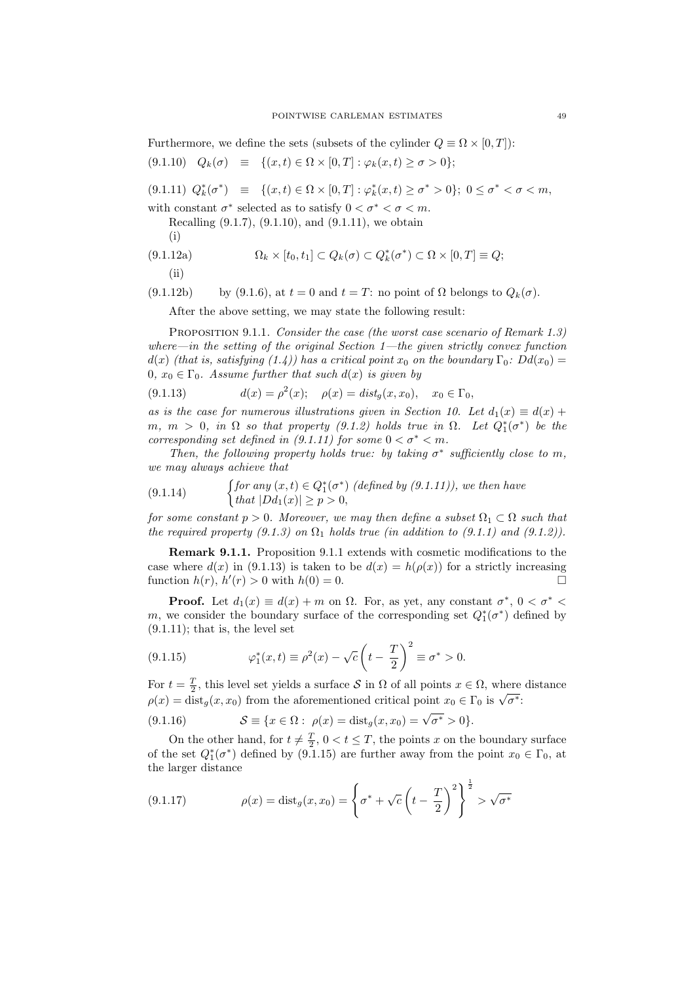Furthermore, we define the sets (subsets of the cylinder  $Q \equiv \Omega \times [0, T]$ ):

$$
(9.1.10) \quad Q_k(\sigma) \equiv \{(x,t) \in \Omega \times [0,T] : \varphi_k(x,t) \ge \sigma > 0\};
$$

(9.1.11)  $Q_k^*(\sigma^*)$  =  $\{(x,t) \in \Omega \times [0,T] : \varphi_k^*(x,t) \geq \sigma^* > 0\}; 0 \leq \sigma^* < \sigma < m,$ 

with constant  $\sigma^*$  selected as to satisfy  $0 < \sigma^* < \sigma < m$ .

Recalling (9.1.7), (9.1.10), and (9.1.11), we obtain (i)

(9.1.12a) 
$$
\Omega_k \times [t_0, t_1] \subset Q_k(\sigma) \subset Q_k^*(\sigma^*) \subset \Omega \times [0, T] \equiv Q;
$$

(ii)

(9.1.12b) by (9.1.6), at 
$$
t = 0
$$
 and  $t = T$ : no point of  $\Omega$  belongs to  $Q_k(\sigma)$ .

After the above setting, we may state the following result:

PROPOSITION 9.1.1. Consider the case (the worst case scenario of Remark 1.3) where—in the setting of the original Section  $1$ —the given strictly convex function  $d(x)$  (that is, satisfying (1.4)) has a critical point  $x_0$  on the boundary  $\Gamma_0$ :  $Dd(x_0)$  = 0,  $x_0 \in \Gamma_0$ . Assume further that such  $d(x)$  is given by

(9.1.13) 
$$
d(x) = \rho^2(x); \quad \rho(x) = dist_g(x, x_0), \quad x_0 \in \Gamma_0,
$$

as is the case for numerous illustrations given in Section 10. Let  $d_1(x) \equiv d(x) + d_2(x)$  $m, m > 0$ , in  $\Omega$  so that property (9.1.2) holds true in  $\Omega$ . Let  $Q_1^*(\sigma^*)$  be the corresponding set defined in (9.1.11) for some  $0 < \sigma^* < m$ .

Then, the following property holds true: by taking  $\sigma^*$  sufficiently close to m, we may always achieve that

(9.1.14) 
$$
\begin{cases} \nfor any (x, t) \in Q_1^*(\sigma^*) \ (defined by (9.1.11)), we then have \n\\ that |Dd_1(x)| \geq p > 0, \n\end{cases}
$$

for some constant  $p > 0$ . Moreover, we may then define a subset  $\Omega_1 \subset \Omega$  such that the required property (9.1.3) on  $\Omega_1$  holds true (in addition to (9.1.1) and (9.1.2)).

Remark 9.1.1. Proposition 9.1.1 extends with cosmetic modifications to the case where  $d(x)$  in (9.1.13) is taken to be  $d(x) = h(\rho(x))$  for a strictly increasing function  $h(r)$ ,  $h'(r) > 0$  with  $h(0) = 0$ .

**Proof.** Let  $d_1(x) \equiv d(x) + m$  on  $\Omega$ . For, as yet, any constant  $\sigma^*$ ,  $0 < \sigma^*$ m, we consider the boundary surface of the corresponding set  $Q_1^*(\sigma^*)$  defined by  $(9.1.11)$ ; that is, the level set

(9.1.15) 
$$
\varphi_1^*(x,t) \equiv \rho^2(x) - \sqrt{c} \left( t - \frac{T}{2} \right)^2 \equiv \sigma^* > 0.
$$

For  $t = \frac{T}{2}$ , this level set yields a surface S in  $\Omega$  of all points  $x \in \Omega$ , where distance For  $t = \frac{1}{2}$ , this level set yields a surface of in  $\Omega$  or all points  $x \in \Omega$ , where  $\rho(x) = \text{dist}_g(x, x_0)$  from the aforementioned critical point  $x_0 \in \Gamma_0$  is  $\sqrt{\sigma^*}$ .

(9.1.16) 
$$
\mathcal{S} \equiv \{x \in \Omega : \ \rho(x) = \text{dist}_{g}(x, x_{0}) = \sqrt{\sigma^{*}} > 0\}.
$$

On the other hand, for  $t \neq \frac{T}{2}$ ,  $0 < t \leq T$ , the points x on the boundary surface of the set  $Q_1^*(\sigma^*)$  defined by (9.1.15) are further away from the point  $x_0 \in \Gamma_0$ , at the larger distance

(9.1.17) 
$$
\rho(x) = \text{dist}_g(x, x_0) = \left\{ \sigma^* + \sqrt{c} \left( t - \frac{T}{2} \right)^2 \right\}^{\frac{1}{2}} > \sqrt{\sigma^*}
$$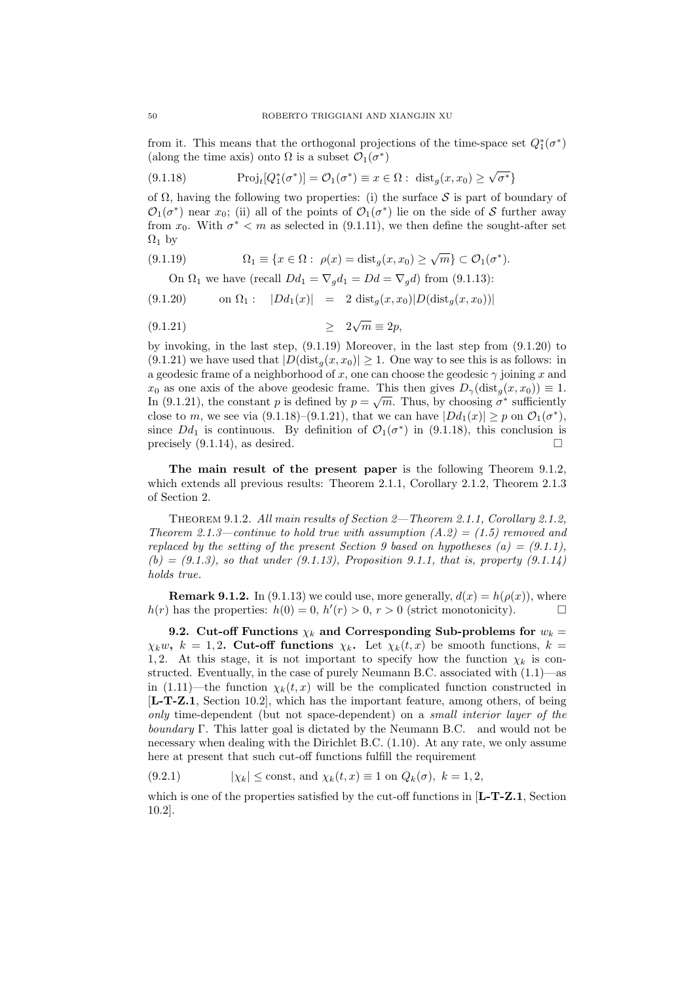from it. This means that the orthogonal projections of the time-space set  $Q_1^*(\sigma^*)$ (along the time axis) onto  $\Omega$  is a subset  $\mathcal{O}_1(\sigma^*)$ 

(9.1.18) 
$$
\operatorname{Proj}_t[Q_1^*(\sigma^*)] = \mathcal{O}_1(\sigma^*) \equiv x \in \Omega: \operatorname{dist}_g(x, x_0) \ge \sqrt{\sigma^*}
$$

of  $\Omega$ , having the following two properties: (i) the surface S is part of boundary of  $\mathcal{O}_1(\sigma^*)$  near  $x_0$ ; (ii) all of the points of  $\mathcal{O}_1(\sigma^*)$  lie on the side of S further away from  $x_0$ . With  $\sigma^* < m$  as selected in (9.1.11), we then define the sought-after set  $\Omega_1$  by

(9.1.19) 
$$
\Omega_1 \equiv \{x \in \Omega : \ \rho(x) = \text{dist}_g(x, x_0) \ge \sqrt{m}\} \subset \mathcal{O}_1(\sigma^*).
$$

On  $\Omega_1$  we have (recall  $Dd_1 = \nabla_q d_1 = Dd = \nabla_q d$ ) from (9.1.13):

$$
(9.1.20) \t on  $\Omega_1$ :  $|Dd_1(x)| = 2 \text{ dist}_g(x, x_0)|D(\text{dist}_g(x, x_0))|$
$$

≥ 2 √ (9.1.21) m ≡ 2p,

by invoking, in the last step, (9.1.19) Moreover, in the last step from (9.1.20) to  $(9.1.21)$  we have used that  $|D(\text{dist}_q(x, x_0)| \geq 1$ . One way to see this is as follows: in a geodesic frame of a neighborhood of x, one can choose the geodesic  $\gamma$  joining x and  $x_0$  as one axis of the above geodesic frame. This then gives  $D_\gamma(\text{dist}_g(x, x_0)) \equiv 1$ . In (9.1.21), the constant p is defined by  $p = \sqrt{m}$ . Thus, by choosing  $\sigma^*$  sufficiently close to m, we see via (9.1.18)–(9.1.21), that we can have  $|Dd_1(x)| \geq p$  on  $\mathcal{O}_1(\sigma^*)$ , since  $Dd_1$  is continuous. By definition of  $\mathcal{O}_1(\sigma^*)$  in (9.1.18), this conclusion is precisely  $(9.1.14)$ , as desired.

The main result of the present paper is the following Theorem 9.1.2, which extends all previous results: Theorem 2.1.1, Corollary 2.1.2, Theorem 2.1.3 of Section 2.

Theorem 9.1.2. All main results of Section 2—Theorem 2.1.1, Corollary 2.1.2, Theorem 2.1.3—continue to hold true with assumption  $(A.2) = (1.5)$  removed and replaced by the setting of the present Section 9 based on hypotheses  $(a) = (9.1.1)$ ,  $(b) = (9.1.3)$ , so that under  $(9.1.13)$ , Proposition 9.1.1, that is, property  $(9.1.14)$ holds true.

**Remark 9.1.2.** In (9.1.13) we could use, more generally,  $d(x) = h(\rho(x))$ , where  $h(r)$  has the properties:  $h(0) = 0, h'(r) > 0, r > 0$  (strict monotonicity).

9.2. Cut-off Functions  $\chi_k$  and Corresponding Sub-problems for  $w_k =$  $\chi_k w$ ,  $k = 1, 2$ . Cut-off functions  $\chi_k$ . Let  $\chi_k(t, x)$  be smooth functions,  $k =$ 1, 2. At this stage, it is not important to specify how the function  $\chi_k$  is constructed. Eventually, in the case of purely Neumann B.C. associated with  $(1.1)$ —as in (1.11)—the function  $\chi_k(t, x)$  will be the complicated function constructed in [L-T-Z.1, Section 10.2], which has the important feature, among others, of being only time-dependent (but not space-dependent) on a small interior layer of the boundary Γ. This latter goal is dictated by the Neumann B.C. and would not be necessary when dealing with the Dirichlet B.C. (1.10). At any rate, we only assume here at present that such cut-off functions fulfill the requirement

(9.2.1) 
$$
|\chi_k| \le \text{const, and } \chi_k(t, x) \equiv 1 \text{ on } Q_k(\sigma), k = 1, 2,
$$

which is one of the properties satisfied by the cut-off functions in  $[L-T-Z.1, Section$ 10.2].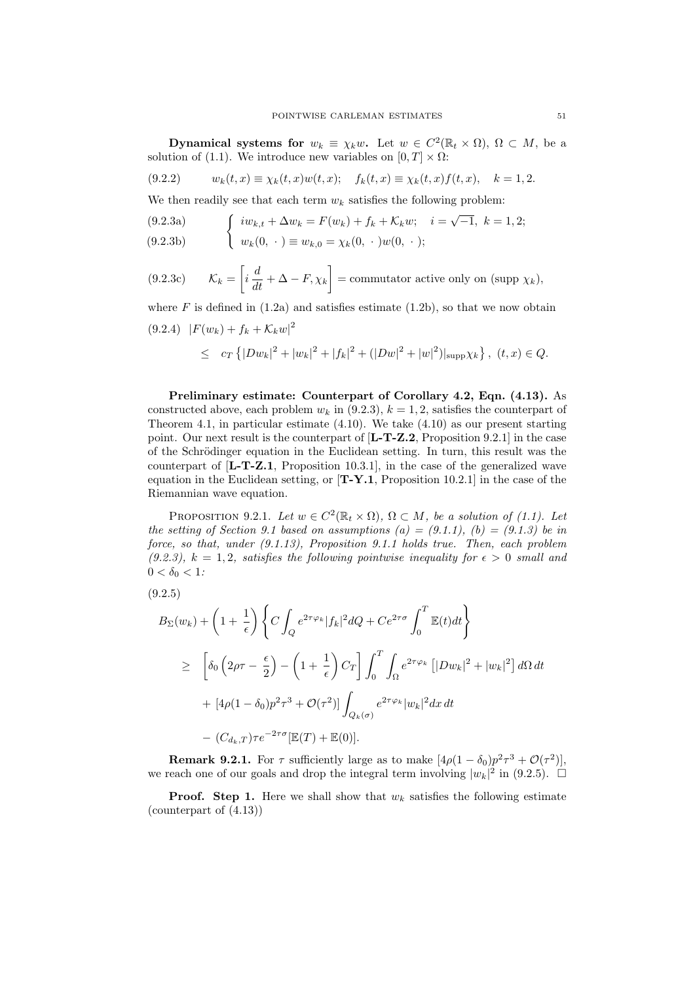**Dynamical systems for**  $w_k \equiv \chi_k w$ . Let  $w \in C^2(\mathbb{R}_t \times \Omega)$ ,  $\Omega \subset M$ , be a solution of (1.1). We introduce new variables on  $[0, T] \times \Omega$ :

$$
(9.2.2) \t w_k(t,x) \equiv \chi_k(t,x)w(t,x); \t f_k(t,x) \equiv \chi_k(t,x)f(t,x), \t k = 1,2.
$$

We then readily see that each term  $w_k$  satisfies the following problem:

(9.2.3a)  
\n
$$
\begin{cases}\n iw_{k,t} + \Delta w_k = F(w_k) + f_k + \mathcal{K}_k w; \quad i = \sqrt{-1}, \ k = 1, 2; \\
w_k(0, \cdot) \equiv w_{k,0} = \chi_k(0, \cdot) w(0, \cdot); \n\end{cases}
$$

(9.2.3b) 
$$
w_k(0, \cdot) \equiv w_{k,0} = \chi_k(0, \cdot) w(0, \cdot);
$$

$$
(9.2.3c) \t\t \mathcal{K}_k = \left[ i \frac{d}{dt} + \Delta - F, \chi_k \right] = \text{commutator active only on (supp } \chi_k),
$$

where F is defined in  $(1.2a)$  and satisfies estimate  $(1.2b)$ , so that we now obtain  $(9.2.4)$   $|F(w_k) + f_k + \mathcal{K}_k w|^2$ 

$$
\leq \quad c_T \left\{|Dw_k|^2 + |w_k|^2 + |f_k|^2 + (|Dw|^2 + |w|^2)|\mathrm{supp} \chi_k\right\}, \ (t,x) \in Q.
$$

Preliminary estimate: Counterpart of Corollary 4.2, Eqn. (4.13). As constructed above, each problem  $w_k$  in (9.2.3),  $k = 1, 2$ , satisfies the counterpart of Theorem 4.1, in particular estimate (4.10). We take (4.10) as our present starting point. Our next result is the counterpart of [L-T-Z.2, Proposition 9.2.1] in the case of the Schrödinger equation in the Euclidean setting. In turn, this result was the counterpart of  $[L-T-Z.1,$  Proposition 10.3.1], in the case of the generalized wave equation in the Euclidean setting, or  $[T-Y.1,$  Proposition 10.2.1] in the case of the Riemannian wave equation.

PROPOSITION 9.2.1. Let  $w \in C^2(\mathbb{R}_t \times \Omega)$ ,  $\Omega \subset M$ , be a solution of (1.1). Let the setting of Section 9.1 based on assumptions (a) =  $(9.1.1)$ , (b) =  $(9.1.3)$  be in force, so that, under (9.1.13), Proposition 9.1.1 holds true. Then, each problem (9.2.3),  $k = 1, 2$ , satisfies the following pointwise inequality for  $\epsilon > 0$  small and  $0 < \delta_0 < 1$ :

$$
(9.2.5)
$$

$$
B_{\Sigma}(w_{k}) + \left(1 + \frac{1}{\epsilon}\right) \left\{ C \int_{Q} e^{2\tau \varphi_{k}} |f_{k}|^{2} dQ + Ce^{2\tau \sigma} \int_{0}^{T} \mathbb{E}(t) dt \right\}
$$
  
\n
$$
\geq \left[ \delta_{0} \left( 2\rho\tau - \frac{\epsilon}{2} \right) - \left(1 + \frac{1}{\epsilon}\right) C_{T} \right] \int_{0}^{T} \int_{\Omega} e^{2\tau \varphi_{k}} \left[ |Dw_{k}|^{2} + |w_{k}|^{2} \right] d\Omega dt
$$
  
\n
$$
+ \left[ 4\rho (1 - \delta_{0}) p^{2} \tau^{3} + \mathcal{O}(\tau^{2}) \right] \int_{Q_{k}(\sigma)} e^{2\tau \varphi_{k}} |w_{k}|^{2} dx dt
$$
  
\n
$$
- \left( C_{d_{k},T} \right) \tau e^{-2\tau \sigma} [\mathbb{E}(T) + \mathbb{E}(0)].
$$

**Remark 9.2.1.** For  $\tau$  sufficiently large as to make  $[4\rho(1 - \delta_0)p^2\tau^3 + \mathcal{O}(\tau^2)],$ we reach one of our goals and drop the integral term involving  $|w_k|^2$  in (9.2.5).  $\Box$ 

**Proof.** Step 1. Here we shall show that  $w_k$  satisfies the following estimate (counterpart of (4.13))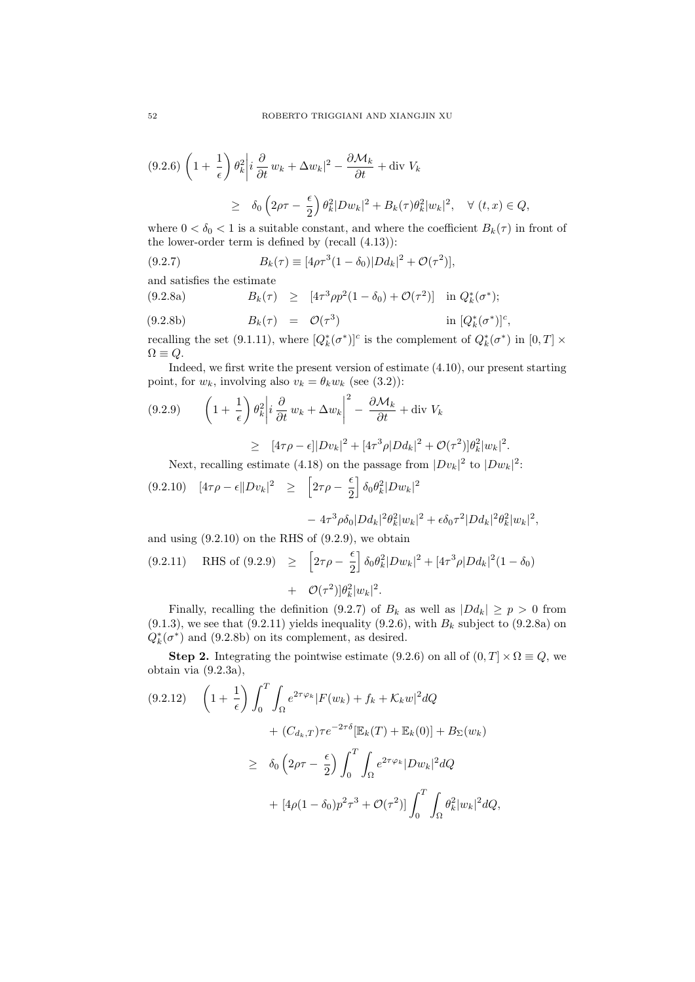$$
(9.2.6)\left(1+\frac{1}{\epsilon}\right)\theta_k^2\bigg|i\frac{\partial}{\partial t}w_k+\Delta w_k|^2-\frac{\partial \mathcal{M}_k}{\partial t}+\text{div } V_k
$$
  

$$
\geq \delta_0\left(2\rho\tau-\frac{\epsilon}{2}\right)\theta_k^2|Dw_k|^2+B_k(\tau)\theta_k^2|w_k|^2, \quad \forall (t,x)\in Q,
$$

where  $0 < \delta_0 < 1$  is a suitable constant, and where the coefficient  $B_k(\tau)$  in front of the lower-order term is defined by (recall (4.13)):

(9.2.7) 
$$
B_k(\tau) \equiv [4\rho \tau^3 (1 - \delta_0) |D d_k|^2 + \mathcal{O}(\tau^2)],
$$

and satisfies the estimate

(9.2.8a) 
$$
B_k(\tau) \geq [4\tau^3 \rho p^2 (1 - \delta_0) + \mathcal{O}(\tau^2)] \text{ in } Q_k^*(\sigma^*);
$$

(9.2.8b) 
$$
B_k(\tau) = \mathcal{O}(\tau^3) \qquad \text{in } [Q_k^*(\sigma^*)]^c,
$$

recalling the set (9.1.11), where  $[Q_k^*(\sigma^*)]^c$  is the complement of  $Q_k^*(\sigma^*)$  in  $[0,T] \times$  $\Omega \equiv Q.$ 

Indeed, we first write the present version of estimate (4.10), our present starting point, for  $w_k$ , involving also  $v_k = \theta_k w_k$  (see (3.2)):

$$
(9.2.9) \qquad \left(1 + \frac{1}{\epsilon}\right) \theta_k^2 \left|i \frac{\partial}{\partial t} w_k + \Delta w_k\right|^2 - \frac{\partial \mathcal{M}_k}{\partial t} + \text{div } V_k
$$

$$
\geq [4\tau \rho - \epsilon] |Dv_k|^2 + [4\tau^3 \rho |Dd_k|^2 + \mathcal{O}(\tau^2) |\theta_k^2| w_k|^2.
$$

Next, recalling estimate (4.18) on the passage from  $|Dv_k|^2$  to  $|Dw_k|^2$ :

$$
(9.2.10) \quad [4\tau\rho - \epsilon \|Dv_k|^2 \geq \left[2\tau\rho - \frac{\epsilon}{2}\right] \delta_0 \theta_k^2 |Dw_k|^2 - 4\tau^3 \rho \delta_0 |Dd_k|^2 \theta_k^2 |w_k|^2 + \epsilon \delta_0 \tau^2 |Dd_k|^2 \theta_k^2 |w_k|^2,
$$

and using  $(9.2.10)$  on the RHS of  $(9.2.9)$ , we obtain

$$
(9.2.11) \quad \text{RHS of } (9.2.9) \geq \left[2\tau\rho - \frac{\epsilon}{2}\right] \delta_0 \theta_k^2 |Dw_k|^2 + [4\tau^3 \rho |Dd_k|^2 (1 - \delta_0) + \mathcal{O}(\tau^2) |\theta_k^2| w_k|^2.
$$

Finally, recalling the definition (9.2.7) of  $B_k$  as well as  $|Dd_k| \geq p > 0$  from  $(9.1.3)$ , we see that  $(9.2.11)$  yields inequality  $(9.2.6)$ , with  $B_k$  subject to  $(9.2.8a)$  on  $Q_k^*(\sigma^*)$  and (9.2.8b) on its complement, as desired.

Step 2. Integrating the pointwise estimate (9.2.6) on all of  $(0, T] \times \Omega \equiv Q$ , we obtain via (9.2.3a),

$$
(9.2.12) \quad \left(1 + \frac{1}{\epsilon}\right) \int_0^T \int_{\Omega} e^{2\tau \varphi_k} |F(w_k) + f_k + \mathcal{K}_k w|^2 dQ
$$

$$
+ (C_{d_k,T}) \tau e^{-2\tau \delta} [\mathbb{E}_k(T) + \mathbb{E}_k(0)] + B_{\Sigma}(w_k)
$$

$$
\geq \delta_0 \left(2\rho\tau - \frac{\epsilon}{2}\right) \int_0^T \int_{\Omega} e^{2\tau \varphi_k} |Dw_k|^2 dQ
$$

$$
+ [4\rho(1 - \delta_0)p^2 \tau^3 + \mathcal{O}(\tau^2)] \int_0^T \int_{\Omega} \theta_k^2 |w_k|^2 dQ,
$$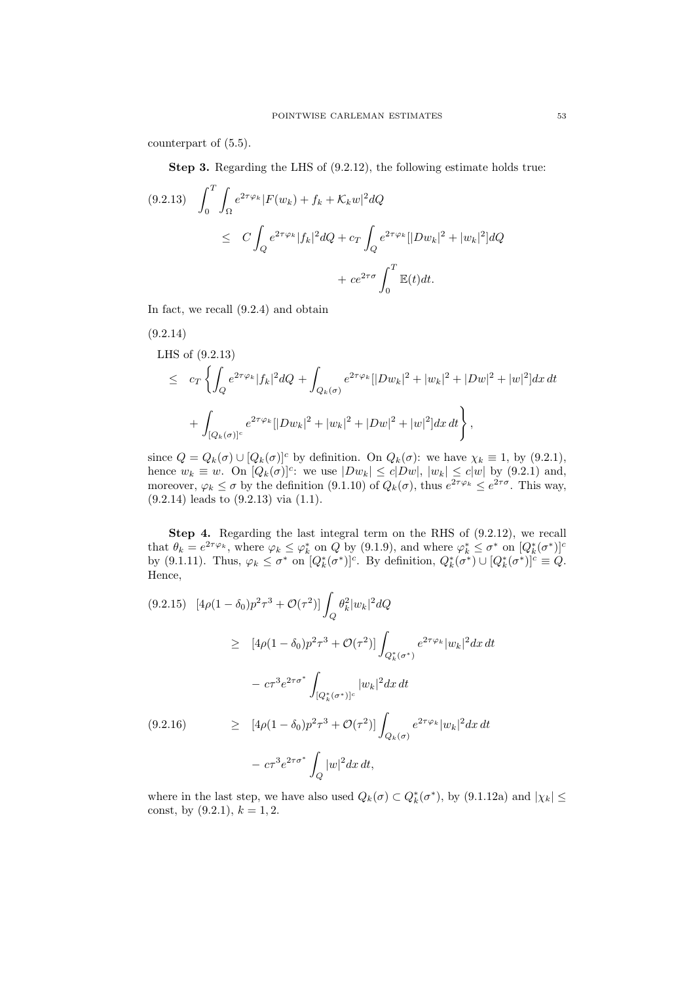counterpart of (5.5).

Step 3. Regarding the LHS of (9.2.12), the following estimate holds true:

$$
(9.2.13) \quad \int_0^T \int_{\Omega} e^{2\tau \varphi_k} |F(w_k) + f_k + \mathcal{K}_k w|^2 dQ
$$
  

$$
\leq C \int_Q e^{2\tau \varphi_k} |f_k|^2 dQ + c_T \int_Q e^{2\tau \varphi_k} [|Dw_k|^2 + |w_k|^2] dQ
$$
  

$$
+ c e^{2\tau \sigma} \int_0^T \mathbb{E}(t) dt.
$$

In fact, we recall (9.2.4) and obtain

$$
(9.2.14)
$$
  
\nLHS of (9.2.13)  
\n
$$
\leq c_T \left\{ \int_Q e^{2\tau \varphi_k} |f_k|^2 dQ + \int_{Q_k(\sigma)} e^{2\tau \varphi_k} [|Dw_k|^2 + |w_k|^2 + |Dw|^2 + |w|^2] dx dt + \int_{[Q_k(\sigma)]^c} e^{2\tau \varphi_k} [|Dw_k|^2 + |w_k|^2 + |Dw|^2 + |w|^2] dx dt \right\},\
$$

since  $Q = Q_k(\sigma) \cup [Q_k(\sigma)]^c$  by definition. On  $Q_k(\sigma)$ : we have  $\chi_k \equiv 1$ , by (9.2.1), hence  $w_k \equiv w$ . On  $[Q_k(\sigma)]^c$ : we use  $|Dw_k| \le c|Dw|$ ,  $|w_k| \le c|w|$  by (9.2.1) and, moreover,  $\varphi_k \leq \sigma$  by the definition (9.1.10) of  $Q_k(\sigma)$ , thus  $e^{2\tau \varphi_k} \leq e^{2\tau \sigma}$ . This way, (9.2.14) leads to (9.2.13) via (1.1).

Step 4. Regarding the last integral term on the RHS of  $(9.2.12)$ , we recall that  $\theta_k = e^{2\tau \varphi_k}$ , where  $\varphi_k \leq \varphi_k^*$  on Q by (9.1.9), and where  $\varphi_k^* \leq \sigma^*$  on  $[Q_k^*(\sigma^*)]^c$ by (9.1.11). Thus,  $\varphi_k \leq \sigma^*$  on  $[Q_k^*(\sigma^*)]^c$ . By definition,  $Q_k^*(\sigma^*) \cup [Q_k^*(\sigma^*)]^c \equiv Q$ . Hence,

$$
(9.2.15) \quad [4\rho(1 - \delta_0)p^2\tau^3 + \mathcal{O}(\tau^2)] \int_Q \theta_k^2 |w_k|^2 dQ
$$
  
\n
$$
\geq [4\rho(1 - \delta_0)p^2\tau^3 + \mathcal{O}(\tau^2)] \int_{Q_k^*(\sigma^*)} e^{2\tau\varphi_k} |w_k|^2 dx dt
$$
  
\n
$$
- c\tau^3 e^{2\tau\sigma^*} \int_{[Q_k^*(\sigma^*)]^c} |w_k|^2 dx dt
$$
  
\n
$$
(9.2.16) \quad \geq [4\rho(1 - \delta_0)p^2\tau^3 + \mathcal{O}(\tau^2)] \int_{Q_k(\sigma)} e^{2\tau\varphi_k} |w_k|^2 dx dt
$$
  
\n
$$
- c\tau^3 e^{2\tau\sigma^*} \int_Q |w|^2 dx dt,
$$

where in the last step, we have also used  $Q_k(\sigma) \subset Q_k^*(\sigma^*)$ , by  $(9.1.12a)$  and  $|\chi_k| \le$ const, by  $(9.2.1), k = 1, 2.$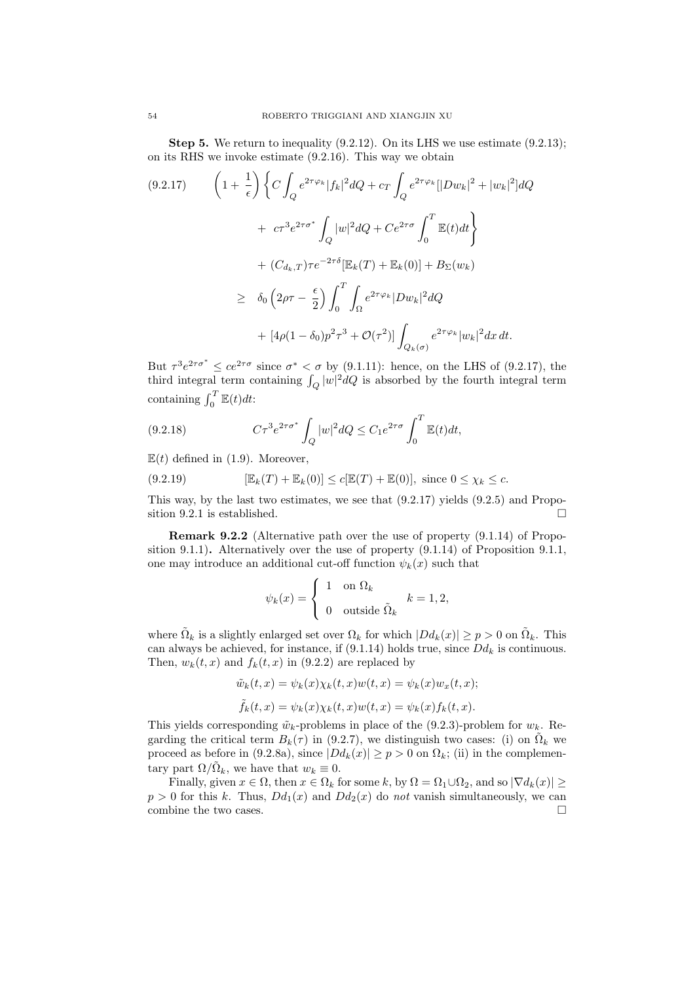**Step 5.** We return to inequality  $(9.2.12)$ . On its LHS we use estimate  $(9.2.13)$ ; on its RHS we invoke estimate (9.2.16). This way we obtain

$$
(9.2.17) \qquad \left(1 + \frac{1}{\epsilon}\right) \left\{C \int_Q e^{2\tau \varphi_k} |f_k|^2 dQ + c_T \int_Q e^{2\tau \varphi_k} [|Dw_k|^2 + |w_k|^2] dQ \right.
$$

$$
+ c\tau^3 e^{2\tau \sigma^*} \int_Q |w|^2 dQ + Ce^{2\tau \sigma} \int_0^T \mathbb{E}(t) dt \right\}
$$

$$
+ (C_{d_k,T})\tau e^{-2\tau \delta} [\mathbb{E}_k(T) + \mathbb{E}_k(0)] + B_{\Sigma}(w_k)
$$

$$
\geq \delta_0 \left(2\rho\tau - \frac{\epsilon}{2}\right) \int_0^T \int_\Omega e^{2\tau \varphi_k} |Dw_k|^2 dQ
$$

$$
+ [4\rho(1 - \delta_0)p^2 \tau^3 + \mathcal{O}(\tau^2)] \int_{Q_k(\sigma)} e^{2\tau \varphi_k} |w_k|^2 dx dt.
$$

But  $\tau^3 e^{2\tau \sigma^*} \leq ce^{2\tau \sigma}$  since  $\sigma^* < \sigma$  by (9.1.11): hence, on the LHS of (9.2.17), the third integral term containing  $\int_Q |w|^2 dQ$  is absorbed by the fourth integral term containing  $\int_0^T \mathbb{E}(t) dt$ :

(9.2.18) 
$$
C\tau^3 e^{2\tau\sigma^*} \int_Q |w|^2 dQ \leq C_1 e^{2\tau\sigma} \int_0^T \mathbb{E}(t) dt,
$$

 $E(t)$  defined in (1.9). Moreover,

(9.2.19) 
$$
[\mathbb{E}_k(T) + \mathbb{E}_k(0)] \le c[\mathbb{E}(T) + \mathbb{E}(0)], \text{ since } 0 \le \chi_k \le c.
$$

This way, by the last two estimates, we see that (9.2.17) yields (9.2.5) and Proposition 9.2.1 is established.  $\square$ 

Remark 9.2.2 (Alternative path over the use of property (9.1.14) of Proposition 9.1.1). Alternatively over the use of property (9.1.14) of Proposition 9.1.1, one may introduce an additional cut-off function  $\psi_k(x)$  such that

$$
\psi_k(x) = \begin{cases} 1 & \text{on } \Omega_k \\ 0 & \text{outside } \tilde{\Omega}_k \end{cases} \quad k = 1, 2,
$$

where  $\tilde{\Omega}_k$  is a slightly enlarged set over  $\Omega_k$  for which  $|Dd_k(x)| \geq p > 0$  on  $\tilde{\Omega}_k$ . This can always be achieved, for instance, if  $(9.1.14)$  holds true, since  $Dd_k$  is continuous. Then,  $w_k(t, x)$  and  $f_k(t, x)$  in (9.2.2) are replaced by

$$
\tilde{w}_k(t,x) = \psi_k(x)\chi_k(t,x)w(t,x) = \psi_k(x)w_x(t,x);
$$
  

$$
\tilde{f}_k(t,x) = \psi_k(x)\chi_k(t,x)w(t,x) = \psi_k(x)f_k(t,x).
$$

This yields corresponding  $\tilde{w}_k$ -problems in place of the (9.2.3)-problem for  $w_k$ . Regarding the critical term  $B_k(\tau)$  in (9.2.7), we distinguish two cases: (i) on  $\tilde{\Omega}_k$  we proceed as before in (9.2.8a), since  $|Dd_k(x)| \ge p > 0$  on  $\Omega_k$ ; (ii) in the complementary part  $\Omega/\tilde{\Omega}_k$ , we have that  $w_k \equiv 0$ .

Finally, given  $x \in \Omega$ , then  $x \in \Omega_k$  for some k, by  $\Omega = \Omega_1 \cup \Omega_2$ , and so  $|\nabla d_k(x)| \ge$  $p > 0$  for this k. Thus,  $Dd_1(x)$  and  $Dd_2(x)$  do not vanish simultaneously, we can combine the two cases.  $\Box$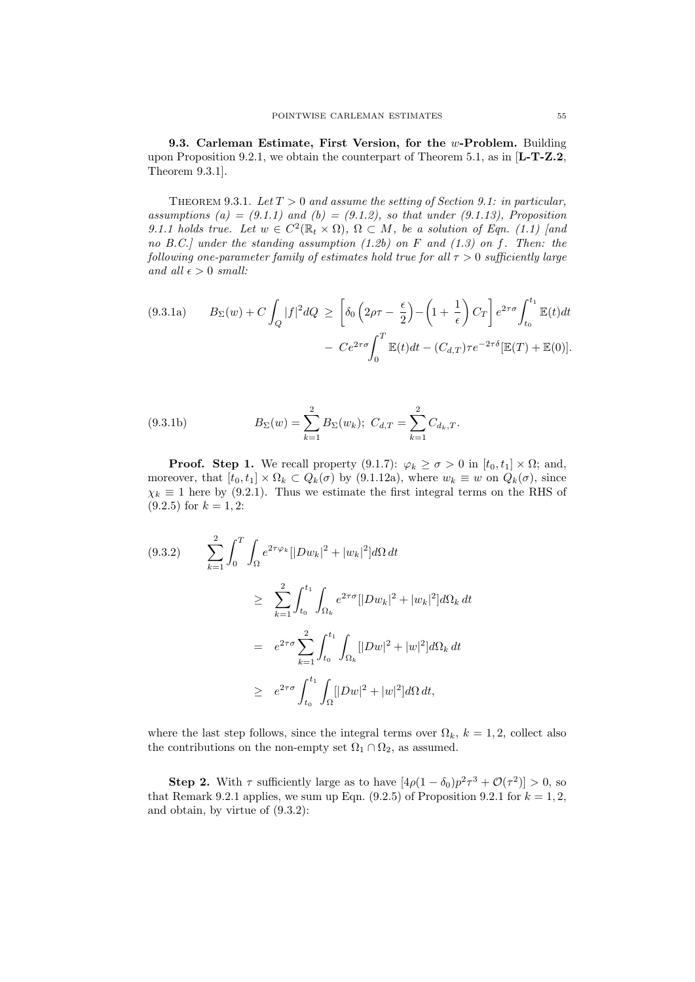9.3. Carleman Estimate, First Version, for the w-Problem. Building upon Proposition 9.2.1, we obtain the counterpart of Theorem 5.1, as in  $[L-T-Z.2]$ , Theorem 9.3.1].

THEOREM 9.3.1. Let  $T > 0$  and assume the setting of Section 9.1: in particular, assumptions (a) =  $(9.1.1)$  and (b) =  $(9.1.2)$ , so that under  $(9.1.13)$ , Proposition 9.1.1 holds true. Let  $w \in C^2(\mathbb{R}_t \times \Omega)$ ,  $\Omega \subset M$ , be a solution of Eqn. (1.1) [and no B.C.] under the standing assumption  $(1.2b)$  on F and  $(1.3)$  on f. Then: the following one-parameter family of estimates hold true for all  $\tau > 0$  sufficiently large and all  $\epsilon > 0$  small:

$$
(9.3.1a) \qquad B_{\Sigma}(w) + C \int_{Q} |f|^{2} dQ \geq \left[ \delta_{0} \left( 2\rho \tau - \frac{\epsilon}{2} \right) - \left( 1 + \frac{1}{\epsilon} \right) C_{T} \right] e^{2\tau \sigma} \int_{t_{0}}^{t_{1}} \mathbb{E}(t) dt
$$

$$
- C e^{2\tau \sigma} \int_{0}^{T} \mathbb{E}(t) dt - (C_{d,T}) \tau e^{-2\tau \delta} [\mathbb{E}(T) + \mathbb{E}(0)].
$$

(9.3.1b) 
$$
B_{\Sigma}(w) = \sum_{k=1}^{2} B_{\Sigma}(w_k); \ C_{d,T} = \sum_{k=1}^{2} C_{d_k,T}.
$$

**Proof.** Step 1. We recall property  $(9.1.7)$ :  $\varphi_k \ge \sigma > 0$  in  $[t_0, t_1] \times \Omega$ ; and, moreover, that  $[t_0, t_1] \times \Omega_k \subset Q_k(\sigma)$  by (9.1.12a), where  $w_k \equiv w$  on  $Q_k(\sigma)$ , since  $\chi_k \equiv 1$  here by (9.2.1). Thus we estimate the first integral terms on the RHS of  $(9.2.5)$  for  $k = 1, 2$ :

$$
(9.3.2) \qquad \sum_{k=1}^{2} \int_{0}^{T} \int_{\Omega} e^{2\tau \varphi_{k}} [|Dw_{k}|^{2} + |w_{k}|^{2}] d\Omega dt
$$
  
\n
$$
\geq \sum_{k=1}^{2} \int_{t_{0}}^{t_{1}} \int_{\Omega_{k}} e^{2\tau \sigma} [|Dw_{k}|^{2} + |w_{k}|^{2}] d\Omega_{k} dt
$$
  
\n
$$
= e^{2\tau \sigma} \sum_{k=1}^{2} \int_{t_{0}}^{t_{1}} \int_{\Omega_{k}} [|Dw|^{2} + |w|^{2}] d\Omega_{k} dt
$$
  
\n
$$
\geq e^{2\tau \sigma} \int_{t_{0}}^{t_{1}} \int_{\Omega} [|Dw|^{2} + |w|^{2}] d\Omega dt,
$$

where the last step follows, since the integral terms over  $\Omega_k$ ,  $k = 1, 2$ , collect also the contributions on the non-empty set  $\Omega_1 \cap \Omega_2$ , as assumed.

**Step 2.** With  $\tau$  sufficiently large as to have  $[4\rho(1-\delta_0)p^2\tau^3+\mathcal{O}(\tau^2)]>0$ , so that Remark 9.2.1 applies, we sum up Eqn.  $(9.2.5)$  of Proposition 9.2.1 for  $k = 1, 2$ , and obtain, by virtue of (9.3.2):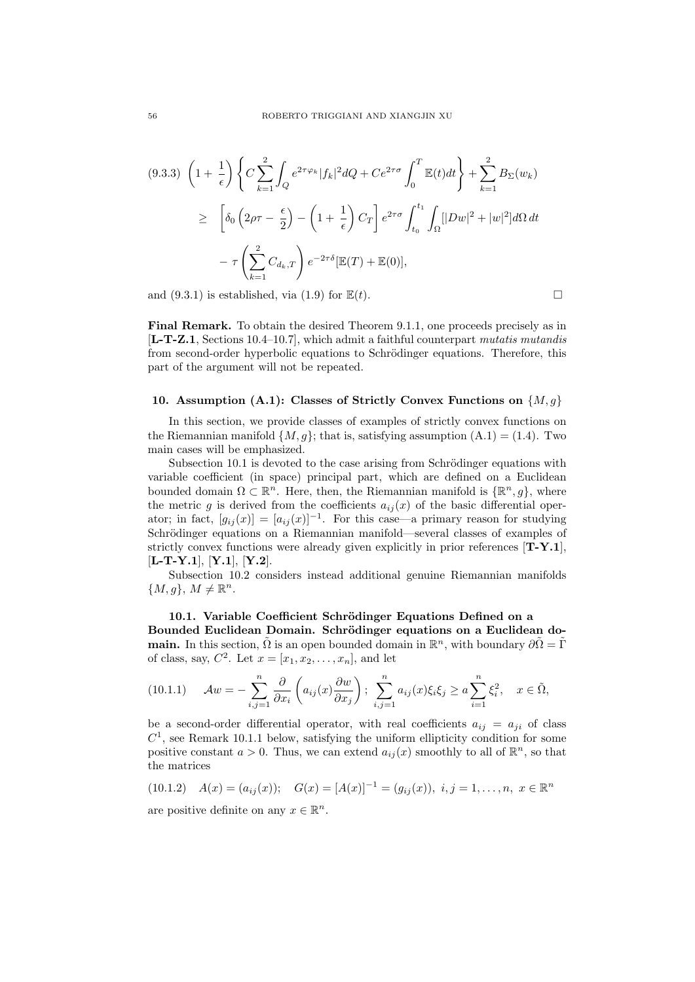$$
(9.3.3) \left(1+\frac{1}{\epsilon}\right) \left\{ C \sum_{k=1}^{2} \int_{Q} e^{2\tau \varphi_{k}} |f_{k}|^{2} dQ + Ce^{2\tau \sigma} \int_{0}^{T} \mathbb{E}(t) dt \right\} + \sum_{k=1}^{2} B_{\Sigma}(w_{k})
$$
  
\n
$$
\geq \left[ \delta_{0} \left( 2\rho\tau - \frac{\epsilon}{2} \right) - \left( 1 + \frac{1}{\epsilon} \right) C_{T} \right] e^{2\tau \sigma} \int_{t_{0}}^{t_{1}} \int_{\Omega} [|Dw|^{2} + |w|^{2}] d\Omega dt
$$
  
\n
$$
- \tau \left( \sum_{k=1}^{2} C_{d_{k},T} \right) e^{-2\tau \delta} [\mathbb{E}(T) + \mathbb{E}(0)],
$$

and (9.3.1) is established, via (1.9) for  $\mathbb{E}(t)$ .

Final Remark. To obtain the desired Theorem 9.1.1, one proceeds precisely as in [L-T-Z.1, Sections 10.4–10.7], which admit a faithful counterpart mutatis mutandis from second-order hyperbolic equations to Schrödinger equations. Therefore, this part of the argument will not be repeated.

#### 10. Assumption (A.1): Classes of Strictly Convex Functions on  $\{M, g\}$

In this section, we provide classes of examples of strictly convex functions on the Riemannian manifold  $\{M, q\}$ ; that is, satisfying assumption  $(A.1) = (1.4)$ . Two main cases will be emphasized.

Subsection 10.1 is devoted to the case arising from Schrödinger equations with variable coefficient (in space) principal part, which are defined on a Euclidean bounded domain  $\Omega \subset \mathbb{R}^n$ . Here, then, the Riemannian manifold is  $\{\mathbb{R}^n, g\}$ , where the metric g is derived from the coefficients  $a_{ij}(x)$  of the basic differential operator; in fact,  $[g_{ij}(x)] = [a_{ij}(x)]^{-1}$ . For this case—a primary reason for studying Schrödinger equations on a Riemannian manifold—several classes of examples of strictly convex functions were already given explicitly in prior references  $[T-Y.1]$ ,  $[L-T-Y.1], [Y.1], [Y.2].$ 

Subsection 10.2 considers instead additional genuine Riemannian manifolds  ${M, g}, M \neq \mathbb{R}^n$ .

## 10.1. Variable Coefficient Schrödinger Equations Defined on a Bounded Euclidean Domain. Schrödinger equations on a Euclidean do**main.** In this section,  $\tilde{\Omega}$  is an open bounded domain in  $\mathbb{R}^n$ , with boundary  $\partial \tilde{\Omega} = \tilde{\Gamma}$ of class, say,  $C^2$ . Let  $x = [x_1, x_2, \ldots, x_n]$ , and let

$$
(10.1.1) \quad \mathcal{A}w = -\sum_{i,j=1}^n \frac{\partial}{\partial x_i} \left( a_{ij}(x) \frac{\partial w}{\partial x_j} \right); \sum_{i,j=1}^n a_{ij}(x) \xi_i \xi_j \ge a \sum_{i=1}^n \xi_i^2, \quad x \in \tilde{\Omega},
$$

be a second-order differential operator, with real coefficients  $a_{ij} = a_{ji}$  of class  $C<sup>1</sup>$ , see Remark 10.1.1 below, satisfying the uniform ellipticity condition for some positive constant  $a > 0$ . Thus, we can extend  $a_{ij}(x)$  smoothly to all of  $\mathbb{R}^n$ , so that the matrices

$$
(10.1.2) \quad A(x) = (a_{ij}(x)); \quad G(x) = [A(x)]^{-1} = (g_{ij}(x)), \ i, j = 1, \dots, n, \ x \in \mathbb{R}^n
$$

are positive definite on any  $x \in \mathbb{R}^n$ .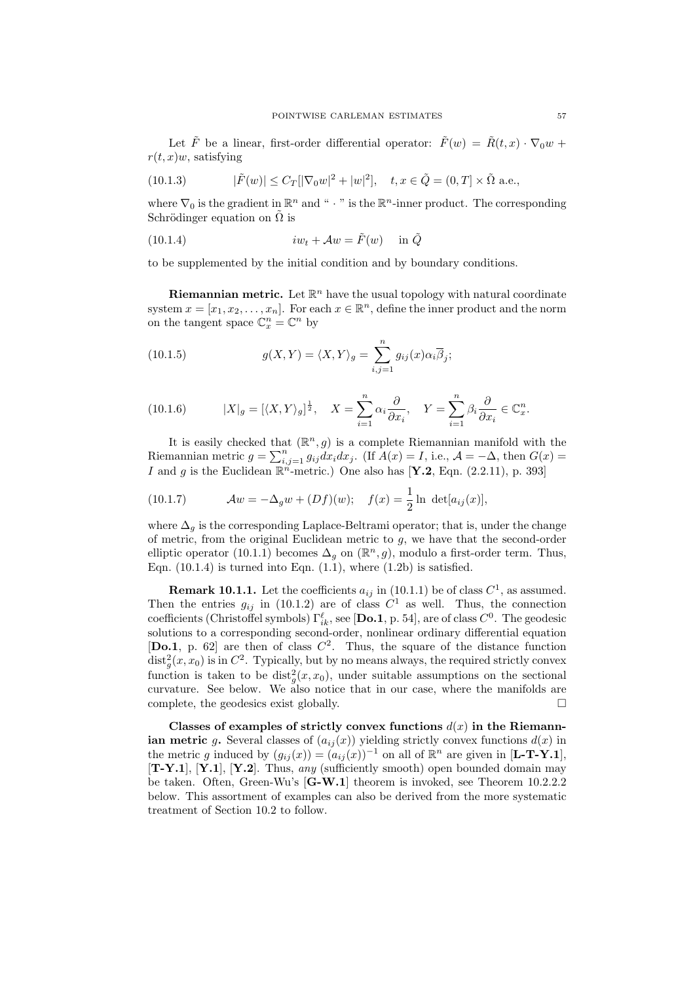Let  $\tilde{F}$  be a linear, first-order differential operator:  $\tilde{F}(w) = \tilde{R}(t,x) \cdot \nabla_0 w +$  $r(t, x)$ w, satisfying

(10.1.3) 
$$
|\tilde{F}(w)| \le C_T [|\nabla_0 w|^2 + |w|^2], \quad t, x \in \tilde{Q} = (0, T] \times \tilde{\Omega} \text{ a.e.},
$$

where  $\nabla_0$  is the gradient in  $\mathbb{R}^n$  and " · " is the  $\mathbb{R}^n$ -inner product. The corresponding Schrödinger equation on  $\Omega$  is

(10.1.4) 
$$
iw_t + \mathcal{A}w = \tilde{F}(w) \quad \text{in } \tilde{Q}
$$

to be supplemented by the initial condition and by boundary conditions.

**Riemannian metric.** Let  $\mathbb{R}^n$  have the usual topology with natural coordinate system  $x = [x_1, x_2, \dots, x_n]$ . For each  $x \in \mathbb{R}^n$ , define the inner product and the norm on the tangent space  $\mathbb{C}_x^n = \mathbb{C}^n$  by

(10.1.5) 
$$
g(X,Y) = \langle X,Y \rangle_g = \sum_{i,j=1}^n g_{ij}(x) \alpha_i \overline{\beta}_j;
$$

(10.1.6) 
$$
|X|_g = [\langle X, Y \rangle_g]^{\frac{1}{2}}, \quad X = \sum_{i=1}^n \alpha_i \frac{\partial}{\partial x_i}, \quad Y = \sum_{i=1}^n \beta_i \frac{\partial}{\partial x_i} \in \mathbb{C}_x^n.
$$

It is easily checked that  $(\mathbb{R}^n, g)$  is a complete Riemannian manifold with the Riemannian metric  $g = \sum_{i,j=1}^n g_{ij} dx_i dx_j$ . (If  $A(x) = I$ , i.e.,  $A = -\Delta$ , then  $G(x) =$ I and g is the Euclidean  $\mathbb{R}^n$ -metric.) One also has [Y.2, Eqn. (2.2.11), p. 393]

(10.1.7) 
$$
Aw = -\Delta_g w + (Df)(w); \quad f(x) = \frac{1}{2} \ln \det[a_{ij}(x)],
$$

where  $\Delta_q$  is the corresponding Laplace-Beltrami operator; that is, under the change of metric, from the original Euclidean metric to  $g$ , we have that the second-order elliptic operator (10.1.1) becomes  $\Delta_g$  on  $(\mathbb{R}^n, g)$ , modulo a first-order term. Thus, Eqn.  $(10.1.4)$  is turned into Eqn.  $(1.1)$ , where  $(1.2b)$  is satisfied.

**Remark 10.1.1.** Let the coefficients  $a_{ij}$  in (10.1.1) be of class  $C^1$ , as assumed. Then the entries  $g_{ij}$  in (10.1.2) are of class  $C^1$  as well. Thus, the connection coefficients (Christoffel symbols)  $\Gamma_{ik}^{\ell}$ , see [**Do.1**, p. 54], are of class  $C^0$ . The geodesic solutions to a corresponding second-order, nonlinear ordinary differential equation [Do.1, p. 62] are then of class  $C^2$ . Thus, the square of the distance function  $\text{dist}_g^2(x, x_0)$  is in  $C^2$ . Typically, but by no means always, the required strictly convex function is taken to be  $dist_g^2(x, x_0)$ , under suitable assumptions on the sectional curvature. See below. We also notice that in our case, where the manifolds are complete, the geodesics exist globally.

Classes of examples of strictly convex functions  $d(x)$  in the Riemannian metric g. Several classes of  $(a_{ij}(x))$  yielding strictly convex functions  $d(x)$  in the metric g induced by  $(g_{ij}(x)) = (a_{ij}(x))^{-1}$  on all of  $\mathbb{R}^n$  are given in [**L-T-Y.1**],  $[T-Y.1]$ ,  $[Y.1]$ ,  $[Y.2]$ . Thus, any (sufficiently smooth) open bounded domain may be taken. Often, Green-Wu's [G-W.1] theorem is invoked, see Theorem 10.2.2.2 below. This assortment of examples can also be derived from the more systematic treatment of Section 10.2 to follow.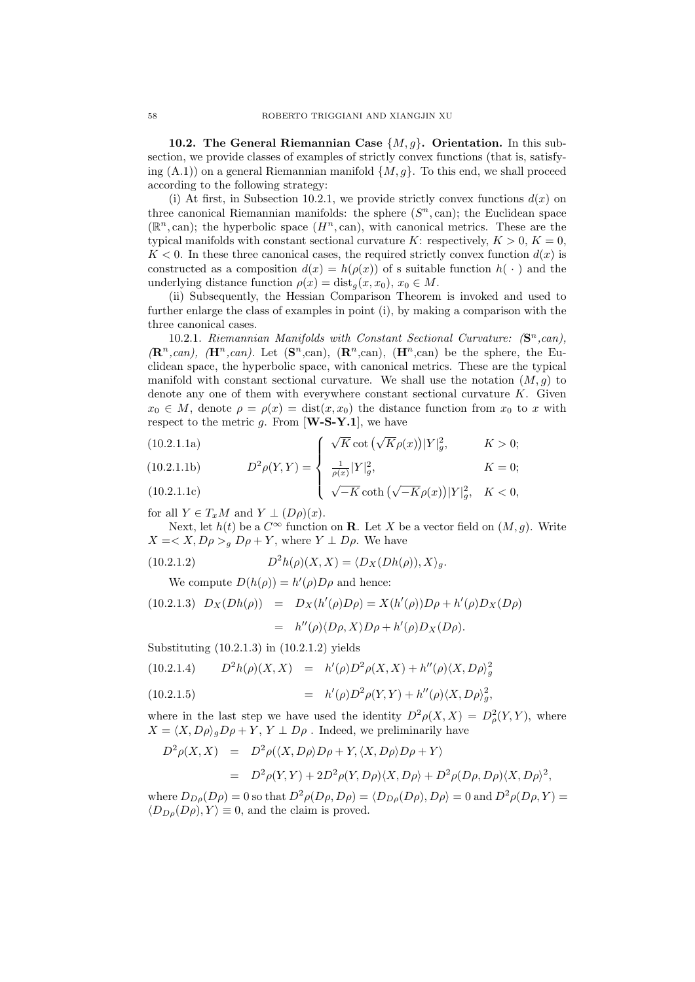10.2. The General Riemannian Case  $\{M, g\}$ . Orientation. In this subsection, we provide classes of examples of strictly convex functions (that is, satisfying  $(A.1)$  on a general Riemannian manifold  $\{M, g\}$ . To this end, we shall proceed according to the following strategy:

(i) At first, in Subsection 10.2.1, we provide strictly convex functions  $d(x)$  on three canonical Riemannian manifolds: the sphere  $(S<sup>n</sup>, can)$ ; the Euclidean space  $(\mathbb{R}^n, \text{can})$ ; the hyperbolic space  $(H^n, \text{can})$ , with canonical metrics. These are the typical manifolds with constant sectional curvature K: respectively,  $K > 0$ ,  $K = 0$ ,  $K < 0$ . In these three canonical cases, the required strictly convex function  $d(x)$  is constructed as a composition  $d(x) = h(\rho(x))$  of s suitable function  $h(\cdot)$  and the underlying distance function  $\rho(x) = \text{dist}_g(x, x_0), x_0 \in M$ .

(ii) Subsequently, the Hessian Comparison Theorem is invoked and used to further enlarge the class of examples in point (i), by making a comparison with the three canonical cases.

10.2.1. Riemannian Manifolds with Constant Sectional Curvature:  $(S<sup>n</sup>, can)$ ,  $(\mathbf{R}^n, can), \ (\mathbf{H}^n, can).$  Let  $(\mathbf{S}^n, can), (\mathbf{R}^n, can), (\mathbf{H}^n, can)$  be the sphere, the Euclidean space, the hyperbolic space, with canonical metrics. These are the typical manifold with constant sectional curvature. We shall use the notation  $(M, g)$  to denote any one of them with everywhere constant sectional curvature  $K$ . Given  $x_0 \in M$ , denote  $\rho = \rho(x) = \text{dist}(x, x_0)$  the distance function from  $x_0$  to x with respect to the metric g. From  $[\mathbf{W}\text{-}\mathbf{S}\text{-}\mathbf{Y}\text{-}\mathbf{1}]$ , we have

(10.2.1.1a)  
\n
$$
\int \sqrt{K} \cot \left(\sqrt{K} \rho(x)\right) |Y|_g^2, \qquad K > 0;
$$
\n(10.2.1.1b)  
\n
$$
D^2 \rho(Y|Y) = \int \frac{1}{1-|Y|^2} \mu(x) \rho(x) \, dx
$$
\n
$$
K = 0.
$$

(10.2.1.1b) 
$$
D^2 \rho(Y, Y) = \begin{cases} \frac{1}{\rho(x)} |Y|_g^2, & K = 0; \\ \sqrt{-K} \coth \left( \sqrt{-K} \rho(x) \right) |Y|_g^2, & K < 0, \end{cases}
$$

for all  $Y \in T_xM$  and  $Y \perp (D\rho)(x)$ .

Next, let  $h(t)$  be a  $C^{\infty}$  function on **R**. Let X be a vector field on  $(M, g)$ . Write  $X = \langle X, D\rho \rangle_g D\rho + Y$ , where  $Y \perp D\rho$ . We have

(10.2.1.2) 
$$
D^2h(\rho)(X,X) = \langle D_X(Dh(\rho)),X\rangle_g.
$$

We compute  $D(h(\rho)) = h'(\rho)D\rho$  and hence:

(10.2.1.3) 
$$
D_X(Dh(\rho)) = D_X(h'(\rho)D\rho) = X(h'(\rho))D\rho + h'(\rho)D_X(D\rho)
$$
  
=  $h''(\rho)\langle D\rho, X\rangle D\rho + h'(\rho)D_X(D\rho)$ .

Substituting (10.2.1.3) in (10.2.1.2) yields

$$
(10.2.1.4) \tD2h(\rho)(X,X) = h'(\rho)D2\rho(X,X) + h''(\rho)\langle X,D\rho\rangle_g^2
$$

(10.2.1.5) 
$$
= h'(\rho)D^2\rho(Y,Y) + h''(\rho)\langle X,D\rho\rangle_g^2,
$$

where in the last step we have used the identity  $D^2 \rho(X,X) = D^2 \rho(Y,Y)$ , where  $X = \langle X, D\rho \rangle_a D\rho + Y, Y \perp D\rho$ . Indeed, we preliminarily have

$$
D^2 \rho(X, X) = D^2 \rho(\langle X, D\rho \rangle D\rho + Y, \langle X, D\rho \rangle D\rho + Y)
$$
  
= 
$$
D^2 \rho(Y, Y) + 2D^2 \rho(Y, D\rho) \langle X, D\rho \rangle + D^2 \rho(D\rho, D\rho) \langle X, D\rho \rangle^2,
$$

where  $D_{D\rho}(D\rho) = 0$  so that  $D^2 \rho(D\rho, D\rho) = \langle D_{D\rho}(D\rho), D\rho \rangle = 0$  and  $D^2 \rho(D\rho, Y) =$  $\langle D_{D\rho}(D\rho), Y \rangle \equiv 0$ , and the claim is proved.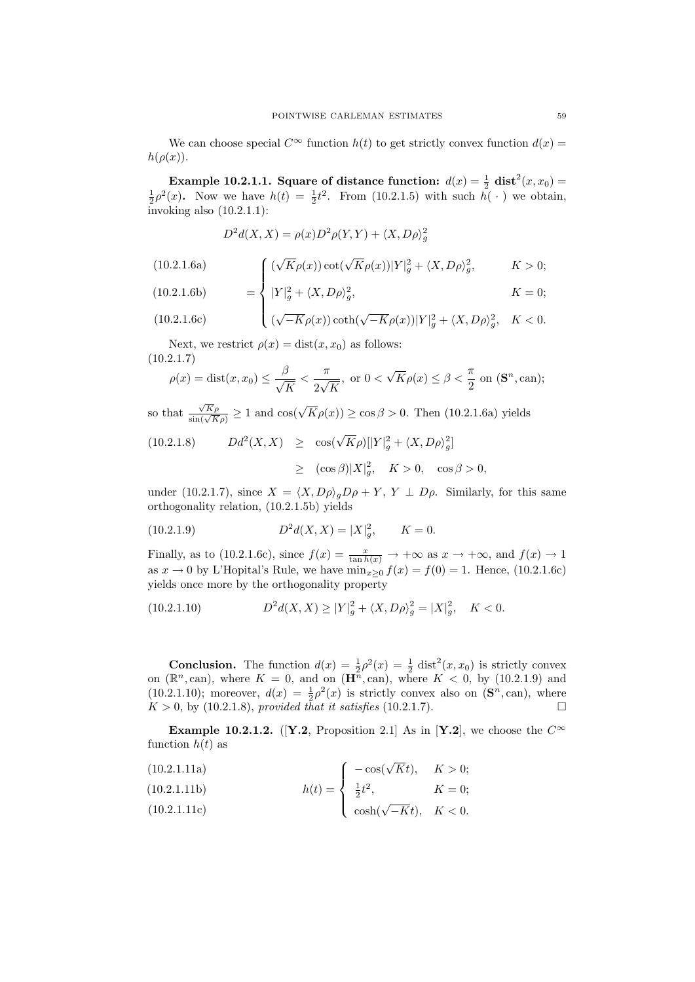We can choose special  $C^{\infty}$  function  $h(t)$  to get strictly convex function  $d(x)$  $h(\rho(x)).$ 

**Example 10.2.1.1. Square of distance function:**  $d(x) = \frac{1}{2} \text{ dist}^2(x, x_0) = \frac{1}{2} \rho^2(x)$ . Now we have  $h(t) = \frac{1}{2}t^2$ . From (10.2.1.5) with such  $h(\cdot)$  we obtain, invoking also  $(10.2.1.1)$ :

$$
D^{2}d(X, X) = \rho(x)D^{2}\rho(Y, Y) + \langle X, D\rho \rangle_{g}^{2}
$$

(10.2.1.6a)  
\n
$$
\int (\sqrt{K}\rho(x)) \cot(\sqrt{K}\rho(x)) |Y|_g^2 + \langle X, D\rho \rangle_g^2, \qquad K > 0;
$$
\n(10.2.1.6b)  
\n
$$
= \int |Y|^2 + \langle X, D\rho \rangle_g^2 \qquad K = 0;
$$

(10.2.1.6b) 
$$
= \left\{ |Y|_g^2 + \langle X, D\rho \rangle_g^2, \right. \qquad K = 0;
$$

(10.2.1.6c) 
$$
\left( \sqrt{-K} \rho(x) \right) \coth(\sqrt{-K} \rho(x)) |Y|_g^2 + \langle X, D\rho \rangle_g^2, \quad K < 0.
$$

Next, we restrict  $\rho(x) = \text{dist}(x, x_0)$  as follows: (10.2.1.7)

$$
\rho(x) = \text{dist}(x, x_0) \le \frac{\beta}{\sqrt{K}} < \frac{\pi}{2\sqrt{K}}, \text{ or } 0 < \sqrt{K}\rho(x) \le \beta < \frac{\pi}{2} \text{ on } (\mathbf{S}^n, \text{can});
$$

so that  $\frac{\sqrt{K}\rho}{\sin(\sqrt{K}\rho)} \ge 1$  and  $\cos(\sqrt{K}\rho(x)) \ge \cos \beta > 0$ . Then (10.2.1.6a) yields

(10.2.1.8) 
$$
Dd^{2}(X, X) \geq \cos(\sqrt{K}\rho)[|Y|_{g}^{2} + \langle X, D\rho\rangle_{g}^{2}]
$$

$$
\geq (\cos\beta)|X|_{g}^{2}, \quad K > 0, \quad \cos\beta > 0,
$$

under (10.2.1.7), since  $X = \langle X, D\rho \rangle_a D\rho + Y$ ,  $Y \perp D\rho$ . Similarly, for this same orthogonality relation, (10.2.1.5b) yields

(10.2.1.9) 
$$
D^2 d(X, X) = |X|_g^2, \qquad K = 0.
$$

Finally, as to (10.2.1.6c), since  $f(x) = \frac{x}{\tan h(x)} \to +\infty$  as  $x \to +\infty$ , and  $f(x) \to 1$ as  $x \to 0$  by L'Hopital's Rule, we have  $\min_{x>0} f(x) = f(0) = 1$ . Hence, (10.2.1.6c) yields once more by the orthogonality property

(10.2.1.10) 
$$
D^2 d(X, X) \ge |Y|_g^2 + \langle X, D\rho \rangle_g^2 = |X|_g^2, \quad K < 0.
$$

**Conclusion.** The function  $d(x) = \frac{1}{2}\rho^2(x) = \frac{1}{2}$  dist<sup>2</sup> $(x, x_0)$  is strictly convex on  $(\mathbb{R}^n, \text{can})$ , where  $K = 0$ , and on  $(\mathbf{H}^n, \text{can})$ , where  $K < 0$ , by  $(10.2.1.9)$  and (10.2.1.10); moreover,  $d(x) = \frac{1}{2}\rho^2(x)$  is strictly convex also on  $(\mathbf{S}^n, \text{can})$ , where  $K > 0$ , by (10.2.1.8), provided that it satisfies (10.2.1.7).

**Example 10.2.1.2.** ([Y.2, Proposition 2.1] As in [Y.2], we choose the  $C^{\infty}$ function  $h(t)$  as

$$
(10.2.1.11a) \qquad \qquad \int \ -\cos(\sqrt{K}t), \quad K > 0;
$$

(10.2.1.11b)  

$$
h(t) = \begin{cases} \frac{1}{2}t^2, & K = 0; \end{cases}
$$

$$
(10.2.1.11c) \qquad \qquad \begin{array}{c} \text{c} \\ \cosh(\sqrt{-K}t), \quad K < 0. \end{array}
$$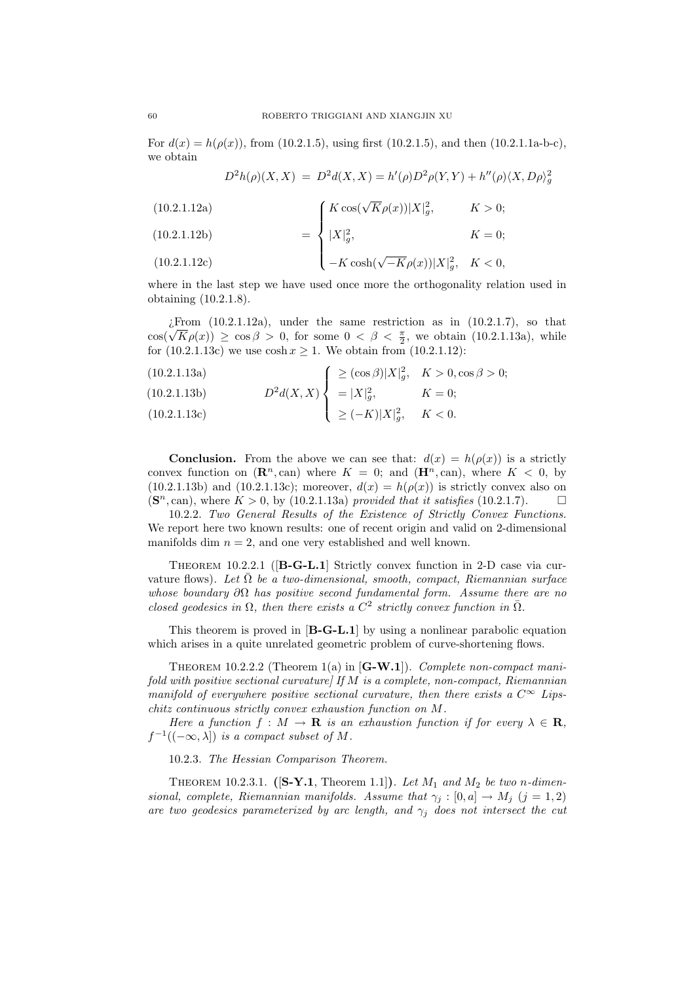For  $d(x) = h(\rho(x))$ , from (10.2.1.5), using first (10.2.1.5), and then (10.2.1.1a-b-c), we obtain

$$
D^{2}h(\rho)(X,X) = D^{2}d(X,X) = h'(\rho)D^{2}\rho(Y,Y) + h''(\rho)\langle X,D\rho \rangle_{g}^{2}
$$

(10.2.1.12a)  $\sqrt{ }$  $K \cos(\sqrt{K}\rho(x))|X|_g^2, \qquad K > 0;$ 

(10.2.1.12b) (10.2.1.12c) = |X| 2 g , K = 0; <sup>−</sup><sup>K</sup> cosh(<sup>√</sup> −Kρ(x))|X| 2 g , K < 0,

where in the last step we have used once more the orthogonality relation used in obtaining (10.2.1.8).

 $i$ From (10.2.1.12a), under the same restriction as in (10.2.1.7), so that  $\lim_{\zeta \to 0}$  (10.2.1.12a), under the same restriction as in (10.2.1.1), so that  $\cos(\sqrt{K}\rho(x)) \ge \cos \beta > 0$ , for some  $0 < \beta < \frac{\pi}{2}$ , we obtain (10.2.1.13a), while for  $(10.2.1.13c)$  we use  $\cosh x \ge 1$ . We obtain from  $(10.2.1.12)$ :

(10.2.1.13a)  
\n(10.2.1.13b)  
\n
$$
D^2 d(X,X) \begin{cases}\n\ge (\cos \beta)|X|_g^2, & K > 0, \cos \beta > 0; \\
= |X|_g^2, & K = 0;\n\end{cases}
$$

(10.2.1.13c) 
$$
\geq (-K)|X|_g^2, \quad K < 0.
$$

**Conclusion.** From the above we can see that:  $d(x) = h(\rho(x))$  is a strictly convex function on  $(\mathbb{R}^n, \text{can})$  where  $K = 0$ ; and  $(\mathbb{H}^n, \text{can})$ , where  $K < 0$ , by  $(10.2.1.13b)$  and  $(10.2.1.13c)$ ; moreover,  $d(x) = h(\rho(x))$  is strictly convex also on  $(\mathbf{S}^n, \text{can})$ , where  $K > 0$ , by (10.2.1.13a) provided that it satisfies (10.2.1.7).

10.2.2. Two General Results of the Existence of Strictly Convex Functions. We report here two known results: one of recent origin and valid on 2-dimensional manifolds dim  $n = 2$ , and one very established and well known.

THEOREM 10.2.2.1 ([B-G-L.1] Strictly convex function in 2-D case via curvature flows). Let  $\overline{\Omega}$  be a two-dimensional, smooth, compact, Riemannian surface whose boundary  $\partial\Omega$  has positive second fundamental form. Assume there are no closed geodesics in  $\Omega$ , then there exists a  $C^2$  strictly convex function in  $\overline{\Omega}$ .

This theorem is proved in [B-G-L.1] by using a nonlinear parabolic equation which arises in a quite unrelated geometric problem of curve-shortening flows.

THEOREM 10.2.2.2 (Theorem 1(a) in  $[G-W.1]$ ). Complete non-compact manifold with positive sectional curvature] If  $M$  is a complete, non-compact, Riemannian manifold of everywhere positive sectional curvature, then there exists a  $C^{\infty}$  Lipschitz continuous strictly convex exhaustion function on M.

Here a function  $f : M \to \mathbf{R}$  is an exhaustion function if for every  $\lambda \in \mathbf{R}$ ,  $f^{-1}((-\infty,\lambda])$  is a compact subset of M.

10.2.3. The Hessian Comparison Theorem.

THEOREM 10.2.3.1. ( $[S-Y.1,$  Theorem 1.1]). Let  $M_1$  and  $M_2$  be two n-dimensional, complete, Riemannian manifolds. Assume that  $\gamma_j : [0, a] \to M_j$   $(j = 1, 2)$ are two geodesics parameterized by arc length, and  $\gamma_i$  does not intersect the cut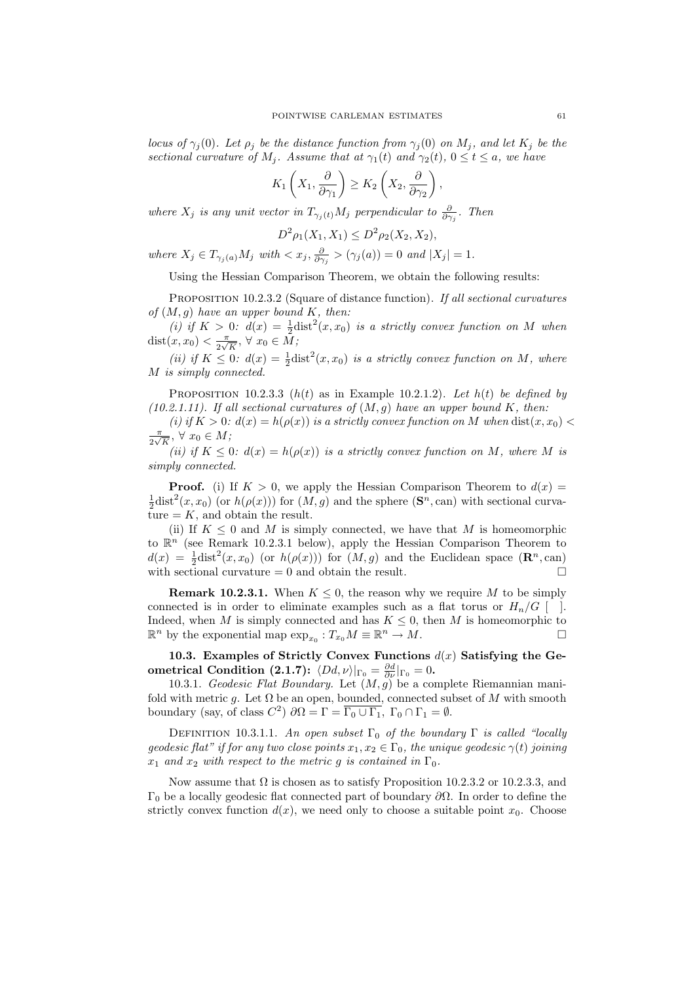locus of  $\gamma_j(0)$ . Let  $\rho_j$  be the distance function from  $\gamma_j(0)$  on  $M_j$ , and let  $K_j$  be the sectional curvature of  $M_i$ . Assume that at  $\gamma_1(t)$  and  $\gamma_2(t)$ ,  $0 \le t \le a$ , we have

$$
K_1\left(X_1, \frac{\partial}{\partial \gamma_1}\right) \ge K_2\left(X_2, \frac{\partial}{\partial \gamma_2}\right),\,
$$

where  $X_j$  is any unit vector in  $T_{\gamma_j(t)}M_j$  perpendicular to  $\frac{\partial}{\partial \gamma_j}$ . Then

$$
D^2 \rho_1(X_1, X_1) \le D^2 \rho_2(X_2, X_2),
$$

where  $X_j \in T_{\gamma_j(a)}M_j$  with  $\langle x_j, \frac{\partial}{\partial \gamma_j} \rangle (\gamma_j(a)) = 0$  and  $|X_j| = 1$ .

Using the Hessian Comparison Theorem, we obtain the following results:

PROPOSITION 10.2.3.2 (Square of distance function). If all sectional curvatures of  $(M, g)$  have an upper bound K, then:

(i) if  $K > 0$ :  $d(x) = \frac{1}{2} \text{dist}^2(x, x_0)$  is a strictly convex function on M when  $dist(x, x_0) < \frac{\pi}{2}$  $\frac{\pi}{2\sqrt{K}}$ ,  $\forall x_0 \in M$ ;

(ii) if  $K \leq 0$ :  $d(x) = \frac{1}{2} \text{dist}^2(x, x_0)$  is a strictly convex function on M, where M is simply connected.

PROPOSITION 10.2.3.3  $(h(t)$  as in Example 10.2.1.2). Let  $h(t)$  be defined by (10.2.1.11). If all sectional curvatures of  $(M, g)$  have an upper bound K, then:

(i) if  $K > 0$ :  $d(x) = h(\rho(x))$  is a strictly convex function on M when  $dist(x, x_0)$ π  $\frac{\pi}{2\sqrt{K}}$ ,  $\forall x_0 \in M$ ;

(ii) if  $K \leq 0$ :  $d(x) = h(\rho(x))$  is a strictly convex function on M, where M is simply connected.

**Proof.** (i) If  $K > 0$ , we apply the Hessian Comparison Theorem to  $d(x) =$  $\frac{1}{2}$ dist<sup>2</sup>(x, x<sub>0</sub>) (or  $h(\rho(x))$ ) for (M, g) and the sphere (S<sup>n</sup>, can) with sectional curvature  $= K$ , and obtain the result.

(ii) If  $K \leq 0$  and M is simply connected, we have that M is homeomorphic to  $\mathbb{R}^n$  (see Remark 10.2.3.1 below), apply the Hessian Comparison Theorem to  $d(x) = \frac{1}{2}$ dist<sup>2</sup> $(x, x_0)$  (or  $h(\rho(x))$ ) for  $(M, g)$  and the Euclidean space  $(\mathbb{R}^n, \text{can})$ with sectional curvature  $= 0$  and obtain the result.

**Remark 10.2.3.1.** When  $K \leq 0$ , the reason why we require M to be simply connected is in order to eliminate examples such as a flat torus or  $H_n/G$  [ ]. Indeed, when M is simply connected and has  $K \leq 0$ , then M is homeomorphic to  $\mathbb{R}^n$  by the exponential map  $\exp_{x_0}: T_{x_0}M \equiv \mathbb{R}^n \to M.$ 

10.3. Examples of Strictly Convex Functions  $d(x)$  Satisfying the Ge- $\textbf{ometrical Condition (2.1.7): } \langle Dd, \nu \rangle|_{\Gamma_{0}} = \frac{\partial d}{\partial \nu}|_{\Gamma_{0}} = 0.$ 

10.3.1. Geodesic Flat Boundary. Let  $(M, g)$  be a complete Riemannian manifold with metric g. Let  $\Omega$  be an open, bounded, connected subset of M with smooth boundary (say, of class  $C^2$ )  $\partial\Omega = \Gamma = \overline{\Gamma_0 \cup \Gamma_1}$ ,  $\Gamma_0 \cap \Gamma_1 = \emptyset$ .

DEFINITION 10.3.1.1. An open subset  $\Gamma_0$  of the boundary  $\Gamma$  is called "locally geodesic flat" if for any two close points  $x_1, x_2 \in \Gamma_0$ , the unique geodesic  $\gamma(t)$  joining  $x_1$  and  $x_2$  with respect to the metric g is contained in  $\Gamma_0$ .

Now assume that  $\Omega$  is chosen as to satisfy Proposition 10.2.3.2 or 10.2.3.3, and Γ<sup>0</sup> be a locally geodesic flat connected part of boundary ∂Ω. In order to define the strictly convex function  $d(x)$ , we need only to choose a suitable point  $x_0$ . Choose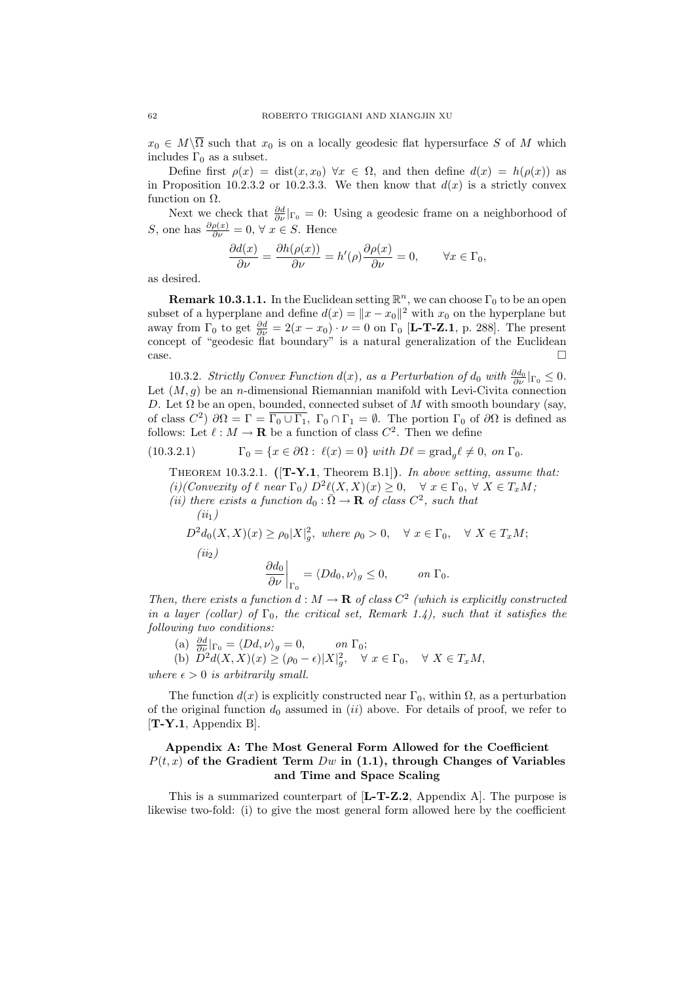$x_0 \in M \backslash \overline{\Omega}$  such that  $x_0$  is on a locally geodesic flat hypersurface S of M which includes  $\Gamma_0$  as a subset.

Define first  $\rho(x) = \text{dist}(x, x_0) \,\forall x \in \Omega$ , and then define  $d(x) = h(\rho(x))$  as in Proposition 10.2.3.2 or 10.2.3.3. We then know that  $d(x)$  is a strictly convex function on  $\Omega$ .

Next we check that  $\frac{\partial d}{\partial \nu}|_{\Gamma_0} = 0$ : Using a geodesic frame on a neighborhood of *S*, one has  $\frac{\partial \rho(x)}{\partial \nu} = 0$ ,  $\forall x \in S$ . Hence

$$
\frac{\partial d(x)}{\partial \nu} = \frac{\partial h(\rho(x))}{\partial \nu} = h'(\rho)\frac{\partial \rho(x)}{\partial \nu} = 0, \qquad \forall x \in \Gamma_0,
$$

as desired.

**Remark 10.3.1.1.** In the Euclidean setting  $\mathbb{R}^n$ , we can choose  $\Gamma_0$  to be an open subset of a hyperplane and define  $d(x) = ||x - x_0||^2$  with  $x_0$  on the hyperplane but away from  $\Gamma_0$  to get  $\frac{\partial d}{\partial \nu} = 2(x - x_0) \cdot \nu = 0$  on  $\Gamma_0$  [**L-T-Z.1**, p. 288]. The present concept of "geodesic flat boundary" is a natural generalization of the Euclidean case.

10.3.2. Strictly Convex Function  $d(x)$ , as a Perturbation of  $d_0$  with  $\frac{\partial d_0}{\partial \nu}|_{\Gamma_0} \leq 0$ . Let  $(M, g)$  be an *n*-dimensional Riemannian manifold with Levi-Civita connection D. Let  $\Omega$  be an open, bounded, connected subset of M with smooth boundary (say, of class  $C^2$ )  $\partial\Omega = \Gamma = \overline{\Gamma_0 \cup \Gamma_1}$ ,  $\Gamma_0 \cap \Gamma_1 = \emptyset$ . The portion  $\Gamma_0$  of  $\partial\Omega$  is defined as follows: Let  $\ell : M \to \mathbf{R}$  be a function of class  $C^2$ . Then we define

(10.3.2.1) 
$$
\Gamma_0 = \{x \in \partial\Omega : \ell(x) = 0\} \text{ with } D\ell = \text{grad}_g \ell \neq 0, \text{ on } \Gamma_0.
$$

THEOREM 10.3.2.1.  $([T-Y.1,$  Theorem B.1]). In above setting, assume that: (i)(Convexity of  $\ell$  near  $\Gamma_0$ )  $D^2\ell(X,X)(x) \geq 0$ ,  $\forall x \in \Gamma_0$ ,  $\forall X \in T_xM$ ;

(ii) there exists a function  $d_0 : \overline{\Omega} \to \mathbf{R}$  of class  $C^2$ , such that  $(ii_1)$ 

 $D^2 d_0(X,X)(x) \ge \rho_0 |X|_g^2$ , where  $\rho_0 > 0$ ,  $\forall x \in \Gamma_0$ ,  $\forall X \in T_xM$ ;  $(ii<sub>2</sub>)$  $\partial d_0$ ∂ν  $\Bigg|_{\Gamma_0}$  $=\langle Dd_0, \nu \rangle_g \leq 0, \qquad on \; \Gamma_0.$ 

Then, there exists a function  $d : M \to \mathbf{R}$  of class  $C^2$  (which is explicitly constructed in a layer (collar) of  $\Gamma_0$ , the critical set, Remark 1.4), such that it satisfies the following two conditions:

(a)  $\frac{\partial d}{\partial \nu} |_{\Gamma_0} = \langle Dd, \nu \rangle_g = 0, \quad on \Gamma_0;$ (b)  $\tilde{D}^2 d(X,X)(x) \geq (\rho_0 - \epsilon) |X|_g^2, \quad \forall x \in \Gamma_0, \quad \forall X \in T_xM,$ 

where  $\epsilon > 0$  is arbitrarily small.

The function  $d(x)$  is explicitly constructed near  $\Gamma_0$ , within  $\Omega$ , as a perturbation of the original function  $d_0$  assumed in *(ii)* above. For details of proof, we refer to [T-Y.1, Appendix B].

## Appendix A: The Most General Form Allowed for the Coefficient  $P(t, x)$  of the Gradient Term Dw in (1.1), through Changes of Variables and Time and Space Scaling

This is a summarized counterpart of [L-T-Z.2, Appendix A]. The purpose is likewise two-fold: (i) to give the most general form allowed here by the coefficient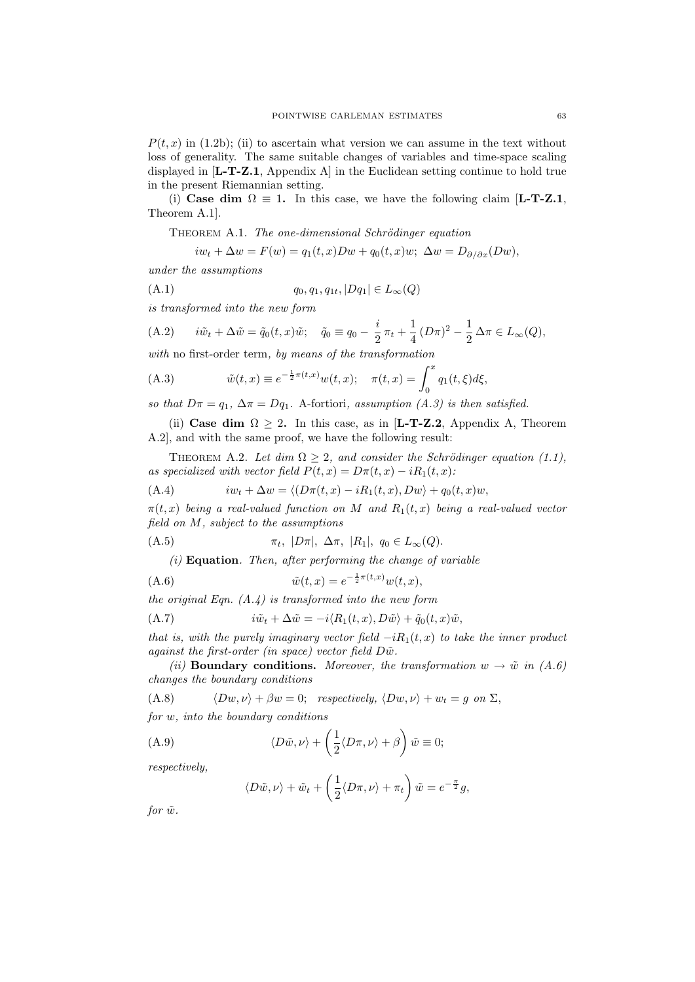$P(t, x)$  in (1.2b); (ii) to ascertain what version we can assume in the text without loss of generality. The same suitable changes of variables and time-space scaling displayed in [L-T-Z.1, Appendix A] in the Euclidean setting continue to hold true in the present Riemannian setting.

(i) Case dim  $\Omega \equiv 1$ . In this case, we have the following claim [L-T-Z.1, Theorem A.1].

THEOREM A.1. The one-dimensional Schrödinger equation

$$
iw_t + \Delta w = F(w) = q_1(t, x)Dw + q_0(t, x)w; \ \Delta w = D_{\partial/\partial x}(Dw),
$$

under the assumptions

(A.1) 
$$
q_0, q_1, q_{1t}, |Dq_1| \in L_{\infty}(Q)
$$

is transformed into the new form

(A.2) 
$$
i\tilde{w}_t + \Delta \tilde{w} = \tilde{q}_0(t, x)\tilde{w}; \quad \tilde{q}_0 \equiv q_0 - \frac{i}{2}\pi_t + \frac{1}{4}(D\pi)^2 - \frac{1}{2}\Delta \pi \in L_\infty(Q),
$$

with no first-order term, by means of the transformation

(A.3) 
$$
\tilde{w}(t,x) \equiv e^{-\frac{1}{2}\pi(t,x)}w(t,x); \quad \pi(t,x) = \int_0^x q_1(t,\xi)d\xi,
$$

so that  $D\pi = q_1$ ,  $\Delta \pi = Dq_1$ . A-fortiori, assumption (A.3) is then satisfied.

(ii) Case dim  $\Omega \geq 2$ . In this case, as in [L-T-Z.2, Appendix A, Theorem A.2], and with the same proof, we have the following result:

THEOREM A.2. Let dim  $\Omega \geq 2$ , and consider the Schrödinger equation (1.1), as specialized with vector field  $P(t, x) = D\pi(t, x) - iR_1(t, x)$ :

(A.4) 
$$
iw_t + \Delta w = \langle (D\pi(t,x) - iR_1(t,x), Dw \rangle + q_0(t,x)w,
$$

 $\pi(t, x)$  being a real-valued function on M and  $R_1(t, x)$  being a real-valued vector field on M, subject to the assumptions

(A.5) 
$$
\pi_t
$$
,  $|D\pi|$ ,  $\Delta \pi$ ,  $|R_1|$ ,  $q_0 \in L_{\infty}(Q)$ .

 $(i)$  **Equation**. Then, after performing the change of variable

(A.6) 
$$
\tilde{w}(t,x) = e^{-\frac{1}{2}\pi(t,x)}w(t,x),
$$

the original Eqn.  $(A.\mathcal{L})$  is transformed into the new form

(A.7) 
$$
i\tilde{w}_t + \Delta \tilde{w} = -i\langle R_1(t, x), D\tilde{w}\rangle + \tilde{q}_0(t, x)\tilde{w},
$$

that is, with the purely imaginary vector field  $-iR_1(t, x)$  to take the inner product against the first-order (in space) vector field  $D\tilde{w}$ .

(ii) **Boundary conditions.** Moreover, the transformation  $w \to \tilde{w}$  in (A.6) changes the boundary conditions

(A.8) 
$$
\langle Dw, \nu \rangle + \beta w = 0;
$$
 respectively,  $\langle Dw, \nu \rangle + w_t = g$  on  $\Sigma$ ,

for w, into the boundary conditions

(A.9) 
$$
\langle D\tilde{w}, \nu \rangle + \left(\frac{1}{2} \langle D\pi, \nu \rangle + \beta\right) \tilde{w} \equiv 0;
$$

respectively,

$$
\langle D\tilde{w}, \nu \rangle + \tilde{w}_t + \left(\frac{1}{2}\langle D\pi, \nu \rangle + \pi_t\right)\tilde{w} = e^{-\frac{\pi}{2}}g,
$$

for  $\tilde{w}$ .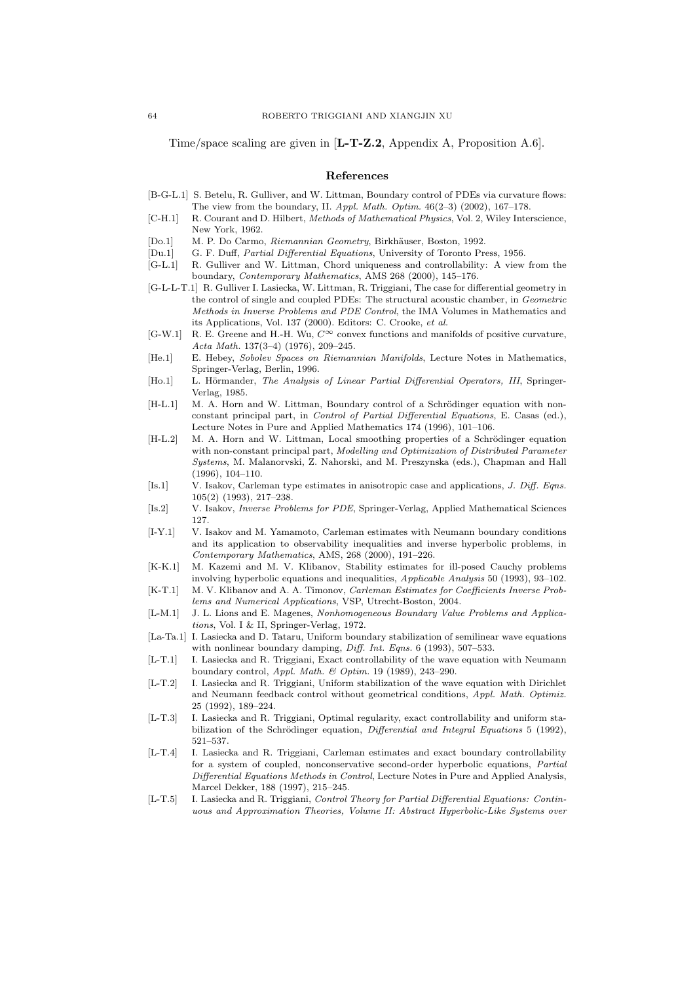Time/space scaling are given in [L-T-Z.2, Appendix A, Proposition A.6].

#### References

- [B-G-L.1] S. Betelu, R. Gulliver, and W. Littman, Boundary control of PDEs via curvature flows: The view from the boundary, II. Appl. Math. Optim.  $46(2-3)$  (2002), 167-178.
- [C-H.1] R. Courant and D. Hilbert, Methods of Mathematical Physics, Vol. 2, Wiley Interscience, New York, 1962.
- [Do.1] M. P. Do Carmo, Riemannian Geometry, Birkhäuser, Boston, 1992.
- [Du.1] G. F. Duff, Partial Differential Equations, University of Toronto Press, 1956.
- [G-L.1] R. Gulliver and W. Littman, Chord uniqueness and controllability: A view from the boundary, Contemporary Mathematics, AMS 268 (2000), 145–176.
- [G-L-L-T.1] R. Gulliver I. Lasiecka, W. Littman, R. Triggiani, The case for differential geometry in the control of single and coupled PDEs: The structural acoustic chamber, in Geometric Methods in Inverse Problems and PDE Control, the IMA Volumes in Mathematics and its Applications, Vol. 137 (2000). Editors: C. Crooke, et al.
- [G-W.1] R. E. Greene and H.-H. Wu,  $C^{\infty}$  convex functions and manifolds of positive curvature, Acta Math. 137(3–4) (1976), 209–245.
- [He.1] E. Hebey, Sobolev Spaces on Riemannian Manifolds, Lecture Notes in Mathematics, Springer-Verlag, Berlin, 1996.
- [Ho.1] L. Hörmander, The Analysis of Linear Partial Differential Operators, III, Springer-Verlag, 1985.
- [H-L.1] M. A. Horn and W. Littman, Boundary control of a Schrödinger equation with nonconstant principal part, in Control of Partial Differential Equations, E. Casas (ed.), Lecture Notes in Pure and Applied Mathematics 174 (1996), 101–106.
- [H-L.2] M. A. Horn and W. Littman, Local smoothing properties of a Schrödinger equation with non-constant principal part, Modelling and Optimization of Distributed Parameter Systems, M. Malanorvski, Z. Nahorski, and M. Preszynska (eds.), Chapman and Hall (1996), 104–110.
- [Is.1] V. Isakov, Carleman type estimates in anisotropic case and applications, J. Diff. Eqns. 105(2) (1993), 217–238.
- [Is.2] V. Isakov, Inverse Problems for PDE, Springer-Verlag, Applied Mathematical Sciences 127.
- [I-Y.1] V. Isakov and M. Yamamoto, Carleman estimates with Neumann boundary conditions and its application to observability inequalities and inverse hyperbolic problems, in Contemporary Mathematics, AMS, 268 (2000), 191–226.
- [K-K.1] M. Kazemi and M. V. Klibanov, Stability estimates for ill-posed Cauchy problems involving hyperbolic equations and inequalities, Applicable Analysis 50 (1993), 93–102.
- [K-T.1] M. V. Klibanov and A. A. Timonov, Carleman Estimates for Coefficients Inverse Problems and Numerical Applications, VSP, Utrecht-Boston, 2004.
- [L-M.1] J. L. Lions and E. Magenes, Nonhomogeneous Boundary Value Problems and Applications, Vol. I & II, Springer-Verlag, 1972.
- [La-Ta.1] I. Lasiecka and D. Tataru, Uniform boundary stabilization of semilinear wave equations with nonlinear boundary damping, Diff. Int. Eqns. 6 (1993), 507-533.
- [L-T.1] I. Lasiecka and R. Triggiani, Exact controllability of the wave equation with Neumann boundary control, Appl. Math. & Optim. 19 (1989), 243–290.
- [L-T.2] I. Lasiecka and R. Triggiani, Uniform stabilization of the wave equation with Dirichlet and Neumann feedback control without geometrical conditions, Appl. Math. Optimiz. 25 (1992), 189–224.
- [L-T.3] I. Lasiecka and R. Triggiani, Optimal regularity, exact controllability and uniform stabilization of the Schrödinger equation, *Differential and Integral Equations* 5 (1992), 521–537.
- [L-T.4] I. Lasiecka and R. Triggiani, Carleman estimates and exact boundary controllability for a system of coupled, nonconservative second-order hyperbolic equations, Partial Differential Equations Methods in Control, Lecture Notes in Pure and Applied Analysis, Marcel Dekker, 188 (1997), 215–245.
- [L-T.5] I. Lasiecka and R. Triggiani, Control Theory for Partial Differential Equations: Continuous and Approximation Theories, Volume II: Abstract Hyperbolic-Like Systems over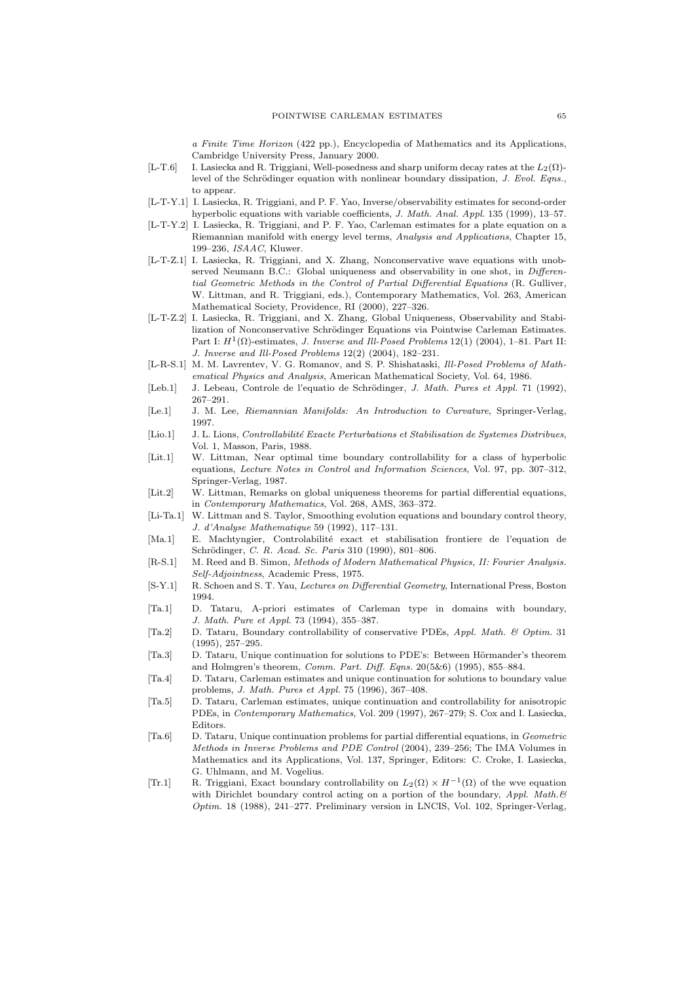a Finite Time Horizon (422 pp.), Encyclopedia of Mathematics and its Applications, Cambridge University Press, January 2000.

- [L-T.6] I. Lasiecka and R. Triggiani, Well-posedness and sharp uniform decay rates at the  $L_2(\Omega)$ level of the Schrödinger equation with nonlinear boundary dissipation,  $J. Evol. Eqns$ . to appear.
- [L-T-Y.1] I. Lasiecka, R. Triggiani, and P. F. Yao, Inverse/observability estimates for second-order hyperbolic equations with variable coefficients, J. Math. Anal. Appl. 135 (1999), 13–57.
- [L-T-Y.2] I. Lasiecka, R. Triggiani, and P. F. Yao, Carleman estimates for a plate equation on a Riemannian manifold with energy level terms, Analysis and Applications, Chapter 15, 199–236, ISAAC, Kluwer.
- [L-T-Z.1] I. Lasiecka, R. Triggiani, and X. Zhang, Nonconservative wave equations with unobserved Neumann B.C.: Global uniqueness and observability in one shot, in Differential Geometric Methods in the Control of Partial Differential Equations (R. Gulliver, W. Littman, and R. Triggiani, eds.), Contemporary Mathematics, Vol. 263, American Mathematical Society, Providence, RI (2000), 227–326.
- [L-T-Z.2] I. Lasiecka, R. Triggiani, and X. Zhang, Global Uniqueness, Observability and Stabilization of Nonconservative Schrödinger Equations via Pointwise Carleman Estimates. Part I:  $H^1(\Omega)$ -estimates, *J. Inverse and Ill-Posed Problems* 12(1) (2004), 1–81. Part II: J. Inverse and Ill-Posed Problems 12(2) (2004), 182–231.
- [L-R-S.1] M. M. Lavrentev, V. G. Romanov, and S. P. Shishataski, Ill-Posed Problems of Mathematical Physics and Analysis, American Mathematical Society, Vol. 64, 1986.
- [Leb.1] J. Lebeau, Controle de l'equatio de Schrödinger, J. Math. Pures et Appl. 71 (1992), 267–291.
- [Le.1] J. M. Lee, Riemannian Manifolds: An Introduction to Curvature, Springer-Verlag, 1997.
- [Lio.1] J. L. Lions, *Controllabilité Exacte Perturbations et Stabilisation de Systemes Distribues*, Vol. 1, Masson, Paris, 1988.
- [Lit.1] W. Littman, Near optimal time boundary controllability for a class of hyperbolic equations, Lecture Notes in Control and Information Sciences, Vol. 97, pp. 307–312, Springer-Verlag, 1987.
- [Lit.2] W. Littman, Remarks on global uniqueness theorems for partial differential equations, in Contemporary Mathematics, Vol. 268, AMS, 363–372.
- [Li-Ta.1] W. Littman and S. Taylor, Smoothing evolution equations and boundary control theory, J. d'Analyse Mathematique 59 (1992), 117–131.
- [Ma.1] E. Machtyngier, Controlabilit´e exact et stabilisation frontiere de l'equation de Schrödinger, C. R. Acad. Sc. Paris 310 (1990), 801-806.
- [R-S.1] M. Reed and B. Simon, Methods of Modern Mathematical Physics, II: Fourier Analysis. Self-Adjointness, Academic Press, 1975.
- [S-Y.1] R. Schoen and S. T. Yau, Lectures on Differential Geometry, International Press, Boston 1994.
- [Ta.1] D. Tataru, A-priori estimates of Carleman type in domains with boundary, J. Math. Pure et Appl. 73 (1994), 355–387.
- [Ta.2] D. Tataru, Boundary controllability of conservative PDEs, Appl. Math. & Optim. 31 (1995), 257–295.
- [Ta.3] D. Tataru, Unique continuation for solutions to PDE's: Between Hörmander's theorem and Holmgren's theorem, Comm. Part. Diff. Eqns. 20(5&6) (1995), 855–884.
- [Ta.4] D. Tataru, Carleman estimates and unique continuation for solutions to boundary value problems, J. Math. Pures et Appl. 75 (1996), 367–408.
- [Ta.5] D. Tataru, Carleman estimates, unique continuation and controllability for anisotropic PDEs, in Contemporary Mathematics, Vol. 209 (1997), 267–279; S. Cox and I. Lasiecka, Editors.
- [Ta.6] D. Tataru, Unique continuation problems for partial differential equations, in Geometric Methods in Inverse Problems and PDE Control (2004), 239–256; The IMA Volumes in Mathematics and its Applications, Vol. 137, Springer, Editors: C. Croke, I. Lasiecka, G. Uhlmann, and M. Vogelius.
- [Tr.1] R. Triggiani, Exact boundary controllability on  $L_2(\Omega) \times H^{-1}(\Omega)$  of the wve equation with Dirichlet boundary control acting on a portion of the boundary, Appl. Math. & Optim. 18 (1988), 241–277. Preliminary version in LNCIS, Vol. 102, Springer-Verlag,